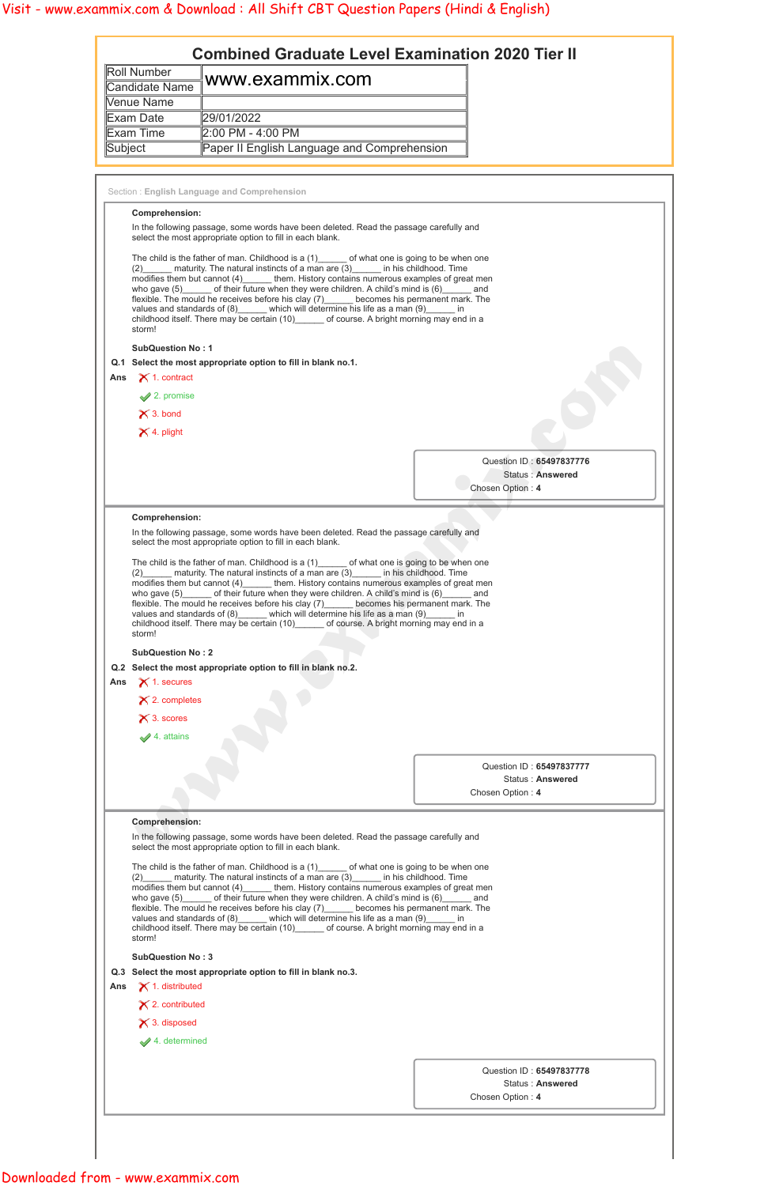|         |                                  | <b>Combined Graduate Level Examination 2020 Tier II</b>                                                                                                                |                                                                  |
|---------|----------------------------------|------------------------------------------------------------------------------------------------------------------------------------------------------------------------|------------------------------------------------------------------|
|         | Roll Number                      |                                                                                                                                                                        |                                                                  |
|         | <b>Candidate Name</b>            | www.exammix.com                                                                                                                                                        |                                                                  |
|         | <b>Venue Name</b>                |                                                                                                                                                                        |                                                                  |
|         | Exam Date                        | 29/01/2022                                                                                                                                                             |                                                                  |
|         | Exam Time                        | 2:00 PM - 4:00 PM                                                                                                                                                      |                                                                  |
| Subject |                                  | Paper II English Language and Comprehension                                                                                                                            |                                                                  |
|         |                                  |                                                                                                                                                                        |                                                                  |
|         |                                  | Section: English Language and Comprehension                                                                                                                            |                                                                  |
|         | Comprehension:                   |                                                                                                                                                                        |                                                                  |
|         |                                  | In the following passage, some words have been deleted. Read the passage carefully and<br>select the most appropriate option to fill in each blank.                    |                                                                  |
|         |                                  |                                                                                                                                                                        |                                                                  |
|         | (2)                              | The child is the father of man. Childhood is $a(1)$ of what one is going to be when one<br>maturity. The natural instincts of a man are (3) in his childhood. Time     |                                                                  |
|         |                                  | modifies them but cannot (4) ______ them. History contains numerous examples of great men                                                                              |                                                                  |
|         |                                  | who gave $(5)$ of their future when they were children. A child's mind is $(6)$<br>flexible. The mould he receives before his clay (7) becomes his permanent mark. The | and                                                              |
|         |                                  | values and standards of $(8)$ which will determine his life as a man $(9)$ in                                                                                          |                                                                  |
|         | storm!                           | childhood itself. There may be certain (10) of course. A bright morning may end in a                                                                                   |                                                                  |
|         |                                  |                                                                                                                                                                        |                                                                  |
|         | <b>SubQuestion No: 1</b>         |                                                                                                                                                                        |                                                                  |
|         |                                  | Q.1 Select the most appropriate option to fill in blank no.1.                                                                                                          |                                                                  |
|         | Ans $\bigtimes$ 1. contract      |                                                                                                                                                                        |                                                                  |
|         | $\blacktriangleright$ 2. promise |                                                                                                                                                                        |                                                                  |
|         | $\times$ 3. bond                 |                                                                                                                                                                        |                                                                  |
|         | $\times$ 4. plight               |                                                                                                                                                                        |                                                                  |
|         |                                  |                                                                                                                                                                        |                                                                  |
|         |                                  |                                                                                                                                                                        | Question ID: 65497837776                                         |
|         |                                  |                                                                                                                                                                        | <b>Status: Answered</b>                                          |
|         |                                  |                                                                                                                                                                        | Chosen Option: 4                                                 |
|         | <b>Comprehension:</b>            |                                                                                                                                                                        |                                                                  |
|         |                                  | In the following passage, some words have been deleted. Read the passage carefully and                                                                                 |                                                                  |
|         |                                  | select the most appropriate option to fill in each blank.                                                                                                              |                                                                  |
|         |                                  | The child is the father of man. Childhood is a $(1)$ of what one is going to be when one                                                                               |                                                                  |
|         | (2)                              | maturity. The natural instincts of a man are (3) in his childhood. Time                                                                                                |                                                                  |
|         |                                  | modifies them but cannot (4) them. History contains numerous examples of great men<br>who gave $(5)$ of their future when they were children. A child's mind is $(6)$  | and                                                              |
|         |                                  | flexible. The mould he receives before his clay (7)______ becomes his permanent mark. The                                                                              |                                                                  |
|         |                                  | values and standards of (8) which will determine his life as a man (9) in<br>childhood itself. There may be certain (10) of course. A bright morning may end in a      |                                                                  |
|         | storm!                           |                                                                                                                                                                        |                                                                  |
|         | <b>SubQuestion No: 2</b>         |                                                                                                                                                                        |                                                                  |
|         |                                  | Q.2 Select the most appropriate option to fill in blank no.2.                                                                                                          |                                                                  |
|         | Ans $\bigtimes$ 1. secures       |                                                                                                                                                                        |                                                                  |
|         |                                  |                                                                                                                                                                        |                                                                  |
|         |                                  |                                                                                                                                                                        |                                                                  |
|         | $\times$ 2. completes            |                                                                                                                                                                        |                                                                  |
|         | $\times$ 3. scores               |                                                                                                                                                                        |                                                                  |
|         | $\blacktriangleright$ 4. attains |                                                                                                                                                                        |                                                                  |
|         |                                  |                                                                                                                                                                        |                                                                  |
|         |                                  |                                                                                                                                                                        |                                                                  |
|         |                                  |                                                                                                                                                                        | Question ID: 65497837777<br>Status: Answered<br>Chosen Option: 4 |

The child is the father of man. Childhood is a (1)\_\_\_\_\_\_ of what one is going to be when one

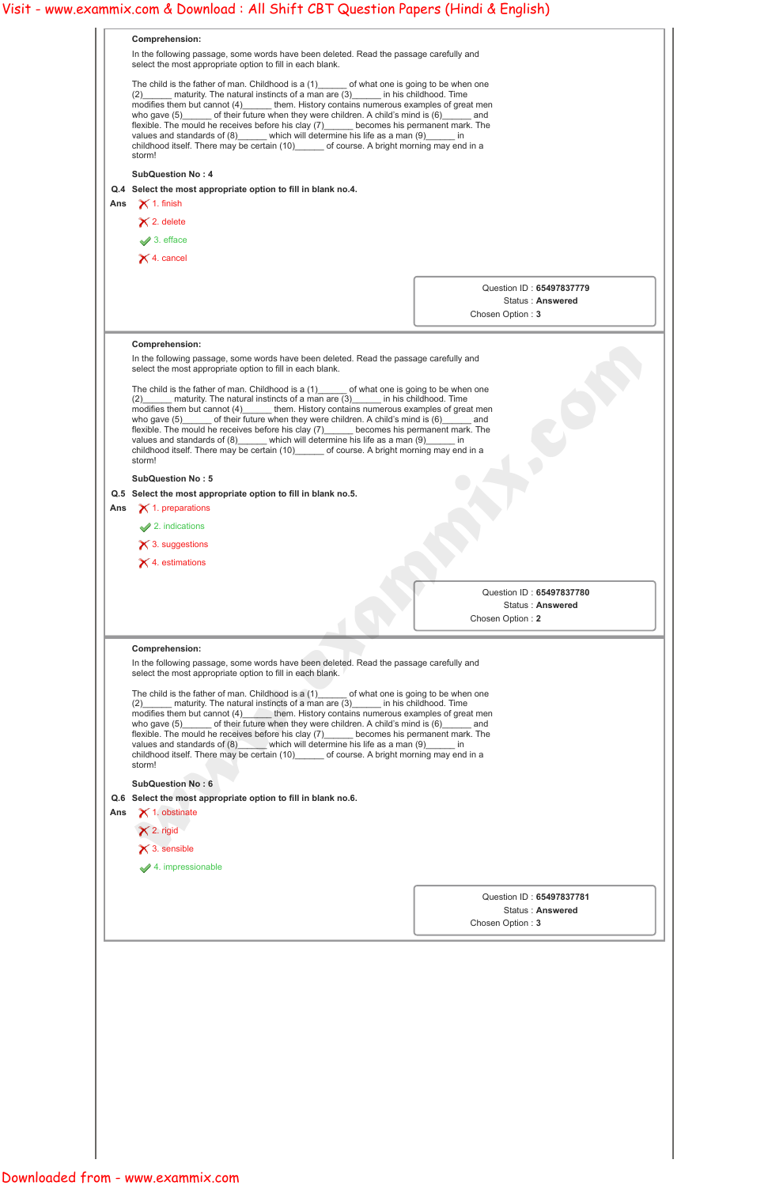|     | <b>Comprehension:</b>                                                                                                                                                                                                                                                                                                                                                                                                                                                                                                                                                                                                                          |                                                                  |
|-----|------------------------------------------------------------------------------------------------------------------------------------------------------------------------------------------------------------------------------------------------------------------------------------------------------------------------------------------------------------------------------------------------------------------------------------------------------------------------------------------------------------------------------------------------------------------------------------------------------------------------------------------------|------------------------------------------------------------------|
|     | In the following passage, some words have been deleted. Read the passage carefully and<br>select the most appropriate option to fill in each blank.                                                                                                                                                                                                                                                                                                                                                                                                                                                                                            |                                                                  |
|     | The child is the father of man. Childhood is $a(1)$ of what one is going to be when one<br>(2) maturity. The natural instincts of a man are (3) in his childhood. Time<br>modifies them but cannot (4) _______ them. History contains numerous examples of great men<br>who gave (5) of their future when they were children. A child's mind is (6) and<br>flexible. The mould he receives before his clay (7)______ becomes his permanent mark. The<br>values and standards of $(8)$ which will determine his life as a man $(9)$ in<br>childhood itself. There may be certain (10) ______ of course. A bright morning may end in a<br>storm! |                                                                  |
|     | <b>SubQuestion No: 4</b>                                                                                                                                                                                                                                                                                                                                                                                                                                                                                                                                                                                                                       |                                                                  |
|     | Q.4 Select the most appropriate option to fill in blank no.4.                                                                                                                                                                                                                                                                                                                                                                                                                                                                                                                                                                                  |                                                                  |
|     | Ans $\bigtimes$ 1. finish                                                                                                                                                                                                                                                                                                                                                                                                                                                                                                                                                                                                                      |                                                                  |
|     | $\times$ 2. delete                                                                                                                                                                                                                                                                                                                                                                                                                                                                                                                                                                                                                             |                                                                  |
|     | $\blacktriangleright$ 3. efface                                                                                                                                                                                                                                                                                                                                                                                                                                                                                                                                                                                                                |                                                                  |
|     |                                                                                                                                                                                                                                                                                                                                                                                                                                                                                                                                                                                                                                                |                                                                  |
|     | $\times$ 4. cancel                                                                                                                                                                                                                                                                                                                                                                                                                                                                                                                                                                                                                             |                                                                  |
|     |                                                                                                                                                                                                                                                                                                                                                                                                                                                                                                                                                                                                                                                | Question ID: 65497837779<br>Status: Answered<br>Chosen Option: 3 |
|     |                                                                                                                                                                                                                                                                                                                                                                                                                                                                                                                                                                                                                                                |                                                                  |
|     | <b>Comprehension:</b>                                                                                                                                                                                                                                                                                                                                                                                                                                                                                                                                                                                                                          |                                                                  |
|     | In the following passage, some words have been deleted. Read the passage carefully and<br>select the most appropriate option to fill in each blank.                                                                                                                                                                                                                                                                                                                                                                                                                                                                                            |                                                                  |
|     | modifies them but cannot (4) them. History contains numerous examples of great men<br>who gave $(5)$ of their future when they were children. A child's mind is $(6)$ and                                                                                                                                                                                                                                                                                                                                                                                                                                                                      |                                                                  |
|     | flexible. The mould he receives before his clay (7) ______ becomes his permanent mark. The<br>values and standards of (8) ______ which will determine his life as a man (9) ______ in<br>childhood itself. There may be certain (10) of course. A bright morning may end in a<br>storm!                                                                                                                                                                                                                                                                                                                                                        |                                                                  |
|     | <b>SubQuestion No: 5</b>                                                                                                                                                                                                                                                                                                                                                                                                                                                                                                                                                                                                                       |                                                                  |
|     | Q.5 Select the most appropriate option to fill in blank no.5.                                                                                                                                                                                                                                                                                                                                                                                                                                                                                                                                                                                  |                                                                  |
| Ans | $\times$ 1. preparations                                                                                                                                                                                                                                                                                                                                                                                                                                                                                                                                                                                                                       |                                                                  |
|     | $\blacktriangleright$ 2. indications                                                                                                                                                                                                                                                                                                                                                                                                                                                                                                                                                                                                           |                                                                  |
|     | $\times$ 3. suggestions                                                                                                                                                                                                                                                                                                                                                                                                                                                                                                                                                                                                                        |                                                                  |
|     | $\times$ 4. estimations                                                                                                                                                                                                                                                                                                                                                                                                                                                                                                                                                                                                                        |                                                                  |
|     |                                                                                                                                                                                                                                                                                                                                                                                                                                                                                                                                                                                                                                                |                                                                  |
|     |                                                                                                                                                                                                                                                                                                                                                                                                                                                                                                                                                                                                                                                | Question ID: 65497837780                                         |
|     |                                                                                                                                                                                                                                                                                                                                                                                                                                                                                                                                                                                                                                                | Status: Answered                                                 |
|     |                                                                                                                                                                                                                                                                                                                                                                                                                                                                                                                                                                                                                                                | Chosen Option: 2                                                 |
|     |                                                                                                                                                                                                                                                                                                                                                                                                                                                                                                                                                                                                                                                |                                                                  |
|     | <b>Comprehension:</b><br>In the following passage, some words have been deleted. Read the passage carefully and<br>select the most appropriate option to fill in each blank.                                                                                                                                                                                                                                                                                                                                                                                                                                                                   |                                                                  |
|     | The child is the father of man. Childhood is a $(1)$ of what one is going to be when one<br>maturity. The natural instincts of a man are (3) ______ in his childhood. Time<br>(2)<br>modifies them but cannot (4) them. History contains numerous examples of great men<br>who gave $(5)$ of their future when they were children. A child's mind is $(6)$ and<br>flexible. The mould he receives before his clay (7) becomes his permanent mark. The<br>values and standards of $(8)$ which will determine his life as a man $(9)$ in<br>childhood itself. There may be certain (10) of course. A bright morning may end in a<br>storm!       |                                                                  |
|     |                                                                                                                                                                                                                                                                                                                                                                                                                                                                                                                                                                                                                                                |                                                                  |
|     | <b>SubQuestion No: 6</b><br>Q.6 Select the most appropriate option to fill in blank no.6.                                                                                                                                                                                                                                                                                                                                                                                                                                                                                                                                                      |                                                                  |
| Ans | $\times$ 1. obstinate                                                                                                                                                                                                                                                                                                                                                                                                                                                                                                                                                                                                                          |                                                                  |
|     | $\times$ 2. rigid                                                                                                                                                                                                                                                                                                                                                                                                                                                                                                                                                                                                                              |                                                                  |

| Question ID: 65497837781<br>Status: Answered<br>Chosen Option: 3 |
|------------------------------------------------------------------|
|                                                                  |
|                                                                  |
|                                                                  |
|                                                                  |
|                                                                  |
|                                                                  |
|                                                                  |
|                                                                  |
|                                                                  |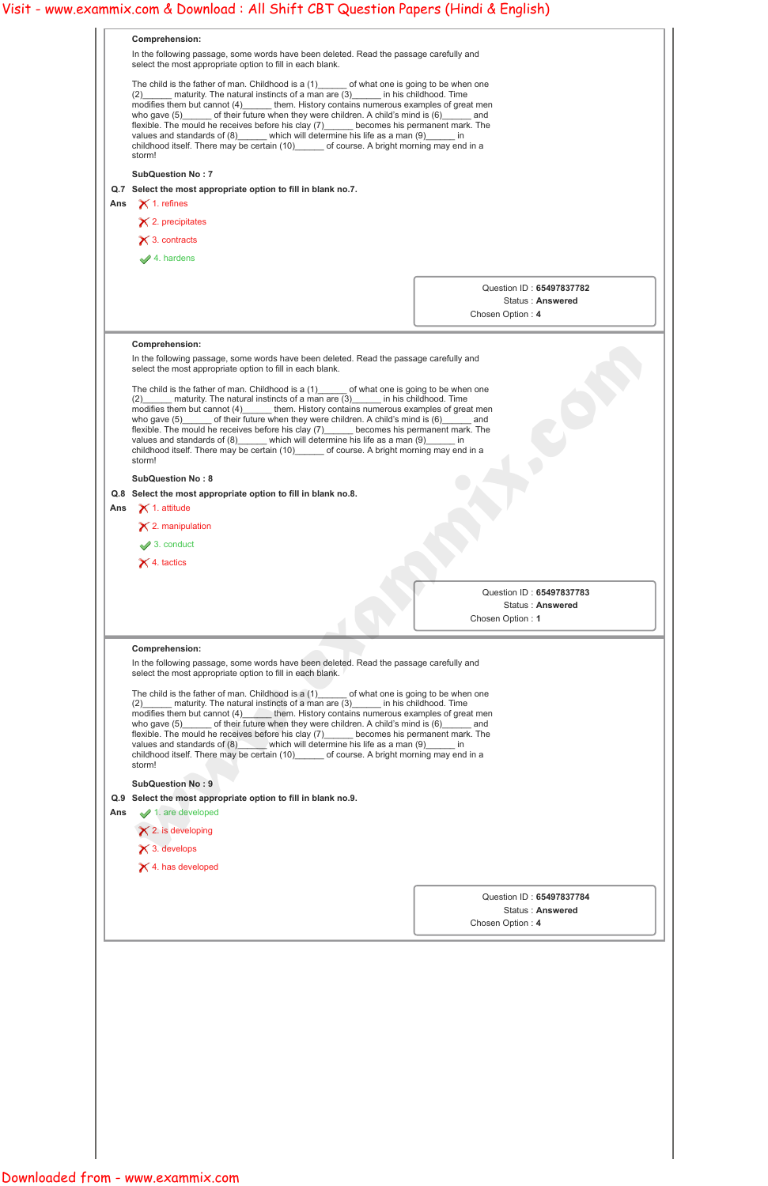|     | Comprehension:<br>In the following passage, some words have been deleted. Read the passage carefully and                                                                                                                                                                                                                                                                                                                                                                                                                                                                                                                                                                                                                                                                                                                               |                                                                         |
|-----|----------------------------------------------------------------------------------------------------------------------------------------------------------------------------------------------------------------------------------------------------------------------------------------------------------------------------------------------------------------------------------------------------------------------------------------------------------------------------------------------------------------------------------------------------------------------------------------------------------------------------------------------------------------------------------------------------------------------------------------------------------------------------------------------------------------------------------------|-------------------------------------------------------------------------|
|     | select the most appropriate option to fill in each blank.<br>The child is the father of man. Childhood is a (1) _______ of what one is going to be when one<br>(2) maturity. The natural instincts of a man are (3) in his childhood. Time<br>modifies them but cannot (4) them. History contains numerous examples of great men<br>who gave (5) of their future when they were children. A child's mind is (6) and<br>flexible. The mould he receives before his clay (7) ______ becomes his permanent mark. The<br>values and standards of $(8)$ which will determine his life as a man $(9)$ in<br>childhood itself. There may be certain (10) ______ of course. A bright morning may end in a<br>storm!<br><b>SubQuestion No: 7</b><br>Q.7 Select the most appropriate option to fill in blank no.7.<br>Ans $\bigtimes$ 1. refines |                                                                         |
|     | $\times$ 2. precipitates                                                                                                                                                                                                                                                                                                                                                                                                                                                                                                                                                                                                                                                                                                                                                                                                               |                                                                         |
|     | $\times$ 3. contracts<br>$\blacktriangleright$ 4. hardens                                                                                                                                                                                                                                                                                                                                                                                                                                                                                                                                                                                                                                                                                                                                                                              |                                                                         |
|     |                                                                                                                                                                                                                                                                                                                                                                                                                                                                                                                                                                                                                                                                                                                                                                                                                                        | Question ID: 65497837782<br><b>Status: Answered</b><br>Chosen Option: 4 |
|     | <b>Comprehension:</b><br>In the following passage, some words have been deleted. Read the passage carefully and                                                                                                                                                                                                                                                                                                                                                                                                                                                                                                                                                                                                                                                                                                                        |                                                                         |
|     | select the most appropriate option to fill in each blank.<br>The child is the father of man. Childhood is a (1) ______ of what one is going to be when one<br>maturity. The natural instincts of a man are (3) _____ in his childhood. Time<br>(2)<br>modifies them but cannot (4) them. History contains numerous examples of great men<br>who gave $(5)$ of their future when they were children. A child's mind is $(6)$ and<br>flexible. The mould he receives before his clay (7)______ becomes his permanent mark. The<br>values and standards of (8) _____ which will determine his life as a man (9) _____ in<br>childhood itself. There may be certain (10) of course. A bright morning may end in a<br>storm!                                                                                                                |                                                                         |
| Ans | <b>SubQuestion No: 8</b><br>Q.8 Select the most appropriate option to fill in blank no.8.<br>$\times$ 1. attitude                                                                                                                                                                                                                                                                                                                                                                                                                                                                                                                                                                                                                                                                                                                      |                                                                         |
|     | $\times$ 2. manipulation<br>$\blacktriangleright$ 3. conduct                                                                                                                                                                                                                                                                                                                                                                                                                                                                                                                                                                                                                                                                                                                                                                           |                                                                         |
|     | $\times$ 4. tactics                                                                                                                                                                                                                                                                                                                                                                                                                                                                                                                                                                                                                                                                                                                                                                                                                    |                                                                         |
|     |                                                                                                                                                                                                                                                                                                                                                                                                                                                                                                                                                                                                                                                                                                                                                                                                                                        | Question ID: 65497837783<br>Status: Answered<br>Chosen Option: 1        |
|     | <b>Comprehension:</b><br>In the following passage, some words have been deleted. Read the passage carefully and<br>select the most appropriate option to fill in each blank.                                                                                                                                                                                                                                                                                                                                                                                                                                                                                                                                                                                                                                                           |                                                                         |
|     | The child is the father of man. Childhood is a $(1)$ of what one is going to be when one<br>maturity. The natural instincts of a man are (3) ______ in his childhood. Time<br>(2)<br>modifies them but cannot (4) them. History contains numerous examples of great men<br>who gave $(5)$ of their future when they were children. A child's mind is $(6)$ and<br>flexible. The mould he receives before his clay (7) becomes his permanent mark. The<br>values and standards of $(8)$ which will determine his life as a man $(9)$ in<br>childhood itself. There may be certain (10) of course. A bright morning may end in a<br>storm!                                                                                                                                                                                               |                                                                         |
|     | <b>SubQuestion No: 9</b><br>Q.9 Select the most appropriate option to fill in blank no.9.<br>$\blacktriangleright$ 1. are developed                                                                                                                                                                                                                                                                                                                                                                                                                                                                                                                                                                                                                                                                                                    |                                                                         |
| Ans | $\times$ 2. is developing                                                                                                                                                                                                                                                                                                                                                                                                                                                                                                                                                                                                                                                                                                                                                                                                              |                                                                         |
|     | $\times$ 3. develops                                                                                                                                                                                                                                                                                                                                                                                                                                                                                                                                                                                                                                                                                                                                                                                                                   |                                                                         |
|     | $\times$ 4. has developed                                                                                                                                                                                                                                                                                                                                                                                                                                                                                                                                                                                                                                                                                                                                                                                                              |                                                                         |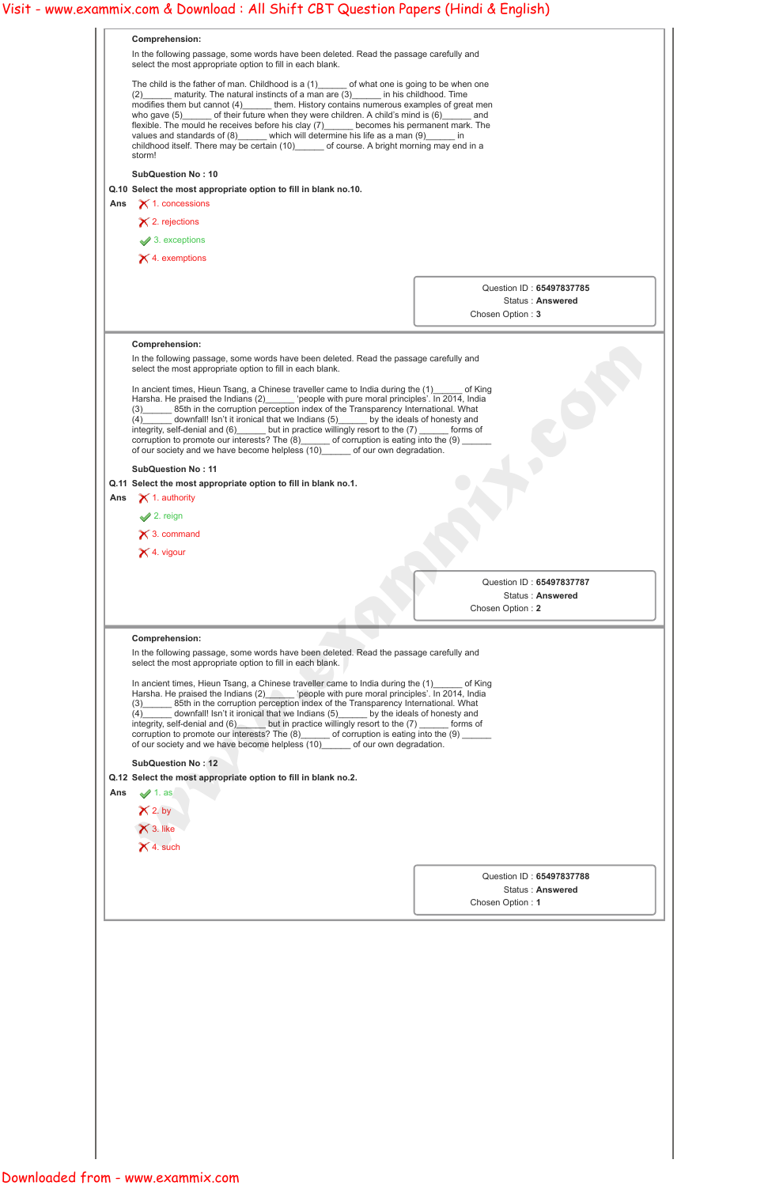

Question ID : **65497837788**

Status : **Answered**

Chosen Option : **1**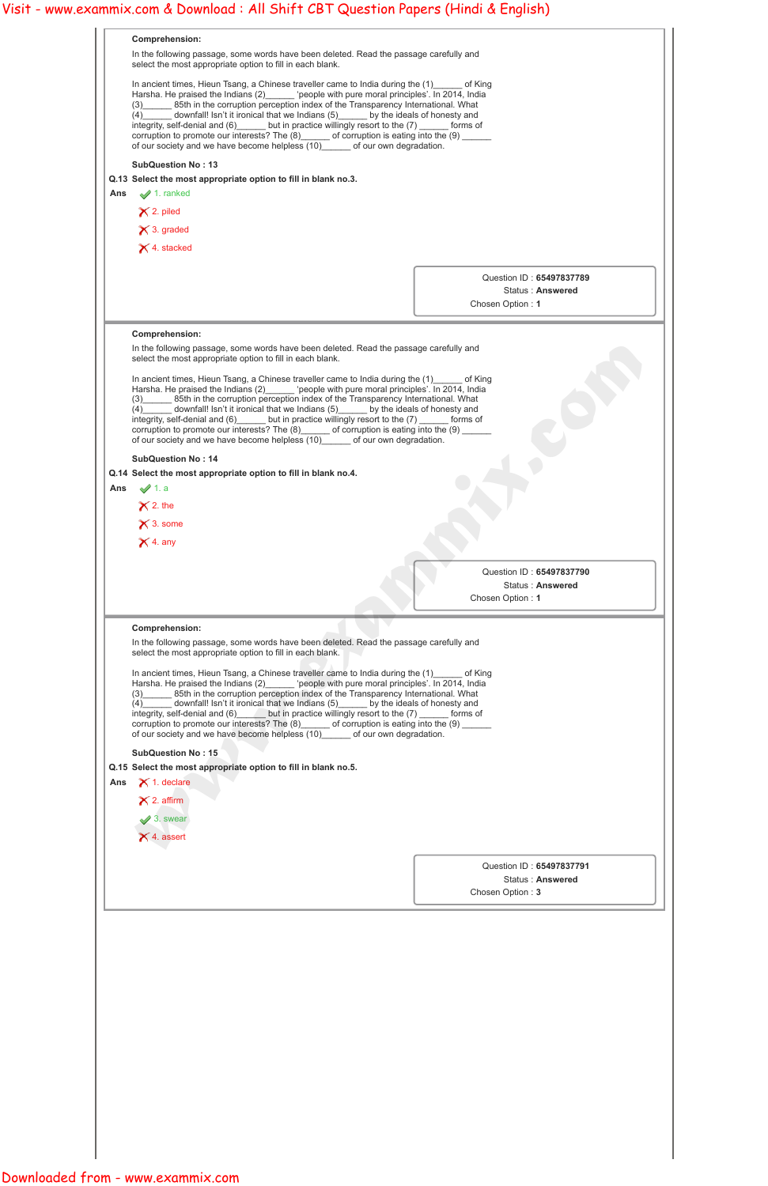**Comprehension:** In the following passage, some words have been deleted. Read the passage carefully and select the most appropriate option to fill in each blank. In ancient times, Hieun Tsang, a Chinese traveller came to India during the (1)\_\_\_\_\_\_ of King Harsha. He praised the Indians (2)\_\_\_\_\_\_ 'people with pure moral principles'. In 2014, India (3)\_\_\_\_\_\_ 85th in the corruption perception index of the Transparency International. What (4)\_\_\_\_\_\_ downfall! Isn't it ironical that we Indians (5)\_\_\_\_\_\_ by the ideals of honesty and integrity, self-denial and (6) \_\_\_\_\_\_ but in practice willingly resort to the (7) \_\_\_\_\_\_ forms of corruption to promote our interests? The (8)\_\_\_\_\_\_ of corruption is eating into the (9) of our society and we have become helpless (10)\_\_\_\_\_\_ of our own degradation. **SubQuestion No : 13 Q.13 Select the most appropriate option to fill in blank no.3.** Ans 1. ranked  $\times$  2. piled  $\times$  3. graded  $\times$  4. stacked Question ID : **65497837789** Status : **Answered** Chosen Option : **1 Comprehension:** In the following passage, some words have been deleted. Read the passage carefully and select the most appropriate option to fill in each blank. In ancient times, Hieun Tsang, a Chinese traveller came to India during the (1)\_\_\_\_\_\_ of King Harsha. He praised the Indians (2)\_\_\_\_\_\_ 'people with pure moral principles'. In 2014, India (3)\_\_\_\_\_\_ 85th in the corruption perception index of the Transparency International. What  $(4)$  downfall! Isn't it ironical that we Indians  $(5)$  by the ideals of honesty and integrity, self-denial and (6)\_\_\_\_\_\_ but in practice willingly resort to the (7) \_\_\_\_\_\_ forms of corruption to promote our interests? The  $(8)$  \_\_\_\_\_\_ of corruption is eating into the  $(9)$  \_\_\_\_\_\_ of our society and we have become helpless (10) \_\_\_\_\_ of our own degradation. **SubQuestion No : 14 Q.14 Select the most appropriate option to fill in blank no.4.** Ans  $\sqrt{1}$ . a  $\times$  2. the  $\times$  3. some  $\times$  4. any Question ID : **65497837790** Status : **Answered** Chosen Option : **1 Comprehension:** In the following passage, some words have been deleted. Read the passage carefully and select the most appropriate option to fill in each blank. In ancient times, Hieun Tsang, a Chinese traveller came to India during the (1)\_\_\_\_\_\_ of King Harsha. He praised the Indians (2)\_\_\_\_\_\_ 'people with pure moral principles'. In 2014, India (3)\_\_\_\_\_\_ 85th in the corruption perception index of the Transparency International. What  $(4)$  downfall! Isn't it ironical that we Indians  $(5)$  by the ideals of honesty and integrity, self-denial and (6)\_\_\_\_\_\_ but in practice willingly resort to the (7) \_\_\_\_\_\_ forms of corruption to promote our interests? The (8)\_\_\_\_\_\_ of corruption is eating into the (9) of our society and we have become helpless (10)\_\_\_\_\_ of our own degradation. **SubQuestion No : 15 Q.15 Select the most appropriate option to fill in blank no.5.** Ans  $\bigtimes$  1. declare  $\times$  2. affirm  $\blacktriangleright$  3. swear  $\times$  4. assert **We define the computation of the computation of the computation of the computation of the computation of the computation of the computation of the computation of the computation of the computation of the computation of th** 

Question ID : **65497837791** Status : **Answered**

Chosen Option : **3**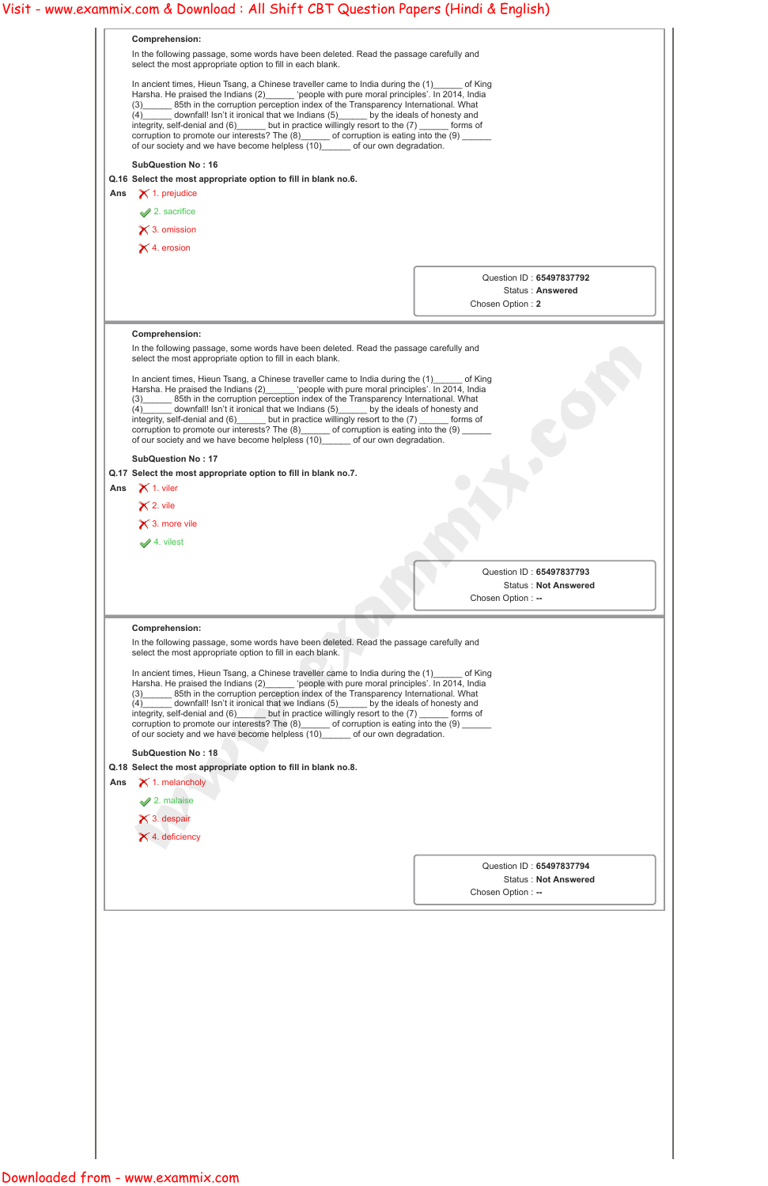**Comprehension:** In the following passage, some words have been deleted. Read the passage carefully and select the most appropriate option to fill in each blank. In ancient times, Hieun Tsang, a Chinese traveller came to India during the (1)\_\_\_\_\_\_ of King Harsha. He praised the Indians (2)\_\_\_\_\_\_ 'people with pure moral principles'. In 2014, India (3)\_\_\_\_\_\_ 85th in the corruption perception index of the Transparency International. What (4)\_\_\_\_\_\_ downfall! Isn't it ironical that we Indians (5)\_\_\_\_\_\_ by the ideals of honesty and integrity, self-denial and (6) \_\_\_\_\_\_ but in practice willingly resort to the (7) \_\_\_\_\_\_ forms of corruption to promote our interests? The (8)\_\_\_\_\_\_ of corruption is eating into the (9) of our society and we have become helpless (10)\_\_\_\_\_\_ of our own degradation. **SubQuestion No : 16 Q.16 Select the most appropriate option to fill in blank no.6.** Ans **X** 1. prejudice 2. sacrifice  $\times$  3. omission  $\times$  4. erosion Question ID : **65497837792** Status : **Answered** Chosen Option : **2 Comprehension:** In the following passage, some words have been deleted. Read the passage carefully and select the most appropriate option to fill in each blank. In ancient times, Hieun Tsang, a Chinese traveller came to India during the (1) \_\_\_\_\_ of King Harsha. He praised the Indians (2)\_\_\_\_\_\_ 'people with pure moral principles'. In 2014, India (3)\_\_\_\_\_\_ 85th in the corruption perception index of the Transparency International. What  $(4)$  downfall! Isn't it ironical that we Indians  $(5)$  by the ideals of honesty and integrity, self-denial and (6)\_\_\_\_\_\_ but in practice willingly resort to the (7) \_\_\_\_\_\_ forms of corruption to promote our interests? The  $(8)$  \_\_\_\_\_\_ of corruption is eating into the  $(9)$  \_\_\_\_\_\_ of our society and we have become helpless (10) \_\_\_\_\_ of our own degradation. **SubQuestion No : 17 Q.17 Select the most appropriate option to fill in blank no.7.** Ans  $\bigtimes$  1. viler  $\times$  2. vile  $\times$  3. more vile  $\blacktriangleright$  4. vilest Question ID : **65497837793** Status : **Not Answered** Chosen Option : **-- Comprehension:** In the following passage, some words have been deleted. Read the passage carefully and select the most appropriate option to fill in each blank. In ancient times, Hieun Tsang, a Chinese traveller came to India during the (1)\_\_\_\_\_\_ of King Harsha. He praised the Indians (2)\_\_\_\_\_\_ 'people with pure moral principles'. In 2014, India (3)\_\_\_\_\_\_ 85th in the corruption perception index of the Transparency International. What  $(4)$  downfall! Isn't it ironical that we Indians  $(5)$  by the ideals of honesty and integrity, self-denial and  $(6)$  but in practice willingly resort to the  $(7)$  commis of corruption to promote our interests? The (8)\_\_\_\_\_\_ of corruption is eating into the (9) of our society and we have become helpless (10)\_\_\_\_\_\_ of our own degradation. **SubQuestion No : 18 Q.18 Select the most appropriate option to fill in blank no.8.** Ans  $\times$  1. melancholy 2. malaise 3. despair 4. deficiency **We define the computation of the computation of the computation of the computation of the computation of the computation of the computation of the computation of the computation of the computation of the computation of th** 

Question ID : **65497837794**

Status : **Not Answered**

Chosen Option : **--**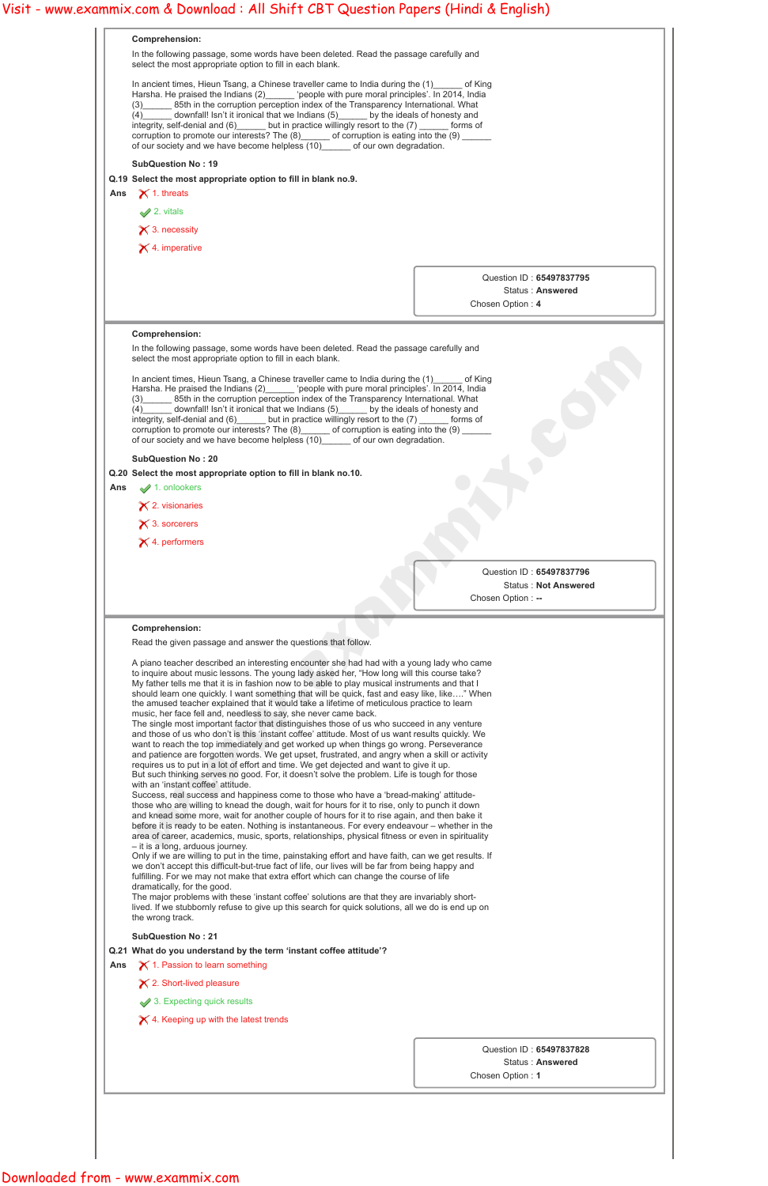|     | <b>Comprehension:</b><br>In the following passage, some words have been deleted. Read the passage carefully and<br>select the most appropriate option to fill in each blank.                                                                                                                                                                                                                                                                                                                                                                                                                                                                              |                                                         |
|-----|-----------------------------------------------------------------------------------------------------------------------------------------------------------------------------------------------------------------------------------------------------------------------------------------------------------------------------------------------------------------------------------------------------------------------------------------------------------------------------------------------------------------------------------------------------------------------------------------------------------------------------------------------------------|---------------------------------------------------------|
|     | In ancient times, Hieun Tsang, a Chinese traveller came to India during the (1) on the King<br>Harsha. He praised the Indians (2) ______ 'people with pure moral principles'. In 2014, India<br>(3) 85th in the corruption perception index of the Transparency International. What<br>downfall! Isn't it ironical that we Indians (5) _____ by the ideals of honesty and<br>integrity, self-denial and (6) but in practice willingly resort to the (7) forms of<br>corruption to promote our interests? The (8) ______ of corruption is eating into the (9) ______<br>of our society and we have become helpless (10) ______ of our own degradation.     |                                                         |
|     | <b>SubQuestion No: 19</b>                                                                                                                                                                                                                                                                                                                                                                                                                                                                                                                                                                                                                                 |                                                         |
|     | Q.19 Select the most appropriate option to fill in blank no.9.                                                                                                                                                                                                                                                                                                                                                                                                                                                                                                                                                                                            |                                                         |
|     | Ans $\bigtimes$ 1. threats                                                                                                                                                                                                                                                                                                                                                                                                                                                                                                                                                                                                                                |                                                         |
|     | $\blacktriangleright$ 2. vitals                                                                                                                                                                                                                                                                                                                                                                                                                                                                                                                                                                                                                           |                                                         |
|     | $\times$ 3. necessity                                                                                                                                                                                                                                                                                                                                                                                                                                                                                                                                                                                                                                     |                                                         |
|     | $\times$ 4. imperative                                                                                                                                                                                                                                                                                                                                                                                                                                                                                                                                                                                                                                    |                                                         |
|     |                                                                                                                                                                                                                                                                                                                                                                                                                                                                                                                                                                                                                                                           | Question ID: 65497837795<br>Status: Answered            |
|     |                                                                                                                                                                                                                                                                                                                                                                                                                                                                                                                                                                                                                                                           | Chosen Option: 4                                        |
|     | <b>Comprehension:</b>                                                                                                                                                                                                                                                                                                                                                                                                                                                                                                                                                                                                                                     |                                                         |
|     | In the following passage, some words have been deleted. Read the passage carefully and<br>select the most appropriate option to fill in each blank.                                                                                                                                                                                                                                                                                                                                                                                                                                                                                                       |                                                         |
|     | In ancient times, Hieun Tsang, a Chinese traveller came to India during the (1) of King<br>Harsha. He praised the Indians (2) (people with pure moral principles'. In 2014, India<br>85th in the corruption perception index of the Transparency International. What<br>(3)<br>downfall! Isn't it ironical that we Indians (5) by the ideals of honesty and<br>(4)<br>integrity, self-denial and (6) but in practice willingly resort to the (7) forms of<br>corruption to promote our interests? The (8) ______ of corruption is eating into the (9) __<br>of our society and we have become helpless $(10)$ of our own degradation.                     |                                                         |
|     | <b>SubQuestion No: 20</b>                                                                                                                                                                                                                                                                                                                                                                                                                                                                                                                                                                                                                                 |                                                         |
|     | Q.20 Select the most appropriate option to fill in blank no.10.                                                                                                                                                                                                                                                                                                                                                                                                                                                                                                                                                                                           |                                                         |
| Ans | $\blacktriangleright$ 1. onlookers                                                                                                                                                                                                                                                                                                                                                                                                                                                                                                                                                                                                                        |                                                         |
|     | $\times$ 2. visionaries                                                                                                                                                                                                                                                                                                                                                                                                                                                                                                                                                                                                                                   |                                                         |
|     | $\times$ 3. sorcerers                                                                                                                                                                                                                                                                                                                                                                                                                                                                                                                                                                                                                                     |                                                         |
|     | $\times$ 4. performers                                                                                                                                                                                                                                                                                                                                                                                                                                                                                                                                                                                                                                    |                                                         |
|     |                                                                                                                                                                                                                                                                                                                                                                                                                                                                                                                                                                                                                                                           |                                                         |
|     |                                                                                                                                                                                                                                                                                                                                                                                                                                                                                                                                                                                                                                                           | Question ID: 65497837796<br><b>Status: Not Answered</b> |
|     |                                                                                                                                                                                                                                                                                                                                                                                                                                                                                                                                                                                                                                                           | Chosen Option: --                                       |
|     | <b>Comprehension:</b>                                                                                                                                                                                                                                                                                                                                                                                                                                                                                                                                                                                                                                     |                                                         |
|     | Read the given passage and answer the questions that follow.                                                                                                                                                                                                                                                                                                                                                                                                                                                                                                                                                                                              |                                                         |
|     | A piano teacher described an interesting encounter she had had with a young lady who came<br>to inquire about music lessons. The young lady asked her, "How long will this course take?<br>My father tells me that it is in fashion now to be able to play musical instruments and that I<br>should learn one quickly. I want something that will be quick, fast and easy like, like" When<br>the amused teacher explained that it would take a lifetime of meticulous practice to learn<br>music, her face fell and, needless to say, she never came back.<br>The single most important factor that distinguishes those of us who succeed in any venture |                                                         |
|     | and those of us who don't is this 'instant coffee' attitude. Most of us want results quickly. We<br>want to reach the top immediately and get worked up when things go wrong. Perseverance<br>and patience are forgotten words. We get upset, frustrated, and angry when a skill or activity<br>requires us to put in a lot of effort and time. We get dejected and want to give it up.<br>But such thinking serves no good. For, it doesn't solve the problem. Life is tough for those                                                                                                                                                                   |                                                         |
|     | with an 'instant coffee' attitude.<br>Success, real success and happiness come to those who have a 'bread-making' attitude-<br>those who are willing to knead the dough, wait for hours for it to rise, only to punch it down<br>and knead some more, wait for another couple of hours for it to rise again, and then bake it                                                                                                                                                                                                                                                                                                                             |                                                         |
|     | before it is ready to be eaten. Nothing is instantaneous. For every endeavour - whether in the<br>area of career, academics, music, sports, relationships, physical fitness or even in spirituality<br>- it is a long, arduous journey.                                                                                                                                                                                                                                                                                                                                                                                                                   |                                                         |

fulfilling. For we may not make that extra effort which can change the course of life dramatically, for the good. The major problems with these 'instant coffee' solutions are that they are invariably shortlived. If we stubbornly refuse to give up this search for quick solutions, all we do is end up on

the wrong track.

**SubQuestion No : 21**

**Q.21 What do you understand by the term 'instant coffee attitude'?**

Ans  $\bigtimes$  1. Passion to learn something

 $\times$  2. Short-lived pleasure

3. Expecting quick results

 $\times$  4. Keeping up with the latest trends

Question ID : **65497837828**

Status : **Answered**

Chosen Option : **1**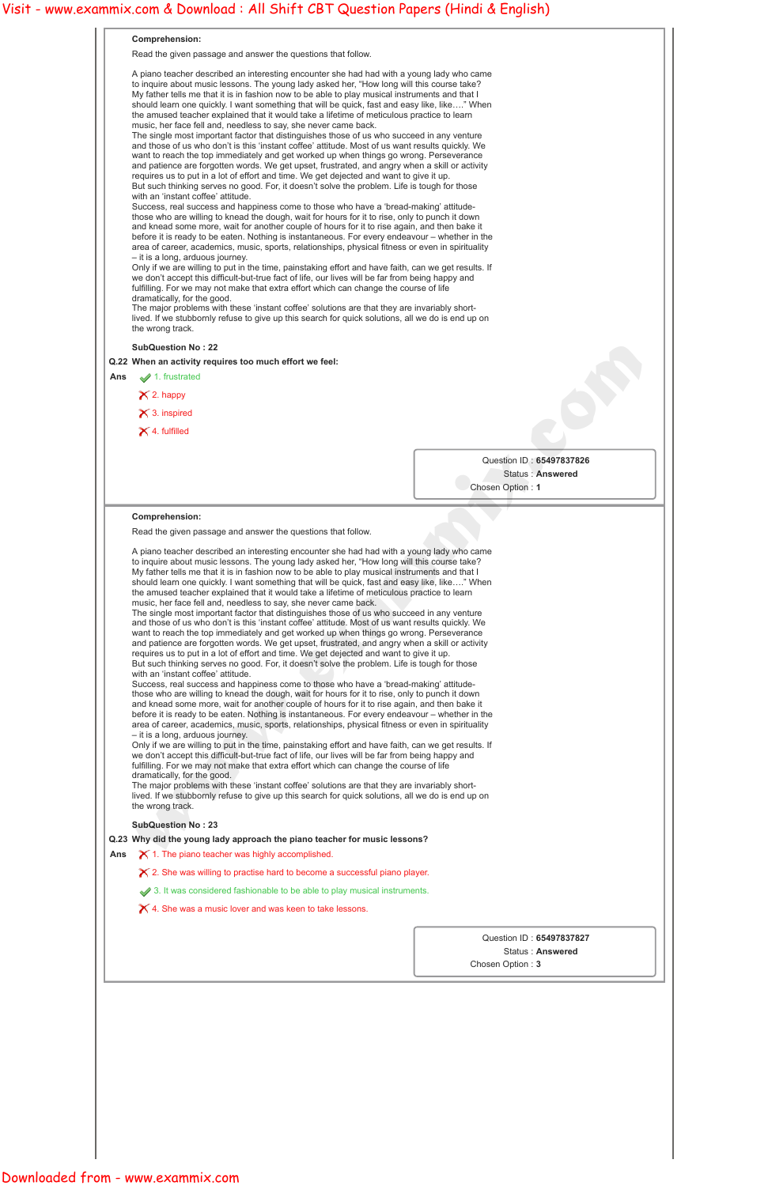Read the given passage and answer the questions that follow.

A piano teacher described an interesting encounter she had had with a young lady who came to inquire about music lessons. The young lady asked her, "How long will this course take? My father tells me that it is in fashion now to be able to play musical instruments and that I should learn one quickly. I want something that will be quick, fast and easy like, like...." When the amused teacher explained that it would take a lifetime of meticulous practice to learn music, her face fell and, needless to say, she never came back.

The single most important factor that distinguishes those of us who succeed in any venture and those of us who don't is this 'instant coffee' attitude. Most of us want results quickly. We want to reach the top immediately and get worked up when things go wrong. Perseverance and patience are forgotten words. We get upset, frustrated, and angry when a skill or activity requires us to put in a lot of effort and time. We get dejected and want to give it up. But such thinking serves no good. For, it doesn't solve the problem. Life is tough for those with an 'instant coffee' attitude.

Success, real success and happiness come to those who have a 'bread-making' attitudethose who are willing to knead the dough, wait for hours for it to rise, only to punch it down and knead some more, wait for another couple of hours for it to rise again, and then bake it before it is ready to be eaten. Nothing is instantaneous. For every endeavour – whether in the area of career, academics, music, sports, relationships, physical fitness or even in spirituality – it is a long, arduous journey.

The single most important factor that distinguishes those of us who succeed in any venture and those of us who don't is this 'instant coffee' attitude. Most of us want results quickly. We want to reach the top immediately and get worked up when things go wrong. Perseverance and patience are forgotten words. We get upset, frustrated, and angry when a skill or activity requires us to put in a lot of effort and time. We get dejected and want to give it up. But such thinking serves no good. For, it doesn't solve the problem. Life is tough for those with an 'instant coffee' attitude. **Yestic - www.exammix.com Visit - www.exammix.com Apple 19 Constitute The Constitution Constitution Papers (Hindi & English)<br>
An archive of the company of the company of the company of the company of the company of the co** 

Only if we are willing to put in the time, painstaking effort and have faith, can we get results. If we don't accept this difficult-but-true fact of life, our lives will be far from being happy and fulfilling. For we may not make that extra effort which can change the course of life dramatically, for the good.

The major problems with these 'instant coffee' solutions are that they are invariably shortlived. If we stubbornly refuse to give up this search for quick solutions, all we do is end up on the wrong track.

## **SubQuestion No : 22**

**Q.22 When an activity requires too much effort we feel:**

- **Ans** 1. frustrated
	- $\times$  2. happy
	- $\times$  3. inspired
	- $\times$  4. fulfilled

Question ID : **65497837826** Status : **Answered** Chosen Option : **1**

## **Comprehension:**

Read the given passage and answer the questions that follow.

A piano teacher described an interesting encounter she had had with a young lady who came to inquire about music lessons. The young lady asked her, "How long will this course take? My father tells me that it is in fashion now to be able to play musical instruments and that I should learn one quickly. I want something that will be quick, fast and easy like, like…." When the amused teacher explained that it would take a lifetime of meticulous practice to learn music, her face fell and, needless to say, she never came back.

Success, real success and happiness come to those who have a 'bread-making' attitudethose who are willing to knead the dough, wait for hours for it to rise, only to punch it down and knead some more, wait for another couple of hours for it to rise again, and then bake it before it is ready to be eaten. Nothing is instantaneous. For every endeavour – whether in the area of career, academics, music, sports, relationships, physical fitness or even in spirituality – it is a long, arduous journey.

Only if we are willing to put in the time, painstaking effort and have faith, can we get results. If we don't accept this difficult-but-true fact of life, our lives will be far from being happy and fulfilling. For we may not make that extra effort which can change the course of life dramatically, for the good.

The major problems with these 'instant coffee' solutions are that they are invariably shortlived. If we stubbornly refuse to give up this search for quick solutions, all we do is end up on the wrong track.

# **SubQuestion No : 23**

**Q.23 Why did the young lady approach the piano teacher for music lessons?**

- Ans  $\boldsymbol{\times}$  1. The piano teacher was highly accomplished.
	-

 $\blacktriangleright$  2. She was willing to practise hard to become a successful piano player.

3. It was considered fashionable to be able to play musical instruments.

 $\times$  4. She was a music lover and was keen to take lessons.

Question ID : **65497837827**

Status : **Answered**

Chosen Option : **3**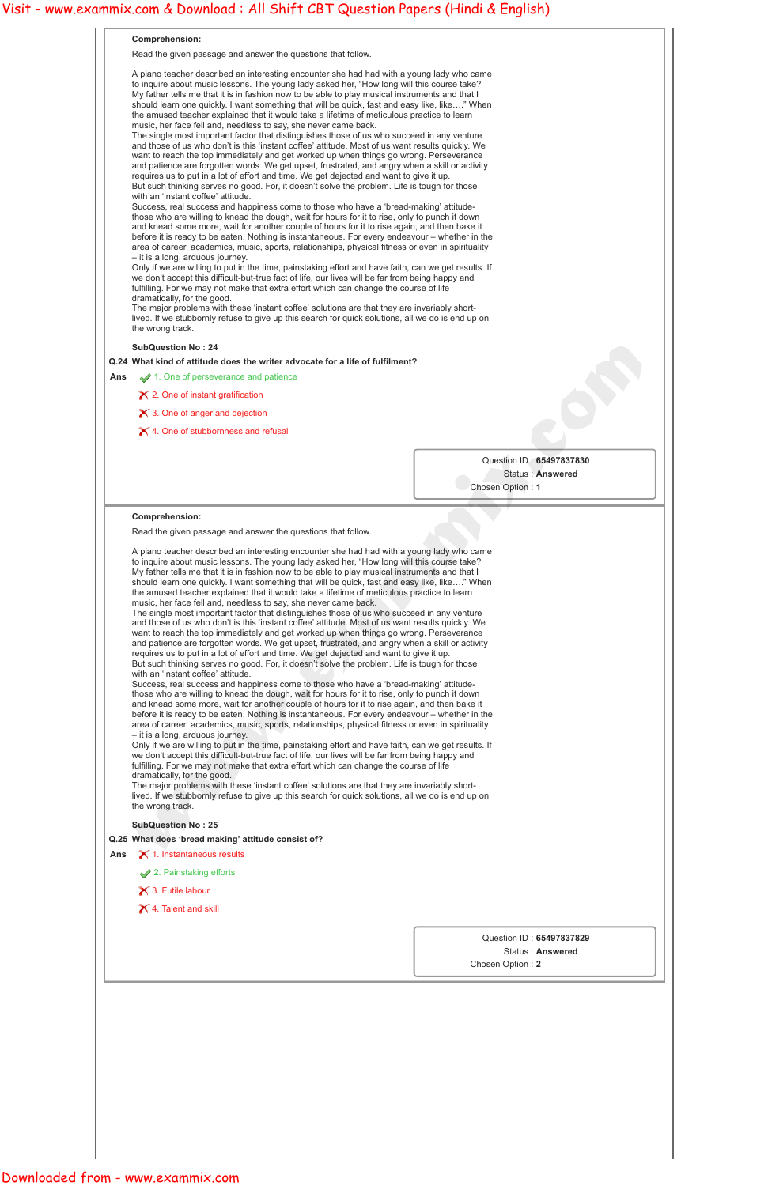Read the given passage and answer the questions that follow.

A piano teacher described an interesting encounter she had had with a young lady who came to inquire about music lessons. The young lady asked her, "How long will this course take? My father tells me that it is in fashion now to be able to play musical instruments and that I should learn one quickly. I want something that will be quick, fast and easy like, like...." When the amused teacher explained that it would take a lifetime of meticulous practice to learn music, her face fell and, needless to say, she never came back.

The single most important factor that distinguishes those of us who succeed in any venture and those of us who don't is this 'instant coffee' attitude. Most of us want results quickly. We want to reach the top immediately and get worked up when things go wrong. Perseverance and patience are forgotten words. We get upset, frustrated, and angry when a skill or activity requires us to put in a lot of effort and time. We get dejected and want to give it up. But such thinking serves no good. For, it doesn't solve the problem. Life is tough for those with an 'instant coffee' attitude.

Success, real success and happiness come to those who have a 'bread-making' attitudethose who are willing to knead the dough, wait for hours for it to rise, only to punch it down and knead some more, wait for another couple of hours for it to rise again, and then bake it before it is ready to be eaten. Nothing is instantaneous. For every endeavour – whether in the area of career, academics, music, sports, relationships, physical fitness or even in spirituality – it is a long, arduous journey.

The single most important factor that distinguishes those of us who succeed in any venture and those of us who don't is this 'instant coffee' attitude. Most of us want results quickly. We want to reach the top immediately and get worked up when things go wrong. Perseverance and patience are forgotten words. We get upset, frustrated, and angry when a skill or activity requires us to put in a lot of effort and time. We get dejected and want to give it up. But such thinking serves no good. For, it doesn't solve the problem. Life is tough for those with an 'instant coffee' attitude. **Yestic - www.exammix.com Visit - www.exammix.com Apple 19 Constitute Companion in the companion of the companion of the companion of the companion of the companion of the companion of the companion of the companion of th** 

Only if we are willing to put in the time, painstaking effort and have faith, can we get results. If we don't accept this difficult-but-true fact of life, our lives will be far from being happy and fulfilling. For we may not make that extra effort which can change the course of life dramatically, for the good.

The major problems with these 'instant coffee' solutions are that they are invariably shortlived. If we stubbornly refuse to give up this search for quick solutions, all we do is end up on the wrong track.

## **SubQuestion No : 24**

**Q.24 What kind of attitude does the writer advocate for a life of fulfilment?**

- **Ans**  $\sqrt{1}$ . One of perseverance and patience
	- $\boldsymbol{\times}$  2. One of instant gratification
	- X 3. One of anger and dejection
	- $\times$  4. One of stubbornness and refusal

Question ID : **65497837830** Status : **Answered** Chosen Option : **1**

## **Comprehension:**

Read the given passage and answer the questions that follow.

A piano teacher described an interesting encounter she had had with a young lady who came to inquire about music lessons. The young lady asked her, "How long will this course take? My father tells me that it is in fashion now to be able to play musical instruments and that I should learn one quickly. I want something that will be quick, fast and easy like, like…." When the amused teacher explained that it would take a lifetime of meticulous practice to learn music, her face fell and, needless to say, she never came back.

Success, real success and happiness come to those who have a 'bread-making' attitudethose who are willing to knead the dough, wait for hours for it to rise, only to punch it down and knead some more, wait for another couple of hours for it to rise again, and then bake it before it is ready to be eaten. Nothing is instantaneous. For every endeavour – whether in the area of career, academics, music, sports, relationships, physical fitness or even in spirituality – it is a long, arduous journey.

Only if we are willing to put in the time, painstaking effort and have faith, can we get results. If we don't accept this difficult-but-true fact of life, our lives will be far from being happy and fulfilling. For we may not make that extra effort which can change the course of life dramatically, for the good.

The major problems with these 'instant coffee' solutions are that they are invariably shortlived. If we stubbornly refuse to give up this search for quick solutions, all we do is end up on the wrong track.

# **SubQuestion No : 25**

# **Q.25 What does 'bread making' attitude consist of?**

Ans  $\boldsymbol{\times}$  1. Instantaneous results

|  | 2. Painstaking efforts |  |
|--|------------------------|--|
|--|------------------------|--|

X 3. Futile labour

 $\times$  4. Talent and skill

Question ID : **65497837829**

Status : **Answered**

Chosen Option : **2**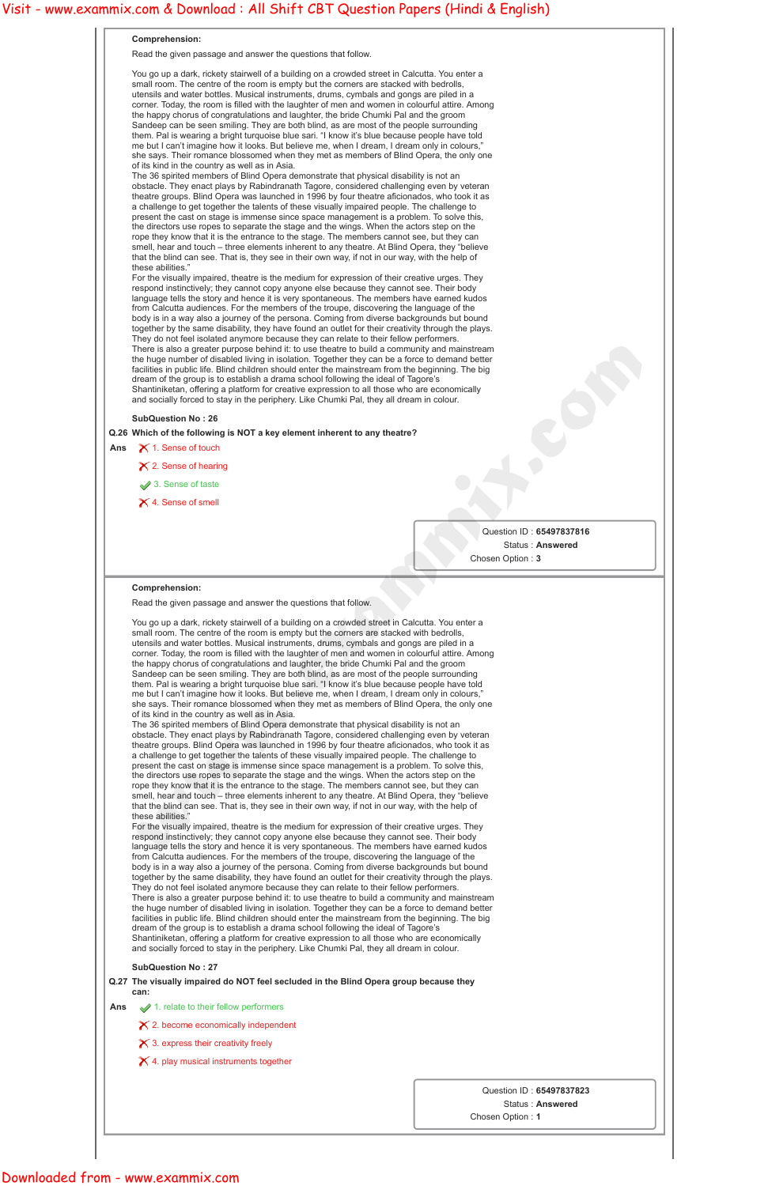Read the given passage and answer the questions that follow.

You go up a dark, rickety stairwell of a building on a crowded street in Calcutta. You enter a small room. The centre of the room is empty but the corners are stacked with bedrolls, utensils and water bottles. Musical instruments, drums, cymbals and gongs are piled in a corner. Today, the room is filled with the laughter of men and women in colourful attire. Among the happy chorus of congratulations and laughter, the bride Chumki Pal and the groom Sandeep can be seen smiling. They are both blind, as are most of the people surrounding them. Pal is wearing a bright turquoise blue sari. "I know it's blue because people have told me but I can't imagine how it looks. But believe me, when I dream, I dream only in colours," she says. Their romance blossomed when they met as members of Blind Opera, the only one of its kind in the country as well as in Asia.

For the visually impaired, theatre is the medium for expression of their creative urges. They respond instinctively; they cannot copy anyone else because they cannot see. Their body language tells the story and hence it is very spontaneous. The members have earned kudos from Calcutta audiences. For the members of the troupe, discovering the language of the body is in a way also a journey of the persona. Coming from diverse backgrounds but bound together by the same disability, they have found an outlet for their creativity through the plays. They do not feel isolated anymore because they can relate to their fellow performers. There is also a greater purpose behind it: to use theatre to build a community and mainstream the huge number of disabled living in isolation. Together they can be a force to demand better facilities in public life. Blind children should enter the mainstream from the beginning. The big dream of the group is to establish a drama school following the ideal of Tagore's Shantiniketan, offering a platform for creative expression to all those who are economically and socially forced to stay in the periphery. Like Chumki Pal, they all dream in colour. **Yesti - www.exammix.com Visit - www.exammix.com Apple 10 Constitute Constitute Constitute Constitute Constitute Constitute Constitute Constitute Constitute Constitute Constitute Constitute Constitute Constitute Constitut** 

The 36 spirited members of Blind Opera demonstrate that physical disability is not an obstacle. They enact plays by Rabindranath Tagore, considered challenging even by veteran theatre groups. Blind Opera was launched in 1996 by four theatre aficionados, who took it as a challenge to get together the talents of these visually impaired people. The challenge to present the cast on stage is immense since space management is a problem. To solve this, the directors use ropes to separate the stage and the wings. When the actors step on the rope they know that it is the entrance to the stage. The members cannot see, but they can smell, hear and touch – three elements inherent to any theatre. At Blind Opera, they "believe that the blind can see. That is, they see in their own way, if not in our way, with the help of these abilities."

## **SubQuestion No : 26**

**Q.26 Which of the following is NOT a key element inherent to any theatre?**

- Ans  $\bigtimes$  1. Sense of touch
	- 2. Sense of hearing
	- 3. Sense of taste
	- $\times$  4. Sense of smell

- **Q.27 The visually impaired do NOT feel secluded in the Blind Opera group because they can:**
- **Ans**  $\bullet$  1. relate to their fellow performers
	- $\boldsymbol{\times}$  2. become economically independent
	- $\boldsymbol{\times}$  3. express their creativity freely
	- $\times$  4. play musical instruments together

Question ID : **65497837816** Status : **Answered** Chosen Option : **3**

## **Comprehension:**

Read the given passage and answer the questions that follow.

You go up a dark, rickety stairwell of a building on a crowded street in Calcutta. You enter a small room. The centre of the room is empty but the corners are stacked with bedrolls, utensils and water bottles. Musical instruments, drums, cymbals and gongs are piled in a corner. Today, the room is filled with the laughter of men and women in colourful attire. Among the happy chorus of congratulations and laughter, the bride Chumki Pal and the groom Sandeep can be seen smiling. They are both blind, as are most of the people surrounding them. Pal is wearing a bright turquoise blue sari. "I know it's blue because people have told me but I can't imagine how it looks. But believe me, when I dream, I dream only in colours," she says. Their romance blossomed when they met as members of Blind Opera, the only one of its kind in the country as well as in Asia.

The 36 spirited members of Blind Opera demonstrate that physical disability is not an obstacle. They enact plays by Rabindranath Tagore, considered challenging even by veteran theatre groups. Blind Opera was launched in 1996 by four theatre aficionados, who took it as a challenge to get together the talents of these visually impaired people. The challenge to present the cast on stage is immense since space management is a problem. To solve this, the directors use ropes to separate the stage and the wings. When the actors step on the rope they know that it is the entrance to the stage. The members cannot see, but they can smell, hear and touch – three elements inherent to any theatre. At Blind Opera, they "believe that the blind can see. That is, they see in their own way, if not in our way, with the help of these abilities."

For the visually impaired, theatre is the medium for expression of their creative urges. They respond instinctively; they cannot copy anyone else because they cannot see. Their body language tells the story and hence it is very spontaneous. The members have earned kudos from Calcutta audiences. For the members of the troupe, discovering the language of the body is in a way also a journey of the persona. Coming from diverse backgrounds but bound together by the same disability, they have found an outlet for their creativity through the plays. They do not feel isolated anymore because they can relate to their fellow performers. There is also a greater purpose behind it: to use theatre to build a community and mainstream the huge number of disabled living in isolation. Together they can be a force to demand better facilities in public life. Blind children should enter the mainstream from the beginning. The big dream of the group is to establish a drama school following the ideal of Tagore's Shantiniketan, offering a platform for creative expression to all those who are economically and socially forced to stay in the periphery. Like Chumki Pal, they all dream in colour.

# **SubQuestion No : 27**

Question ID : **65497837823**

Status : **Answered**

Chosen Option : **1**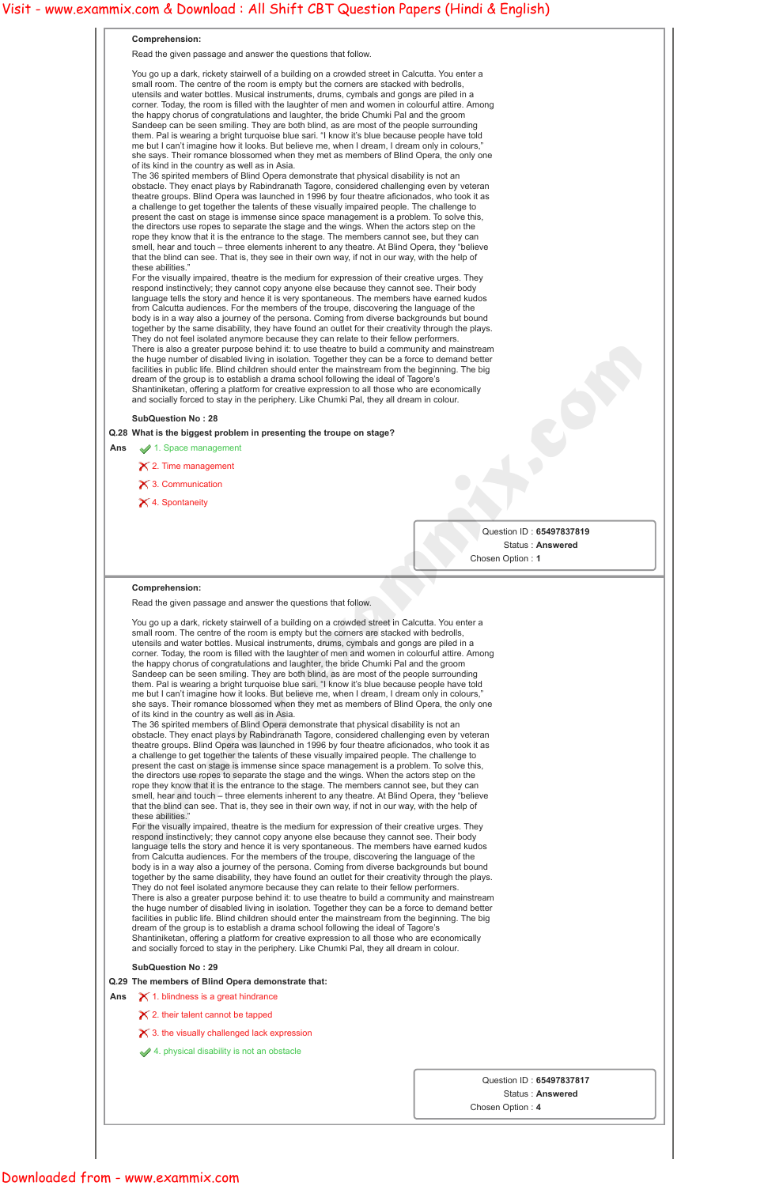Read the given passage and answer the questions that follow.

You go up a dark, rickety stairwell of a building on a crowded street in Calcutta. You enter a small room. The centre of the room is empty but the corners are stacked with bedrolls, utensils and water bottles. Musical instruments, drums, cymbals and gongs are piled in a corner. Today, the room is filled with the laughter of men and women in colourful attire. Among the happy chorus of congratulations and laughter, the bride Chumki Pal and the groom Sandeep can be seen smiling. They are both blind, as are most of the people surrounding them. Pal is wearing a bright turquoise blue sari. "I know it's blue because people have told me but I can't imagine how it looks. But believe me, when I dream, I dream only in colours," she says. Their romance blossomed when they met as members of Blind Opera, the only one of its kind in the country as well as in Asia.

For the visually impaired, theatre is the medium for expression of their creative urges. They respond instinctively; they cannot copy anyone else because they cannot see. Their body language tells the story and hence it is very spontaneous. The members have earned kudos from Calcutta audiences. For the members of the troupe, discovering the language of the body is in a way also a journey of the persona. Coming from diverse backgrounds but bound together by the same disability, they have found an outlet for their creativity through the plays. They do not feel isolated anymore because they can relate to their fellow performers. There is also a greater purpose behind it: to use theatre to build a community and mainstream the huge number of disabled living in isolation. Together they can be a force to demand better facilities in public life. Blind children should enter the mainstream from the beginning. The big dream of the group is to establish a drama school following the ideal of Tagore's Shantiniketan, offering a platform for creative expression to all those who are economically and socially forced to stay in the periphery. Like Chumki Pal, they all dream in colour. **Yesti - www.exammix.com Visit - www.exammix.com Apple 10 Constitute Constitute Constitute Constitute Constitute Constitute Constitute Constitute Constitute Constitute Constitute Constitute Constitute Constitute Constitut** 

The 36 spirited members of Blind Opera demonstrate that physical disability is not an obstacle. They enact plays by Rabindranath Tagore, considered challenging even by veteran theatre groups. Blind Opera was launched in 1996 by four theatre aficionados, who took it as a challenge to get together the talents of these visually impaired people. The challenge to present the cast on stage is immense since space management is a problem. To solve this, the directors use ropes to separate the stage and the wings. When the actors step on the rope they know that it is the entrance to the stage. The members cannot see, but they can smell, hear and touch – three elements inherent to any theatre. At Blind Opera, they "believe that the blind can see. That is, they see in their own way, if not in our way, with the help of these abilities."

## **SubQuestion No : 28**

# **Q.28 What is the biggest problem in presenting the troupe on stage?**

- Ans  $\sqrt{1}$ . Space management
	- $\times$  2. Time management
		- 3. Communication
	- $\times$  4. Spontaneity

- **Q.29 The members of Blind Opera demonstrate that:**
- Ans  $\mathsf{\tilde{X}}$  1. blindness is a great hindrance
	- $\boldsymbol{\times}$  2. their talent cannot be tapped
	- $\boldsymbol{\times}$  3. the visually challenged lack expression
	- $\blacktriangleright$  4. physical disability is not an obstacle

Question ID : **65497837819** Status : **Answered** Chosen Option : **1**

## **Comprehension:**

Read the given passage and answer the questions that follow.

You go up a dark, rickety stairwell of a building on a crowded street in Calcutta. You enter a small room. The centre of the room is empty but the corners are stacked with bedrolls, utensils and water bottles. Musical instruments, drums, cymbals and gongs are piled in a corner. Today, the room is filled with the laughter of men and women in colourful attire. Among the happy chorus of congratulations and laughter, the bride Chumki Pal and the groom Sandeep can be seen smiling. They are both blind, as are most of the people surrounding them. Pal is wearing a bright turquoise blue sari. "I know it's blue because people have told me but I can't imagine how it looks. But believe me, when I dream, I dream only in colours," she says. Their romance blossomed when they met as members of Blind Opera, the only one of its kind in the country as well as in Asia.

The 36 spirited members of Blind Opera demonstrate that physical disability is not an obstacle. They enact plays by Rabindranath Tagore, considered challenging even by veteran theatre groups. Blind Opera was launched in 1996 by four theatre aficionados, who took it as a challenge to get together the talents of these visually impaired people. The challenge to present the cast on stage is immense since space management is a problem. To solve this, the directors use ropes to separate the stage and the wings. When the actors step on the rope they know that it is the entrance to the stage. The members cannot see, but they can smell, hear and touch – three elements inherent to any theatre. At Blind Opera, they "believe that the blind can see. That is, they see in their own way, if not in our way, with the help of these abilities."

For the visually impaired, theatre is the medium for expression of their creative urges. They respond instinctively; they cannot copy anyone else because they cannot see. Their body language tells the story and hence it is very spontaneous. The members have earned kudos from Calcutta audiences. For the members of the troupe, discovering the language of the body is in a way also a journey of the persona. Coming from diverse backgrounds but bound together by the same disability, they have found an outlet for their creativity through the plays. They do not feel isolated anymore because they can relate to their fellow performers. There is also a greater purpose behind it: to use theatre to build a community and mainstream the huge number of disabled living in isolation. Together they can be a force to demand better facilities in public life. Blind children should enter the mainstream from the beginning. The big dream of the group is to establish a drama school following the ideal of Tagore's Shantiniketan, offering a platform for creative expression to all those who are economically and socially forced to stay in the periphery. Like Chumki Pal, they all dream in colour.

**SubQuestion No : 29**

Question ID : **65497837817**

Status : **Answered**

Chosen Option : **4**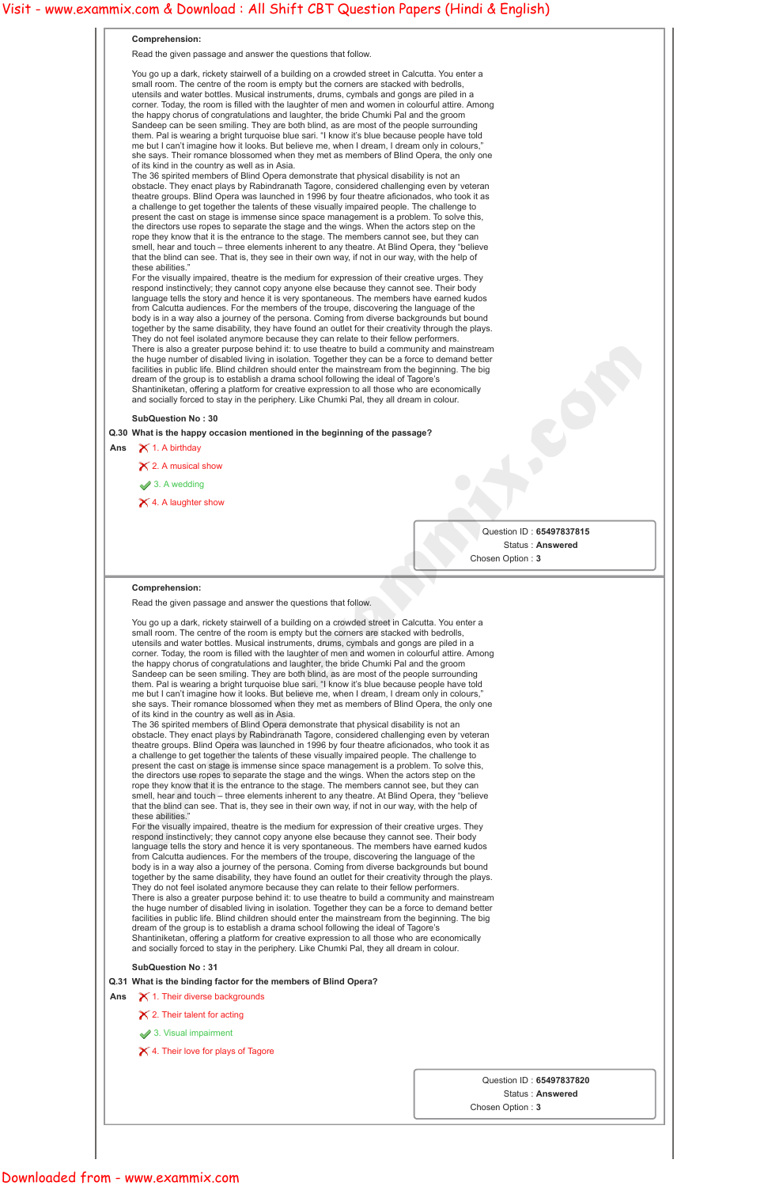Read the given passage and answer the questions that follow.

You go up a dark, rickety stairwell of a building on a crowded street in Calcutta. You enter a small room. The centre of the room is empty but the corners are stacked with bedrolls, utensils and water bottles. Musical instruments, drums, cymbals and gongs are piled in a corner. Today, the room is filled with the laughter of men and women in colourful attire. Among the happy chorus of congratulations and laughter, the bride Chumki Pal and the groom Sandeep can be seen smiling. They are both blind, as are most of the people surrounding them. Pal is wearing a bright turquoise blue sari. "I know it's blue because people have told me but I can't imagine how it looks. But believe me, when I dream, I dream only in colours," she says. Their romance blossomed when they met as members of Blind Opera, the only one of its kind in the country as well as in Asia.

For the visually impaired, theatre is the medium for expression of their creative urges. They respond instinctively; they cannot copy anyone else because they cannot see. Their body language tells the story and hence it is very spontaneous. The members have earned kudos from Calcutta audiences. For the members of the troupe, discovering the language of the body is in a way also a journey of the persona. Coming from diverse backgrounds but bound together by the same disability, they have found an outlet for their creativity through the plays. They do not feel isolated anymore because they can relate to their fellow performers. There is also a greater purpose behind it: to use theatre to build a community and mainstream the huge number of disabled living in isolation. Together they can be a force to demand better facilities in public life. Blind children should enter the mainstream from the beginning. The big dream of the group is to establish a drama school following the ideal of Tagore's Shantiniketan, offering a platform for creative expression to all those who are economically and socially forced to stay in the periphery. Like Chumki Pal, they all dream in colour. **Yesti - www.exammix.com Visit - www.exammix.com Apple 10 Constitute Constitute Constitute Constitute Constitute Constitute Constitute Constitute Constitute Constitute Constitute Constitute Constitute Constitute Constitut** 

The 36 spirited members of Blind Opera demonstrate that physical disability is not an obstacle. They enact plays by Rabindranath Tagore, considered challenging even by veteran theatre groups. Blind Opera was launched in 1996 by four theatre aficionados, who took it as a challenge to get together the talents of these visually impaired people. The challenge to present the cast on stage is immense since space management is a problem. To solve this, the directors use ropes to separate the stage and the wings. When the actors step on the rope they know that it is the entrance to the stage. The members cannot see, but they can smell, hear and touch – three elements inherent to any theatre. At Blind Opera, they "believe that the blind can see. That is, they see in their own way, if not in our way, with the help of these abilities."

**SubQuestion No : 30**

# **Q.30 What is the happy occasion mentioned in the beginning of the passage?**

# Ans  $\bigtimes$  1. A birthday

 $\times$  2. A musical show

3. A wedding

 $\times$  4. A laughter show

Question ID : **65497837815** Status : **Answered** Chosen Option : **3**

## **Comprehension:**

Read the given passage and answer the questions that follow.

You go up a dark, rickety stairwell of a building on a crowded street in Calcutta. You enter a small room. The centre of the room is empty but the corners are stacked with bedrolls, utensils and water bottles. Musical instruments, drums, cymbals and gongs are piled in a corner. Today, the room is filled with the laughter of men and women in colourful attire. Among the happy chorus of congratulations and laughter, the bride Chumki Pal and the groom Sandeep can be seen smiling. They are both blind, as are most of the people surrounding them. Pal is wearing a bright turquoise blue sari. "I know it's blue because people have told me but I can't imagine how it looks. But believe me, when I dream, I dream only in colours," she says. Their romance blossomed when they met as members of Blind Opera, the only one of its kind in the country as well as in Asia.

The 36 spirited members of Blind Opera demonstrate that physical disability is not an obstacle. They enact plays by Rabindranath Tagore, considered challenging even by veteran theatre groups. Blind Opera was launched in 1996 by four theatre aficionados, who took it as a challenge to get together the talents of these visually impaired people. The challenge to present the cast on stage is immense since space management is a problem. To solve this, the directors use ropes to separate the stage and the wings. When the actors step on the rope they know that it is the entrance to the stage. The members cannot see, but they can smell, hear and touch – three elements inherent to any theatre. At Blind Opera, they "believe that the blind can see. That is, they see in their own way, if not in our way, with the help of these abilities."

For the visually impaired, theatre is the medium for expression of their creative urges. They respond instinctively; they cannot copy anyone else because they cannot see. Their body language tells the story and hence it is very spontaneous. The members have earned kudos from Calcutta audiences. For the members of the troupe, discovering the language of the body is in a way also a journey of the persona. Coming from diverse backgrounds but bound together by the same disability, they have found an outlet for their creativity through the plays. They do not feel isolated anymore because they can relate to their fellow performers. There is also a greater purpose behind it: to use theatre to build a community and mainstream the huge number of disabled living in isolation. Together they can be a force to demand better facilities in public life. Blind children should enter the mainstream from the beginning. The big dream of the group is to establish a drama school following the ideal of Tagore's Shantiniketan, offering a platform for creative expression to all those who are economically and socially forced to stay in the periphery. Like Chumki Pal, they all dream in colour.

**SubQuestion No : 31**

**Q.31 What is the binding factor for the members of Blind Opera?**

Ans  $\bigtimes$  1. Their diverse backgrounds

 $\times$  2. Their talent for acting

3. Visual impairment

 $\blacktriangleright$  4. Their love for plays of Tagore

Question ID : **65497837820**

Status : **Answered**

Chosen Option : **3**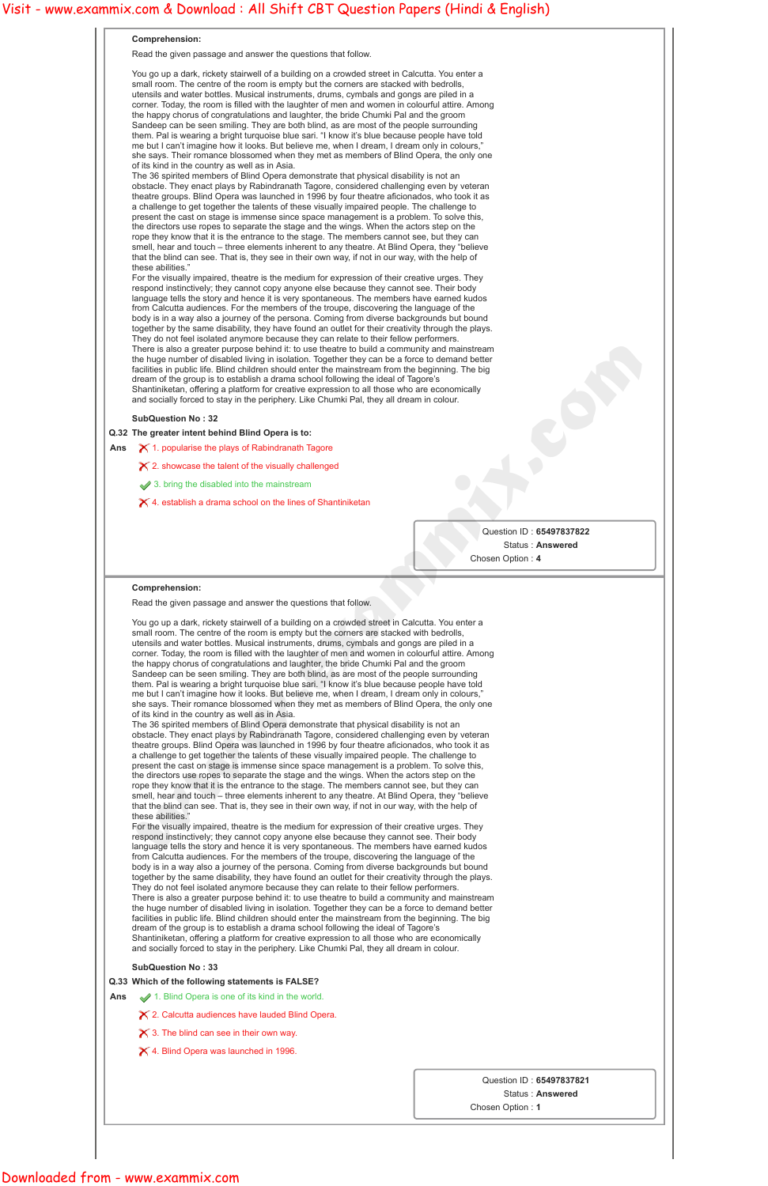Read the given passage and answer the questions that follow.

You go up a dark, rickety stairwell of a building on a crowded street in Calcutta. You enter a small room. The centre of the room is empty but the corners are stacked with bedrolls, utensils and water bottles. Musical instruments, drums, cymbals and gongs are piled in a corner. Today, the room is filled with the laughter of men and women in colourful attire. Among the happy chorus of congratulations and laughter, the bride Chumki Pal and the groom Sandeep can be seen smiling. They are both blind, as are most of the people surrounding them. Pal is wearing a bright turquoise blue sari. "I know it's blue because people have told me but I can't imagine how it looks. But believe me, when I dream, I dream only in colours," she says. Their romance blossomed when they met as members of Blind Opera, the only one of its kind in the country as well as in Asia.

For the visually impaired, theatre is the medium for expression of their creative urges. They respond instinctively; they cannot copy anyone else because they cannot see. Their body language tells the story and hence it is very spontaneous. The members have earned kudos from Calcutta audiences. For the members of the troupe, discovering the language of the body is in a way also a journey of the persona. Coming from diverse backgrounds but bound together by the same disability, they have found an outlet for their creativity through the plays. They do not feel isolated anymore because they can relate to their fellow performers. There is also a greater purpose behind it: to use theatre to build a community and mainstream the huge number of disabled living in isolation. Together they can be a force to demand better facilities in public life. Blind children should enter the mainstream from the beginning. The big dream of the group is to establish a drama school following the ideal of Tagore's Shantiniketan, offering a platform for creative expression to all those who are economically and socially forced to stay in the periphery. Like Chumki Pal, they all dream in colour. **Yesti - www.exammix.com Visit - www.exammix.com & Download : All Shift CBT Question Papers (Hindi & English)**<br> **www.exammix.com Wisit - www.examminx.com Wisit - www.exampix.com & Download international international inte** 

The 36 spirited members of Blind Opera demonstrate that physical disability is not an obstacle. They enact plays by Rabindranath Tagore, considered challenging even by veteran theatre groups. Blind Opera was launched in 1996 by four theatre aficionados, who took it as a challenge to get together the talents of these visually impaired people. The challenge to present the cast on stage is immense since space management is a problem. To solve this, the directors use ropes to separate the stage and the wings. When the actors step on the rope they know that it is the entrance to the stage. The members cannot see, but they can smell, hear and touch – three elements inherent to any theatre. At Blind Opera, they "believe that the blind can see. That is, they see in their own way, if not in our way, with the help of these abilities."

**SubQuestion No : 32**

**Q.32 The greater intent behind Blind Opera is to:**

Ans  $\bigtimes$  1. popularise the plays of Rabindranath Tagore

 $\times$  2. showcase the talent of the visually challenged

- $\blacktriangleright$  3. bring the disabled into the mainstream
- $\times$  4. establish a drama school on the lines of Shantiniketan

Question ID : **65497837822** Status : **Answered** Chosen Option : **4**

## **Comprehension:**

Read the given passage and answer the questions that follow.

You go up a dark, rickety stairwell of a building on a crowded street in Calcutta. You enter a small room. The centre of the room is empty but the corners are stacked with bedrolls, utensils and water bottles. Musical instruments, drums, cymbals and gongs are piled in a corner. Today, the room is filled with the laughter of men and women in colourful attire. Among the happy chorus of congratulations and laughter, the bride Chumki Pal and the groom Sandeep can be seen smiling. They are both blind, as are most of the people surrounding them. Pal is wearing a bright turquoise blue sari. "I know it's blue because people have told me but I can't imagine how it looks. But believe me, when I dream, I dream only in colours," she says. Their romance blossomed when they met as members of Blind Opera, the only one of its kind in the country as well as in Asia.

The 36 spirited members of Blind Opera demonstrate that physical disability is not an obstacle. They enact plays by Rabindranath Tagore, considered challenging even by veteran theatre groups. Blind Opera was launched in 1996 by four theatre aficionados, who took it as a challenge to get together the talents of these visually impaired people. The challenge to present the cast on stage is immense since space management is a problem. To solve this, the directors use ropes to separate the stage and the wings. When the actors step on the rope they know that it is the entrance to the stage. The members cannot see, but they can smell, hear and touch – three elements inherent to any theatre. At Blind Opera, they "believe that the blind can see. That is, they see in their own way, if not in our way, with the help of these abilities."

For the visually impaired, theatre is the medium for expression of their creative urges. They respond instinctively; they cannot copy anyone else because they cannot see. Their body language tells the story and hence it is very spontaneous. The members have earned kudos from Calcutta audiences. For the members of the troupe, discovering the language of the body is in a way also a journey of the persona. Coming from diverse backgrounds but bound together by the same disability, they have found an outlet for their creativity through the plays. They do not feel isolated anymore because they can relate to their fellow performers. There is also a greater purpose behind it: to use theatre to build a community and mainstream the huge number of disabled living in isolation. Together they can be a force to demand better facilities in public life. Blind children should enter the mainstream from the beginning. The big dream of the group is to establish a drama school following the ideal of Tagore's Shantiniketan, offering a platform for creative expression to all those who are economically and socially forced to stay in the periphery. Like Chumki Pal, they all dream in colour.

**SubQuestion No : 33**

**Q.33 Which of the following statements is FALSE?**

**Ans**  $\bullet$  1. Blind Opera is one of its kind in the world.

 $\boldsymbol{\times}$  2. Calcutta audiences have lauded Blind Opera.

 $\boldsymbol{\times}$  3. The blind can see in their own way.

 $\times$  4. Blind Opera was launched in 1996.

Question ID : **65497837821**

Status : **Answered**

Chosen Option : **1**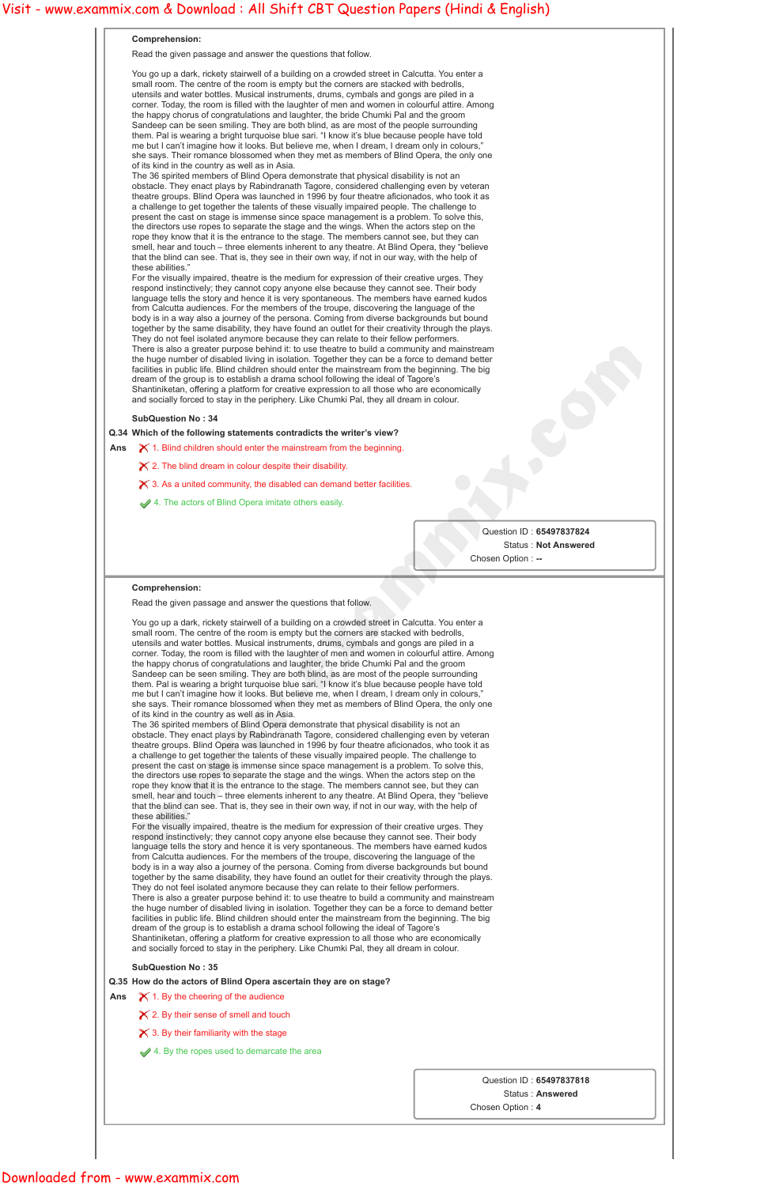Read the given passage and answer the questions that follow.

You go up a dark, rickety stairwell of a building on a crowded street in Calcutta. You enter a small room. The centre of the room is empty but the corners are stacked with bedrolls, utensils and water bottles. Musical instruments, drums, cymbals and gongs are piled in a corner. Today, the room is filled with the laughter of men and women in colourful attire. Among the happy chorus of congratulations and laughter, the bride Chumki Pal and the groom Sandeep can be seen smiling. They are both blind, as are most of the people surrounding them. Pal is wearing a bright turquoise blue sari. "I know it's blue because people have told me but I can't imagine how it looks. But believe me, when I dream, I dream only in colours," she says. Their romance blossomed when they met as members of Blind Opera, the only one of its kind in the country as well as in Asia.

For the visually impaired, theatre is the medium for expression of their creative urges. They respond instinctively; they cannot copy anyone else because they cannot see. Their body language tells the story and hence it is very spontaneous. The members have earned kudos from Calcutta audiences. For the members of the troupe, discovering the language of the body is in a way also a journey of the persona. Coming from diverse backgrounds but bound together by the same disability, they have found an outlet for their creativity through the plays. They do not feel isolated anymore because they can relate to their fellow performers. There is also a greater purpose behind it: to use theatre to build a community and mainstream the huge number of disabled living in isolation. Together they can be a force to demand better facilities in public life. Blind children should enter the mainstream from the beginning. The big dream of the group is to establish a drama school following the ideal of Tagore's Shantiniketan, offering a platform for creative expression to all those who are economically and socially forced to stay in the periphery. Like Chumki Pal, they all dream in colour. **Yesti - www.exammix.com Visit - www.exammix.com Apple 10 Constitute Constitute Constitute Constitute Constitute Constitute Constitute Constitute Constitute Constitute Constitute Constitute Constitute Constitute Constitut** 

The 36 spirited members of Blind Opera demonstrate that physical disability is not an obstacle. They enact plays by Rabindranath Tagore, considered challenging even by veteran theatre groups. Blind Opera was launched in 1996 by four theatre aficionados, who took it as a challenge to get together the talents of these visually impaired people. The challenge to present the cast on stage is immense since space management is a problem. To solve this, the directors use ropes to separate the stage and the wings. When the actors step on the rope they know that it is the entrance to the stage. The members cannot see, but they can smell, hear and touch – three elements inherent to any theatre. At Blind Opera, they "believe that the blind can see. That is, they see in their own way, if not in our way, with the help of these abilities."

- Ans  $\bigtimes$  1. Blind children should enter the mainstream from the beginning.
	- $\boldsymbol{\times}$  2. The blind dream in colour despite their disability.
	- $\boldsymbol{\times}$  3. As a united community, the disabled can demand better facilities.
	- 4. The actors of Blind Opera imitate others easily.

## **SubQuestion No : 34**

**Q.34 Which of the following statements contradicts the writer's view?**

Question ID : **65497837824** Status : **Not Answered** Chosen Option : **--**

## **Comprehension:**

Read the given passage and answer the questions that follow.

You go up a dark, rickety stairwell of a building on a crowded street in Calcutta. You enter a small room. The centre of the room is empty but the corners are stacked with bedrolls, utensils and water bottles. Musical instruments, drums, cymbals and gongs are piled in a corner. Today, the room is filled with the laughter of men and women in colourful attire. Among the happy chorus of congratulations and laughter, the bride Chumki Pal and the groom Sandeep can be seen smiling. They are both blind, as are most of the people surrounding them. Pal is wearing a bright turquoise blue sari. "I know it's blue because people have told me but I can't imagine how it looks. But believe me, when I dream, I dream only in colours," she says. Their romance blossomed when they met as members of Blind Opera, the only one of its kind in the country as well as in Asia.

The 36 spirited members of Blind Opera demonstrate that physical disability is not an obstacle. They enact plays by Rabindranath Tagore, considered challenging even by veteran theatre groups. Blind Opera was launched in 1996 by four theatre aficionados, who took it as a challenge to get together the talents of these visually impaired people. The challenge to present the cast on stage is immense since space management is a problem. To solve this, the directors use ropes to separate the stage and the wings. When the actors step on the rope they know that it is the entrance to the stage. The members cannot see, but they can smell, hear and touch – three elements inherent to any theatre. At Blind Opera, they "believe that the blind can see. That is, they see in their own way, if not in our way, with the help of these abilities."

For the visually impaired, theatre is the medium for expression of their creative urges. They respond instinctively; they cannot copy anyone else because they cannot see. Their body language tells the story and hence it is very spontaneous. The members have earned kudos from Calcutta audiences. For the members of the troupe, discovering the language of the body is in a way also a journey of the persona. Coming from diverse backgrounds but bound together by the same disability, they have found an outlet for their creativity through the plays. They do not feel isolated anymore because they can relate to their fellow performers. There is also a greater purpose behind it: to use theatre to build a community and mainstream the huge number of disabled living in isolation. Together they can be a force to demand better facilities in public life. Blind children should enter the mainstream from the beginning. The big dream of the group is to establish a drama school following the ideal of Tagore's Shantiniketan, offering a platform for creative expression to all those who are economically and socially forced to stay in the periphery. Like Chumki Pal, they all dream in colour.

**SubQuestion No : 35**

**Q.35 How do the actors of Blind Opera ascertain they are on stage?**

Ans  $\mathsf{\tilde{X}}$  1. By the cheering of the audience

 $\times$  2. By their sense of smell and touch

 $\boldsymbol{\times}$  3. By their familiarity with the stage

 $\blacktriangleright$  4. By the ropes used to demarcate the area

Question ID : **65497837818**

Status : **Answered**

Chosen Option : **4**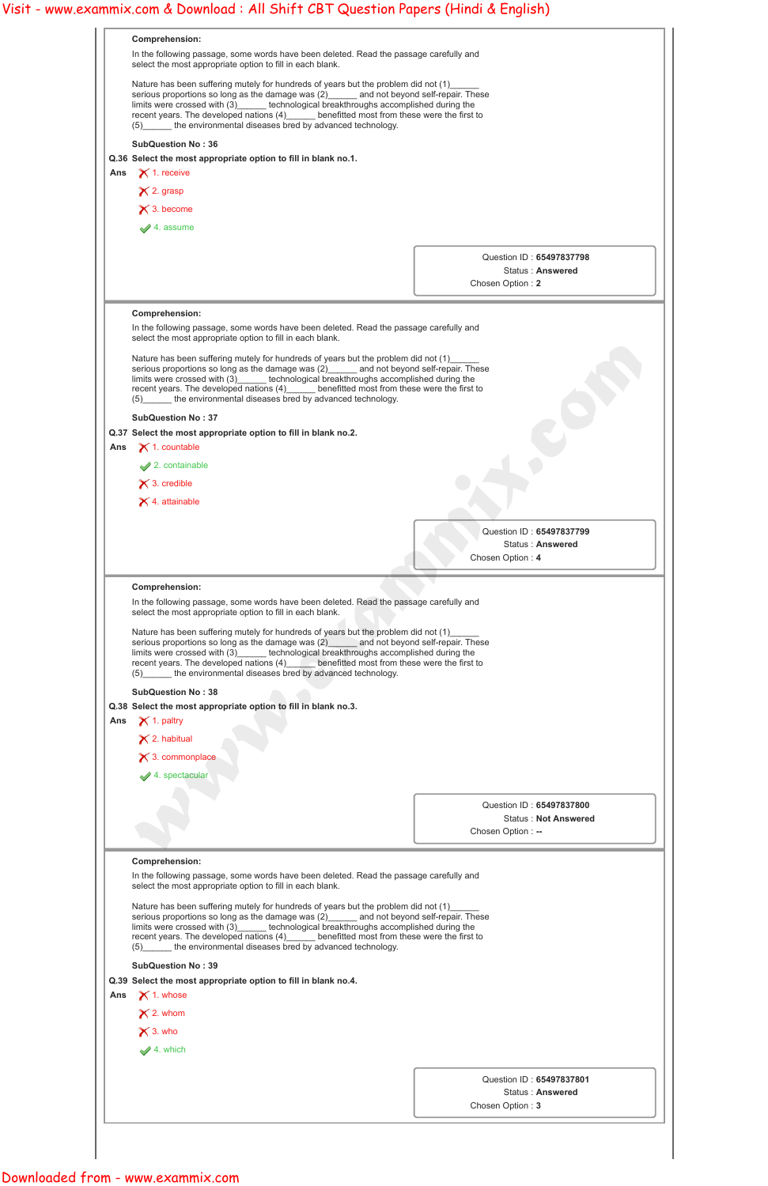|     | Comprehension:<br>In the following passage, some words have been deleted. Read the passage carefully and<br>select the most appropriate option to fill in each blank.                                                                                                                                                                                                                                                         |                                                  |
|-----|-------------------------------------------------------------------------------------------------------------------------------------------------------------------------------------------------------------------------------------------------------------------------------------------------------------------------------------------------------------------------------------------------------------------------------|--------------------------------------------------|
|     | Nature has been suffering mutely for hundreds of years but the problem did not (1)<br>serious proportions so long as the damage was $(2)$ and not beyond self-repair. These<br>limits were crossed with (3) technological breakthroughs accomplished during the<br>recent years. The developed nations (4) ______ benefitted most from these were the first to<br>(5) the environmental diseases bred by advanced technology. |                                                  |
|     | <b>SubQuestion No: 36</b>                                                                                                                                                                                                                                                                                                                                                                                                     |                                                  |
|     | Q.36 Select the most appropriate option to fill in blank no.1.                                                                                                                                                                                                                                                                                                                                                                |                                                  |
| Ans | $\times$ 1. receive                                                                                                                                                                                                                                                                                                                                                                                                           |                                                  |
|     |                                                                                                                                                                                                                                                                                                                                                                                                                               |                                                  |
|     | $\times$ 2. grasp                                                                                                                                                                                                                                                                                                                                                                                                             |                                                  |
|     | $\times$ 3. become                                                                                                                                                                                                                                                                                                                                                                                                            |                                                  |
|     | $\blacktriangleright$ 4. assume                                                                                                                                                                                                                                                                                                                                                                                               |                                                  |
|     |                                                                                                                                                                                                                                                                                                                                                                                                                               |                                                  |
|     |                                                                                                                                                                                                                                                                                                                                                                                                                               | Question ID: 65497837798                         |
|     |                                                                                                                                                                                                                                                                                                                                                                                                                               | Status: Answered                                 |
|     |                                                                                                                                                                                                                                                                                                                                                                                                                               | Chosen Option: 2                                 |
|     |                                                                                                                                                                                                                                                                                                                                                                                                                               |                                                  |
|     | <b>Comprehension:</b><br>In the following passage, some words have been deleted. Read the passage carefully and<br>select the most appropriate option to fill in each blank.                                                                                                                                                                                                                                                  |                                                  |
|     | Nature has been suffering mutely for hundreds of years but the problem did not (1)<br>serious proportions so long as the damage was (2) and not beyond self-repair. These<br>limits were crossed with (3)______ technological breakthroughs accomplished during the<br>recent years. The developed nations (4) benefitted most from these were the first to<br>(5) the environmental diseases bred by advanced technology.    |                                                  |
|     |                                                                                                                                                                                                                                                                                                                                                                                                                               |                                                  |
|     | <b>SubQuestion No: 37</b>                                                                                                                                                                                                                                                                                                                                                                                                     |                                                  |
|     | Q.37 Select the most appropriate option to fill in blank no.2.                                                                                                                                                                                                                                                                                                                                                                |                                                  |
| Ans | $\times$ 1. countable                                                                                                                                                                                                                                                                                                                                                                                                         |                                                  |
|     | $\blacktriangleright$ 2. containable                                                                                                                                                                                                                                                                                                                                                                                          |                                                  |
|     | $\times$ 3. credible                                                                                                                                                                                                                                                                                                                                                                                                          |                                                  |
|     | $\times$ 4. attainable                                                                                                                                                                                                                                                                                                                                                                                                        |                                                  |
|     |                                                                                                                                                                                                                                                                                                                                                                                                                               |                                                  |
|     |                                                                                                                                                                                                                                                                                                                                                                                                                               | Question ID: 65497837799                         |
|     |                                                                                                                                                                                                                                                                                                                                                                                                                               | Status: Answered                                 |
|     |                                                                                                                                                                                                                                                                                                                                                                                                                               | Chosen Option: 4                                 |
|     |                                                                                                                                                                                                                                                                                                                                                                                                                               |                                                  |
|     | <b>Comprehension:</b>                                                                                                                                                                                                                                                                                                                                                                                                         |                                                  |
|     | In the following passage, some words have been deleted. Read the passage carefully and                                                                                                                                                                                                                                                                                                                                        |                                                  |
|     | select the most appropriate option to fill in each blank.                                                                                                                                                                                                                                                                                                                                                                     |                                                  |
|     | Nature has been suffering mutely for hundreds of years but the problem did not (1)<br>serious proportions so long as the damage was $(2)$ and not beyond self-repair. These<br>limits were crossed with (3) technological breakthroughs accomplished during the<br>recent years. The developed nations (4) benefitted most from these were the first to<br>the environmental diseases bred by advanced technology.<br>(5)     |                                                  |
|     |                                                                                                                                                                                                                                                                                                                                                                                                                               |                                                  |
|     | <b>SubQuestion No: 38</b>                                                                                                                                                                                                                                                                                                                                                                                                     |                                                  |
|     | Q.38 Select the most appropriate option to fill in blank no.3.                                                                                                                                                                                                                                                                                                                                                                |                                                  |
|     | $\times$ 1. paltry                                                                                                                                                                                                                                                                                                                                                                                                            |                                                  |
|     | $\times$ 2. habitual                                                                                                                                                                                                                                                                                                                                                                                                          |                                                  |
|     | $\times$ 3. commonplace                                                                                                                                                                                                                                                                                                                                                                                                       |                                                  |
|     | $\blacktriangleright$ 4. spectacular                                                                                                                                                                                                                                                                                                                                                                                          |                                                  |
| Ans |                                                                                                                                                                                                                                                                                                                                                                                                                               |                                                  |
|     |                                                                                                                                                                                                                                                                                                                                                                                                                               | Question ID: 65497837800                         |
|     |                                                                                                                                                                                                                                                                                                                                                                                                                               | <b>Status: Not Answered</b><br>Chosen Option: -- |

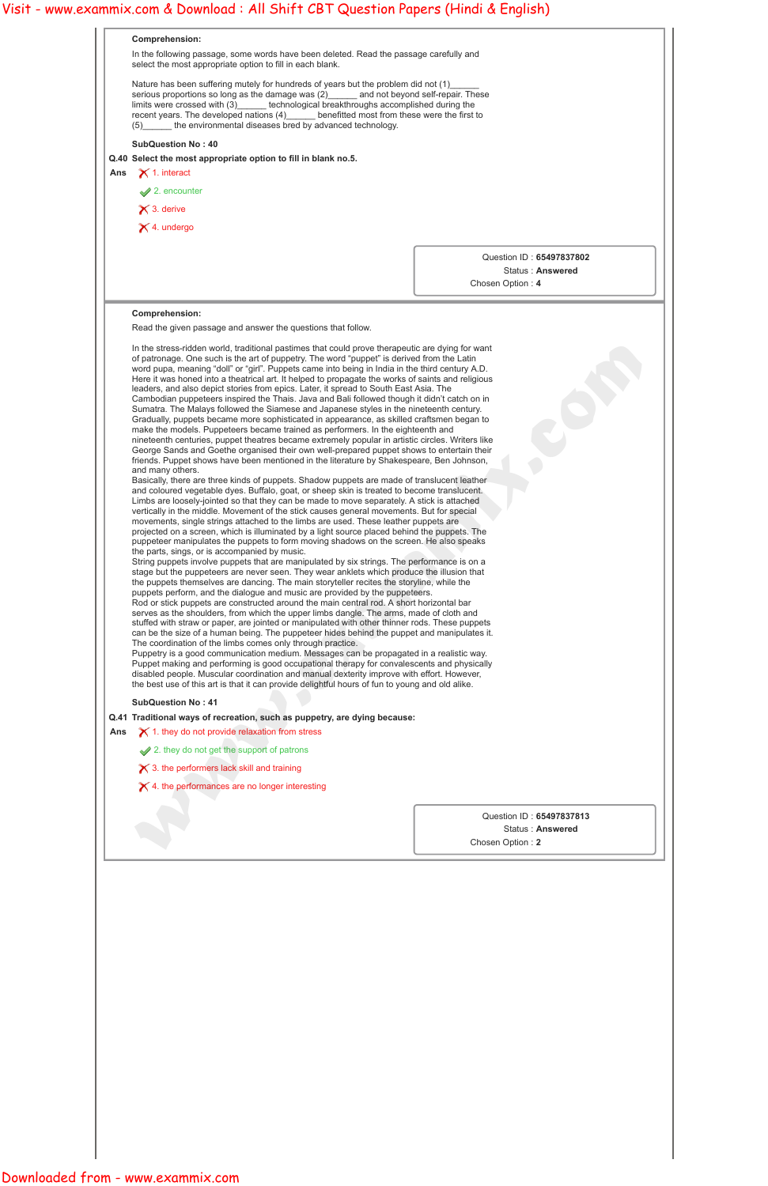

# Visit - www.exammix.com & Download : All Shift CBT Question Papers (Hindi & English)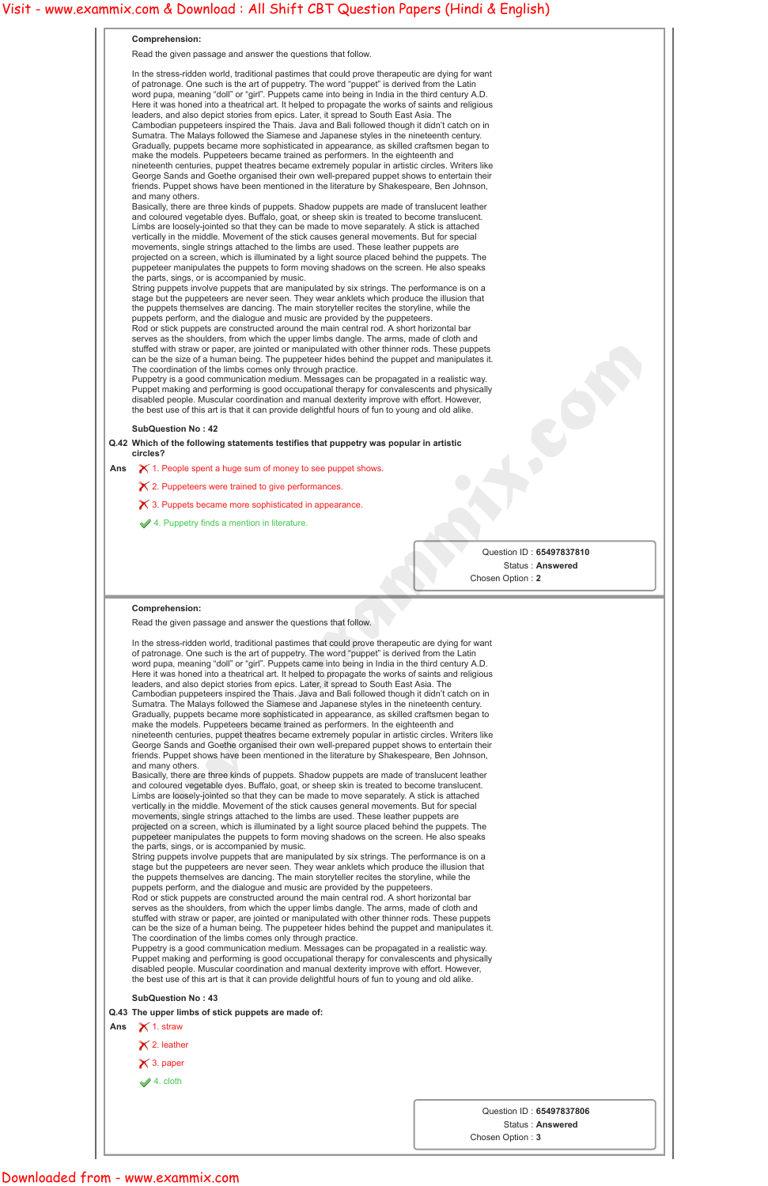In the stress-ridden world, traditional pastimes that could prove therapeutic are dying for want of patronage. One such is the art of puppetry. The word "puppet" is derived from the Latin word pupa, meaning "doll" or "girl". Puppets came into being in India in the third century A.D. Here it was honed into a theatrical art. It helped to propagate the works of saints and religious leaders, and also depict stories from epics. Later, it spread to South East Asia. The Cambodian puppeteers inspired the Thais. Java and Bali followed though it didn't catch on in Sumatra. The Malays followed the Siamese and Japanese styles in the nineteenth century. Gradually, puppets became more sophisticated in appearance, as skilled craftsmen began to make the models. Puppeteers became trained as performers. In the eighteenth and nineteenth centuries, puppet theatres became extremely popular in artistic circles. Writers like George Sands and Goethe organised their own well-prepared puppet shows to entertain their friends. Puppet shows have been mentioned in the literature by Shakespeare, Ben Johnson, and many others. **Yesti - www.exammix.com Visit - www.exammix.com Appers (Hindi & English)**<br> **Brazilian in the company station Papers (Hindi & English)**<br> **Property and the company station Papers (Hindi & English)**<br> **Property and the compa** 

Read the given passage and answer the questions that follow.

Basically, there are three kinds of puppets. Shadow puppets are made of translucent leather and coloured vegetable dyes. Buffalo, goat, or sheep skin is treated to become translucent. Limbs are loosely-jointed so that they can be made to move separately. A stick is attached vertically in the middle. Movement of the stick causes general movements. But for special movements, single strings attached to the limbs are used. These leather puppets are projected on a screen, which is illuminated by a light source placed behind the puppets. The puppeteer manipulates the puppets to form moving shadows on the screen. He also speaks the parts, sings, or is accompanied by music.

String puppets involve puppets that are manipulated by six strings. The performance is on a stage but the puppeteers are never seen. They wear anklets which produce the illusion that the puppets themselves are dancing. The main storyteller recites the storyline, while the puppets perform, and the dialogue and music are provided by the puppeteers. Rod or stick puppets are constructed around the main central rod. A short horizontal bar

serves as the shoulders, from which the upper limbs dangle. The arms, made of cloth and stuffed with straw or paper, are jointed or manipulated with other thinner rods. These puppets can be the size of a human being. The puppeteer hides behind the puppet and manipulates it. The coordination of the limbs comes only through practice.

Puppetry is a good communication medium. Messages can be propagated in a realistic way. Puppet making and performing is good occupational therapy for convalescents and physically disabled people. Muscular coordination and manual dexterity improve with effort. However, the best use of this art is that it can provide delightful hours of fun to young and old alike.

## **SubQuestion No : 42**

- **Q.42 Which of the following statements testifies that puppetry was popular in artistic circles?**
- Ans  $\bigtimes$  1. People spent a huge sum of money to see puppet shows.
	- $\boldsymbol{\times}$  2. Puppeteers were trained to give performances.
	- $\boldsymbol{\times}$  3. Puppets became more sophisticated in appearance.
	- 4. Puppetry finds a mention in literature.

Question ID : **65497837810** Status : **Answered** Chosen Option : **2**

## **Comprehension:**

Read the given passage and answer the questions that follow.

In the stress-ridden world, traditional pastimes that could prove therapeutic are dying for want of patronage. One such is the art of puppetry. The word "puppet" is derived from the Latin word pupa, meaning "doll" or "girl". Puppets came into being in India in the third century A.D. Here it was honed into a theatrical art. It helped to propagate the works of saints and religious leaders, and also depict stories from epics. Later, it spread to South East Asia. The Cambodian puppeteers inspired the Thais. Java and Bali followed though it didn't catch on in Sumatra. The Malays followed the Siamese and Japanese styles in the nineteenth century. Gradually, puppets became more sophisticated in appearance, as skilled craftsmen began to make the models. Puppeteers became trained as performers. In the eighteenth and nineteenth centuries, puppet theatres became extremely popular in artistic circles. Writers like George Sands and Goethe organised their own well-prepared puppet shows to entertain their friends. Puppet shows have been mentioned in the literature by Shakespeare, Ben Johnson, and many others.

Basically, there are three kinds of puppets. Shadow puppets are made of translucent leather and coloured vegetable dyes. Buffalo, goat, or sheep skin is treated to become translucent. Limbs are loosely-jointed so that they can be made to move separately. A stick is attached vertically in the middle. Movement of the stick causes general movements. But for special movements, single strings attached to the limbs are used. These leather puppets are projected on a screen, which is illuminated by a light source placed behind the puppets. The puppeteer manipulates the puppets to form moving shadows on the screen. He also speaks

the parts, sings, or is accompanied by music. String puppets involve puppets that are manipulated by six strings. The performance is on a stage but the puppeteers are never seen. They wear anklets which produce the illusion that

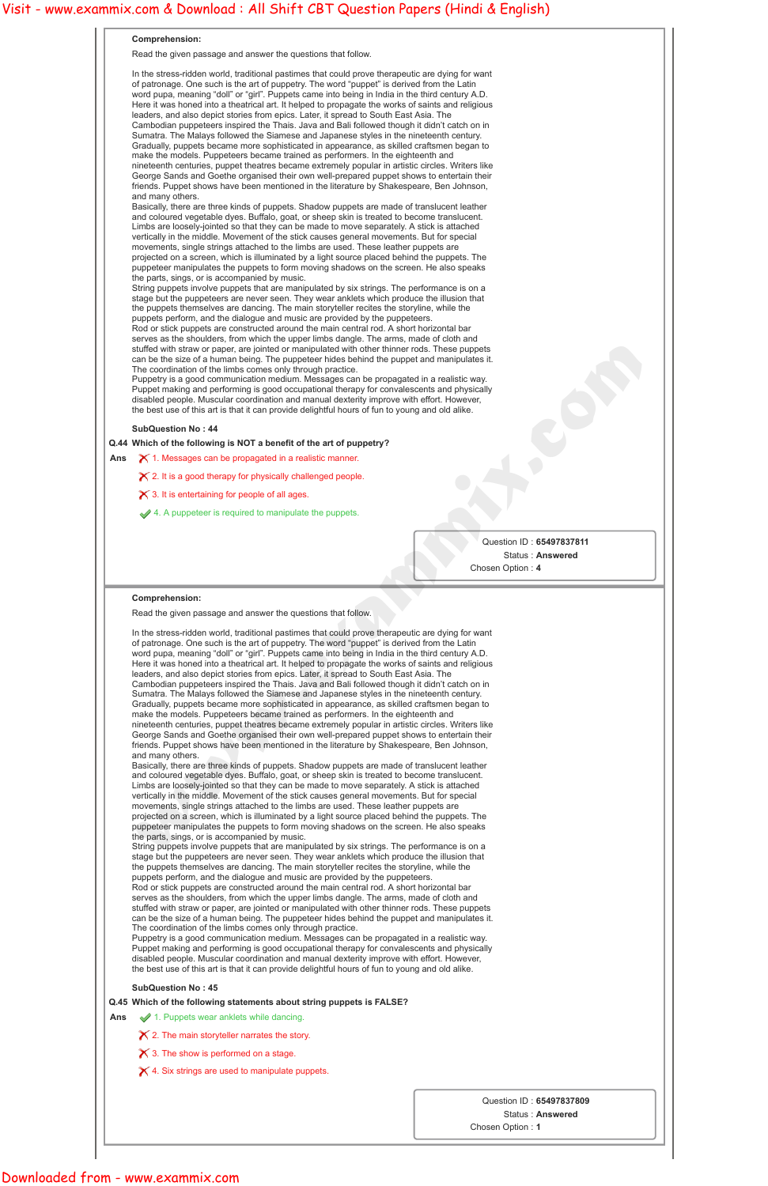In the stress-ridden world, traditional pastimes that could prove therapeutic are dying for want of patronage. One such is the art of puppetry. The word "puppet" is derived from the Latin word pupa, meaning "doll" or "girl". Puppets came into being in India in the third century A.D. Here it was honed into a theatrical art. It helped to propagate the works of saints and religious leaders, and also depict stories from epics. Later, it spread to South East Asia. The Cambodian puppeteers inspired the Thais. Java and Bali followed though it didn't catch on in Sumatra. The Malays followed the Siamese and Japanese styles in the nineteenth century. Gradually, puppets became more sophisticated in appearance, as skilled craftsmen began to make the models. Puppeteers became trained as performers. In the eighteenth and nineteenth centuries, puppet theatres became extremely popular in artistic circles. Writers like George Sands and Goethe organised their own well-prepared puppet shows to entertain their friends. Puppet shows have been mentioned in the literature by Shakespeare, Ben Johnson, and many others. **We the second continuous computation of the second continuous computation of the second continuous computation of the second continuous computation of the second continuous computation of the second continuous computatio** 

Read the given passage and answer the questions that follow.

Basically, there are three kinds of puppets. Shadow puppets are made of translucent leather and coloured vegetable dyes. Buffalo, goat, or sheep skin is treated to become translucent. Limbs are loosely-jointed so that they can be made to move separately. A stick is attached vertically in the middle. Movement of the stick causes general movements. But for special movements, single strings attached to the limbs are used. These leather puppets are projected on a screen, which is illuminated by a light source placed behind the puppets. The puppeteer manipulates the puppets to form moving shadows on the screen. He also speaks the parts, sings, or is accompanied by music.

String puppets involve puppets that are manipulated by six strings. The performance is on a stage but the puppeteers are never seen. They wear anklets which produce the illusion that the puppets themselves are dancing. The main storyteller recites the storyline, while the puppets perform, and the dialogue and music are provided by the puppeteers. Rod or stick puppets are constructed around the main central rod. A short horizontal bar

serves as the shoulders, from which the upper limbs dangle. The arms, made of cloth and stuffed with straw or paper, are jointed or manipulated with other thinner rods. These puppets can be the size of a human being. The puppeteer hides behind the puppet and manipulates it. The coordination of the limbs comes only through practice.

Puppetry is a good communication medium. Messages can be propagated in a realistic way. Puppet making and performing is good occupational therapy for convalescents and physically disabled people. Muscular coordination and manual dexterity improve with effort. However, the best use of this art is that it can provide delightful hours of fun to young and old alike.

## **SubQuestion No : 44**

# **Q.44 Which of the following is NOT a benefit of the art of puppetry?**

Ans  $\bigtimes$  1. Messages can be propagated in a realistic manner.

2. It is a good therapy for physically challenged people.

 $\boldsymbol{\times}$  3. It is entertaining for people of all ages.

◆ 4. A puppeteer is required to manipulate the puppets.

Question ID : **65497837811** Status : **Answered** Chosen Option : **4**

## **Comprehension:**

Read the given passage and answer the questions that follow.

In the stress-ridden world, traditional pastimes that could prove therapeutic are dying for want of patronage. One such is the art of puppetry. The word "puppet" is derived from the Latin word pupa, meaning "doll" or "girl". Puppets came into being in India in the third century A.D. Here it was honed into a theatrical art. It helped to propagate the works of saints and religious leaders, and also depict stories from epics. Later, it spread to South East Asia. The Cambodian puppeteers inspired the Thais. Java and Bali followed though it didn't catch on in Sumatra. The Malays followed the Siamese and Japanese styles in the nineteenth century. Gradually, puppets became more sophisticated in appearance, as skilled craftsmen began to make the models. Puppeteers became trained as performers. In the eighteenth and nineteenth centuries, puppet theatres became extremely popular in artistic circles. Writers like George Sands and Goethe organised their own well-prepared puppet shows to entertain their friends. Puppet shows have been mentioned in the literature by Shakespeare, Ben Johnson, and many others.

Basically, there are three kinds of puppets. Shadow puppets are made of translucent leather and coloured vegetable dyes. Buffalo, goat, or sheep skin is treated to become translucent. Limbs are loosely-jointed so that they can be made to move separately. A stick is attached vertically in the middle. Movement of the stick causes general movements. But for special movements, single strings attached to the limbs are used. These leather puppets are projected on a screen, which is illuminated by a light source placed behind the puppets. The puppeteer manipulates the puppets to form moving shadows on the screen. He also speaks the parts, sings, or is accompanied by music.

String puppets involve puppets that are manipulated by six strings. The performance is on a stage but the puppeteers are never seen. They wear anklets which produce the illusion that the puppets themselves are dancing. The main storyteller recites the storyline, while the puppets perform, and the dialogue and music are provided by the puppeteers. Rod or stick puppets are constructed around the main central rod. A short horizontal bar serves as the shoulders, from which the upper limbs dangle. The arms, made of cloth and stuffed with straw or paper, are jointed or manipulated with other thinner rods. These puppets can be the size of a human being. The puppeteer hides behind the puppet and manipulates it. The coordination of the limbs comes only through practice. Puppetry is a good communication medium. Messages can be propagated in a realistic way. Puppet making and performing is good occupational therapy for convalescents and physically disabled people. Muscular coordination and manual dexterity improve with effort. However, the best use of this art is that it can provide delightful hours of fun to young and old alike.

## **SubQuestion No : 45**

**Q.45 Which of the following statements about string puppets is FALSE?**

Ans  $\bullet$  1. Puppets wear anklets while dancing.

 $\boldsymbol{\times}$  2. The main storyteller narrates the story.

 $\boldsymbol{\times}$  3. The show is performed on a stage.

 $\times$  4. Six strings are used to manipulate puppets.

Question ID : **65497837809**

Status : **Answered**

Chosen Option : **1**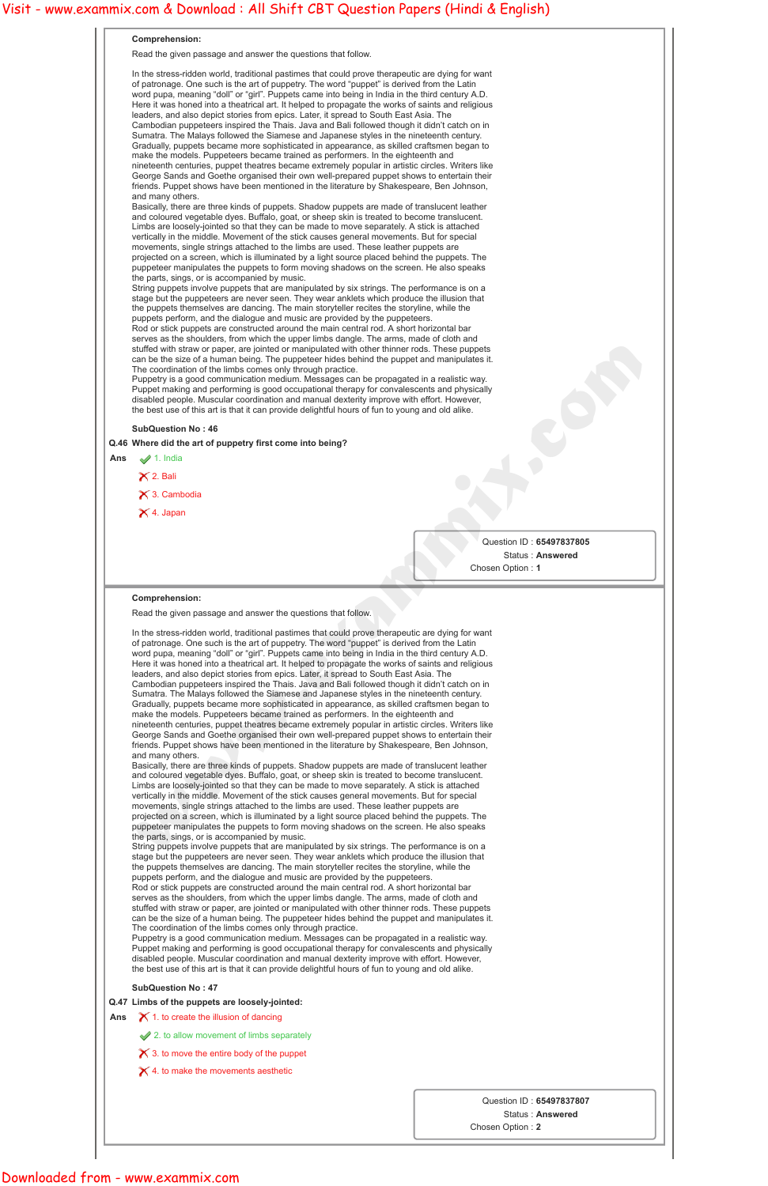In the stress-ridden world, traditional pastimes that could prove therapeutic are dying for want of patronage. One such is the art of puppetry. The word "puppet" is derived from the Latin word pupa, meaning "doll" or "girl". Puppets came into being in India in the third century A.D. Here it was honed into a theatrical art. It helped to propagate the works of saints and religious leaders, and also depict stories from epics. Later, it spread to South East Asia. The Cambodian puppeteers inspired the Thais. Java and Bali followed though it didn't catch on in Sumatra. The Malays followed the Siamese and Japanese styles in the nineteenth century. Gradually, puppets became more sophisticated in appearance, as skilled craftsmen began to make the models. Puppeteers became trained as performers. In the eighteenth and nineteenth centuries, puppet theatres became extremely popular in artistic circles. Writers like George Sands and Goethe organised their own well-prepared puppet shows to entertain their friends. Puppet shows have been mentioned in the literature by Shakespeare, Ben Johnson, and many others. **We the second continuous computation of**  $\Delta$  **Download in the second continuous computation of**  $\Delta$  **Download in the second continuous computation of**  $\Delta$  **Download in the second continuous computation of**  $\Delta$  **Download in t** 

Read the given passage and answer the questions that follow.

Basically, there are three kinds of puppets. Shadow puppets are made of translucent leather and coloured vegetable dyes. Buffalo, goat, or sheep skin is treated to become translucent. Limbs are loosely-jointed so that they can be made to move separately. A stick is attached vertically in the middle. Movement of the stick causes general movements. But for special movements, single strings attached to the limbs are used. These leather puppets are projected on a screen, which is illuminated by a light source placed behind the puppets. The puppeteer manipulates the puppets to form moving shadows on the screen. He also speaks the parts, sings, or is accompanied by music.

String puppets involve puppets that are manipulated by six strings. The performance is on a stage but the puppeteers are never seen. They wear anklets which produce the illusion that the puppets themselves are dancing. The main storyteller recites the storyline, while the puppets perform, and the dialogue and music are provided by the puppeteers.

Rod or stick puppets are constructed around the main central rod. A short horizontal bar serves as the shoulders, from which the upper limbs dangle. The arms, made of cloth and stuffed with straw or paper, are jointed or manipulated with other thinner rods. These puppets can be the size of a human being. The puppeteer hides behind the puppet and manipulates it. The coordination of the limbs comes only through practice.

Puppetry is a good communication medium. Messages can be propagated in a realistic way. Puppet making and performing is good occupational therapy for convalescents and physically disabled people. Muscular coordination and manual dexterity improve with effort. However, the best use of this art is that it can provide delightful hours of fun to young and old alike.

## **SubQuestion No : 46**

## **Q.46 Where did the art of puppetry first come into being?**

- **Ans** 1. India
	- $\times$  2. Bali
	- X 3. Cambodia
	- $\times$  4. Japan

Question ID : **65497837805** Status : **Answered** Chosen Option : **1**

## **Comprehension:**

Read the given passage and answer the questions that follow.

In the stress-ridden world, traditional pastimes that could prove therapeutic are dying for want of patronage. One such is the art of puppetry. The word "puppet" is derived from the Latin word pupa, meaning "doll" or "girl". Puppets came into being in India in the third century A.D. Here it was honed into a theatrical art. It helped to propagate the works of saints and religious leaders, and also depict stories from epics. Later, it spread to South East Asia. The Cambodian puppeteers inspired the Thais. Java and Bali followed though it didn't catch on in Sumatra. The Malays followed the Siamese and Japanese styles in the nineteenth century. Gradually, puppets became more sophisticated in appearance, as skilled craftsmen began to make the models. Puppeteers became trained as performers. In the eighteenth and nineteenth centuries, puppet theatres became extremely popular in artistic circles. Writers like George Sands and Goethe organised their own well-prepared puppet shows to entertain their friends. Puppet shows have been mentioned in the literature by Shakespeare, Ben Johnson, and many others.

Basically, there are three kinds of puppets. Shadow puppets are made of translucent leather and coloured vegetable dyes. Buffalo, goat, or sheep skin is treated to become translucent. Limbs are loosely-jointed so that they can be made to move separately. A stick is attached vertically in the middle. Movement of the stick causes general movements. But for special movements, single strings attached to the limbs are used. These leather puppets are projected on a screen, which is illuminated by a light source placed behind the puppets. The puppeteer manipulates the puppets to form moving shadows on the screen. He also speaks the parts, sings, or is accompanied by music.

String puppets involve puppets that are manipulated by six strings. The performance is on a stage but the puppeteers are never seen. They wear anklets which produce the illusion that the puppets themselves are dancing. The main storyteller recites the storyline, while the puppets perform, and the dialogue and music are provided by the puppeteers. Rod or stick puppets are constructed around the main central rod. A short horizontal bar serves as the shoulders, from which the upper limbs dangle. The arms, made of cloth and stuffed with straw or paper, are jointed or manipulated with other thinner rods. These puppets can be the size of a human being. The puppeteer hides behind the puppet and manipulates it. The coordination of the limbs comes only through practice. Puppetry is a good communication medium. Messages can be propagated in a realistic way. Puppet making and performing is good occupational therapy for convalescents and physically disabled people. Muscular coordination and manual dexterity improve with effort. However, the best use of this art is that it can provide delightful hours of fun to young and old alike.

**SubQuestion No : 47**

**Q.47 Limbs of the puppets are loosely-jointed:**

Ans  $\mathsf{\tilde{X}}$  1. to create the illusion of dancing

 $\blacktriangleright$  2. to allow movement of limbs separately

- $\boldsymbol{\times}$  3. to move the entire body of the puppet
- $\boldsymbol{\times}$  4. to make the movements aesthetic

Question ID : **65497837807**

Status : **Answered**

Chosen Option : **2**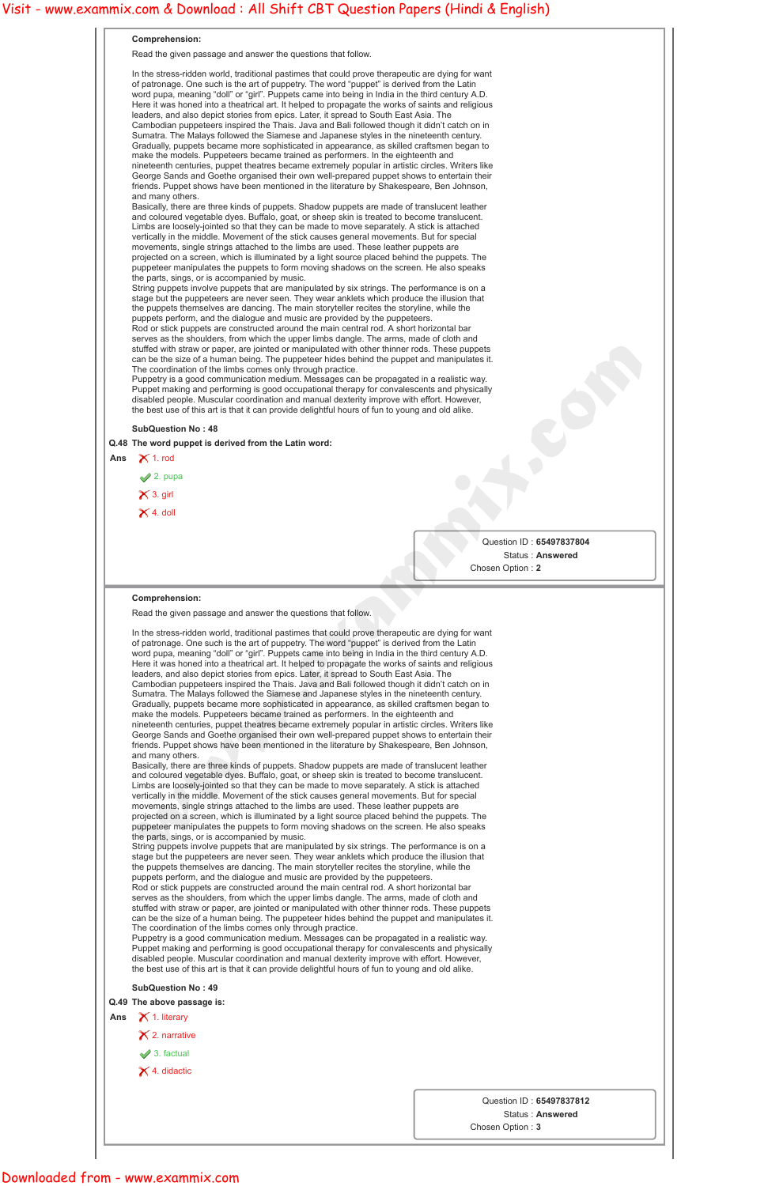In the stress-ridden world, traditional pastimes that could prove therapeutic are dying for want of patronage. One such is the art of puppetry. The word "puppet" is derived from the Latin word pupa, meaning "doll" or "girl". Puppets came into being in India in the third century A.D. Here it was honed into a theatrical art. It helped to propagate the works of saints and religious leaders, and also depict stories from epics. Later, it spread to South East Asia. The Cambodian puppeteers inspired the Thais. Java and Bali followed though it didn't catch on in Sumatra. The Malays followed the Siamese and Japanese styles in the nineteenth century. Gradually, puppets became more sophisticated in appearance, as skilled craftsmen began to make the models. Puppeteers became trained as performers. In the eighteenth and nineteenth centuries, puppet theatres became extremely popular in artistic circles. Writers like George Sands and Goethe organised their own well-prepared puppet shows to entertain their friends. Puppet shows have been mentioned in the literature by Shakespeare, Ben Johnson, and many others. **We the second continuous computation of**  $\Delta$  **Download in the second continuous computation of**  $\Delta$  **Download in the second continuous computation of**  $\Delta$  **Download in the second continuous computation of**  $\Delta$  **Download in t** 

Read the given passage and answer the questions that follow.

Basically, there are three kinds of puppets. Shadow puppets are made of translucent leather and coloured vegetable dyes. Buffalo, goat, or sheep skin is treated to become translucent. Limbs are loosely-jointed so that they can be made to move separately. A stick is attached vertically in the middle. Movement of the stick causes general movements. But for special movements, single strings attached to the limbs are used. These leather puppets are projected on a screen, which is illuminated by a light source placed behind the puppets. The puppeteer manipulates the puppets to form moving shadows on the screen. He also speaks the parts, sings, or is accompanied by music.

String puppets involve puppets that are manipulated by six strings. The performance is on a stage but the puppeteers are never seen. They wear anklets which produce the illusion that the puppets themselves are dancing. The main storyteller recites the storyline, while the puppets perform, and the dialogue and music are provided by the puppeteers.

Rod or stick puppets are constructed around the main central rod. A short horizontal bar serves as the shoulders, from which the upper limbs dangle. The arms, made of cloth and stuffed with straw or paper, are jointed or manipulated with other thinner rods. These puppets can be the size of a human being. The puppeteer hides behind the puppet and manipulates it. The coordination of the limbs comes only through practice.

Puppetry is a good communication medium. Messages can be propagated in a realistic way. Puppet making and performing is good occupational therapy for convalescents and physically disabled people. Muscular coordination and manual dexterity improve with effort. However, the best use of this art is that it can provide delightful hours of fun to young and old alike.

**SubQuestion No : 48**

**Q.48 The word puppet is derived from the Latin word:**

- Ans  $\bigtimes$  1. rod
	- $\blacktriangleright$  2. pupa
	- $\times$  3. girl

 $\times$  4. doll

Question ID : **65497837804** Status : **Answered** Chosen Option : **2**

## **Comprehension:**

Read the given passage and answer the questions that follow.

In the stress-ridden world, traditional pastimes that could prove therapeutic are dying for want of patronage. One such is the art of puppetry. The word "puppet" is derived from the Latin word pupa, meaning "doll" or "girl". Puppets came into being in India in the third century A.D. Here it was honed into a theatrical art. It helped to propagate the works of saints and religious leaders, and also depict stories from epics. Later, it spread to South East Asia. The Cambodian puppeteers inspired the Thais. Java and Bali followed though it didn't catch on in Sumatra. The Malays followed the Siamese and Japanese styles in the nineteenth century. Gradually, puppets became more sophisticated in appearance, as skilled craftsmen began to make the models. Puppeteers became trained as performers. In the eighteenth and nineteenth centuries, puppet theatres became extremely popular in artistic circles. Writers like George Sands and Goethe organised their own well-prepared puppet shows to entertain their friends. Puppet shows have been mentioned in the literature by Shakespeare, Ben Johnson, and many others.

Basically, there are three kinds of puppets. Shadow puppets are made of translucent leather and coloured vegetable dyes. Buffalo, goat, or sheep skin is treated to become translucent. Limbs are loosely-jointed so that they can be made to move separately. A stick is attached vertically in the middle. Movement of the stick causes general movements. But for special movements, single strings attached to the limbs are used. These leather puppets are projected on a screen, which is illuminated by a light source placed behind the puppets. The puppeteer manipulates the puppets to form moving shadows on the screen. He also speaks the parts, sings, or is accompanied by music.

String puppets involve puppets that are manipulated by six strings. The performance is on a stage but the puppeteers are never seen. They wear anklets which produce the illusion that the puppets themselves are dancing. The main storyteller recites the storyline, while the puppets perform, and the dialogue and music are provided by the puppeteers. Rod or stick puppets are constructed around the main central rod. A short horizontal bar serves as the shoulders, from which the upper limbs dangle. The arms, made of cloth and stuffed with straw or paper, are jointed or manipulated with other thinner rods. These puppets can be the size of a human being. The puppeteer hides behind the puppet and manipulates it. The coordination of the limbs comes only through practice. Puppetry is a good communication medium. Messages can be propagated in a realistic way. Puppet making and performing is good occupational therapy for convalescents and physically disabled people. Muscular coordination and manual dexterity improve with effort. However, the best use of this art is that it can provide delightful hours of fun to young and old alike.

**SubQuestion No : 49**

```
Q.49 The above passage is:
```
Ans **X** 1. literary

 $\times$  2. narrative

 $\blacktriangleright$  3. factual

 $\times$  4. didactic

Question ID : **65497837812**

Status : **Answered**

Chosen Option : **3**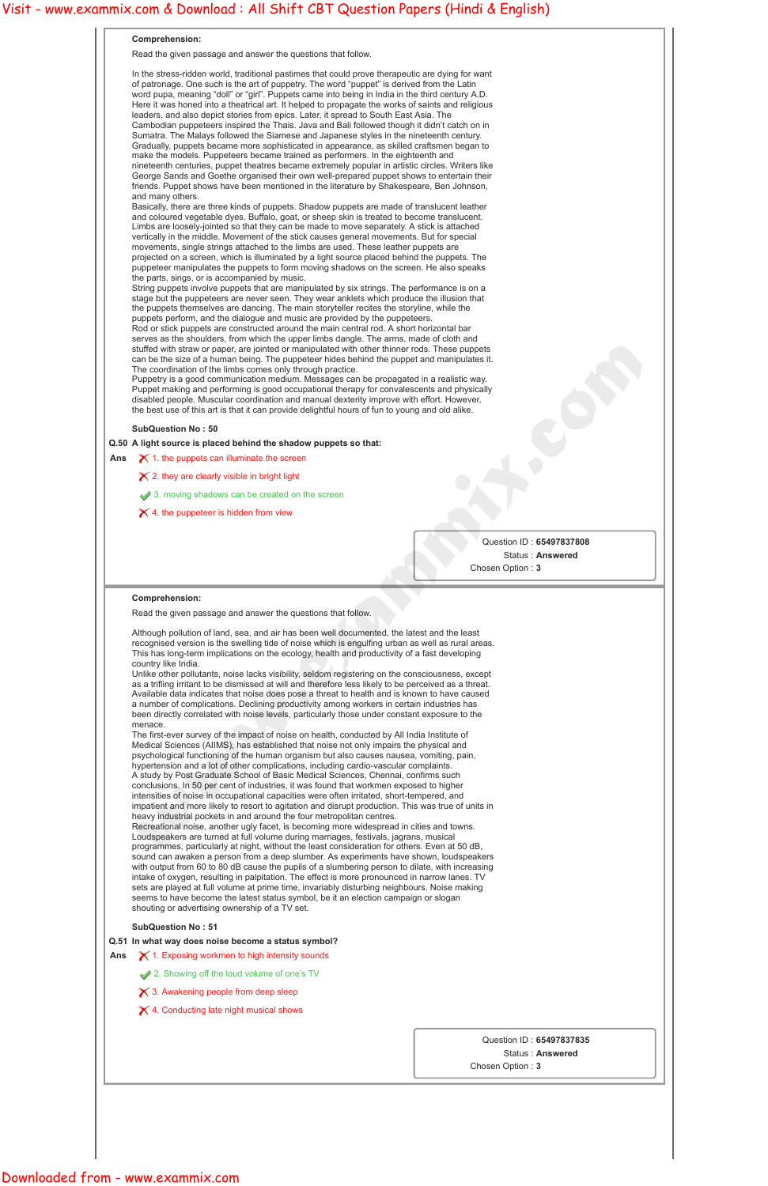In the stress-ridden world, traditional pastimes that could prove therapeutic are dying for want of patronage. One such is the art of puppetry. The word "puppet" is derived from the Latin word pupa, meaning "doll" or "girl". Puppets came into being in India in the third century A.D. Here it was honed into a theatrical art. It helped to propagate the works of saints and religious leaders, and also depict stories from epics. Later, it spread to South East Asia. The Cambodian puppeteers inspired the Thais. Java and Bali followed though it didn't catch on in Sumatra. The Malays followed the Siamese and Japanese styles in the nineteenth century. Gradually, puppets became more sophisticated in appearance, as skilled craftsmen began to make the models. Puppeteers became trained as performers. In the eighteenth and nineteenth centuries, puppet theatres became extremely popular in artistic circles. Writers like George Sands and Goethe organised their own well-prepared puppet shows to entertain their friends. Puppet shows have been mentioned in the literature by Shakespeare, Ben Johnson, and many others. **We the second continuous computation of**  $\Delta$  **Download in the second continuous computation of**  $\Delta$  **Download in the second continuous computation**  $\Delta$  **Download in the second continuous computation**  $\Delta$  **Download in the sec** 

Read the given passage and answer the questions that follow.

Basically, there are three kinds of puppets. Shadow puppets are made of translucent leather and coloured vegetable dyes. Buffalo, goat, or sheep skin is treated to become translucent. Limbs are loosely-jointed so that they can be made to move separately. A stick is attached vertically in the middle. Movement of the stick causes general movements. But for special movements, single strings attached to the limbs are used. These leather puppets are projected on a screen, which is illuminated by a light source placed behind the puppets. The puppeteer manipulates the puppets to form moving shadows on the screen. He also speaks the parts, sings, or is accompanied by music.

String puppets involve puppets that are manipulated by six strings. The performance is on a stage but the puppeteers are never seen. They wear anklets which produce the illusion that the puppets themselves are dancing. The main storyteller recites the storyline, while the puppets perform, and the dialogue and music are provided by the puppeteers. Rod or stick puppets are constructed around the main central rod. A short horizontal bar

serves as the shoulders, from which the upper limbs dangle. The arms, made of cloth and stuffed with straw or paper, are jointed or manipulated with other thinner rods. These puppets can be the size of a human being. The puppeteer hides behind the puppet and manipulates it. The coordination of the limbs comes only through practice.

Puppetry is a good communication medium. Messages can be propagated in a realistic way. Puppet making and performing is good occupational therapy for convalescents and physically disabled people. Muscular coordination and manual dexterity improve with effort. However, the best use of this art is that it can provide delightful hours of fun to young and old alike.

## **SubQuestion No : 50**

**Q.50 A light source is placed behind the shadow puppets so that:**

Ans  $\boldsymbol{\times}$  1. the puppets can illuminate the screen

 $\boldsymbol{\times}$  2. they are clearly visible in bright light

3. moving shadows can be created on the screen

 $\times$  4. the puppeteer is hidden from view

Question ID : **65497837808** Status : **Answered** Chosen Option : **3**

## **Comprehension:**

Read the given passage and answer the questions that follow.

Although pollution of land, sea, and air has been well documented, the latest and the least recognised version is the swelling tide of noise which is engulfing urban as well as rural areas. This has long-term implications on the ecology, health and productivity of a fast developing country like India.

Unlike other pollutants, noise lacks visibility, seldom registering on the consciousness, except as a trifling irritant to be dismissed at will and therefore less likely to be perceived as a threat. Available data indicates that noise does pose a threat to health and is known to have caused a number of complications. Declining productivity among workers in certain industries has been directly correlated with noise levels, particularly those under constant exposure to the menace.

The first-ever survey of the impact of noise on health, conducted by All India Institute of Medical Sciences (AIIMS), has established that noise not only impairs the physical and psychological functioning of the human organism but also causes nausea, vomiting, pain, hypertension and a lot of other complications, including cardio-vascular complaints. A study by Post Graduate School of Basic Medical Sciences, Chennai, confirms such conclusions. In 50 per cent of industries, it was found that workmen exposed to higher intensities of noise in occupational capacities were often irritated, short-tempered, and impatient and more likely to resort to agitation and disrupt production. This was true of units in heavy industrial pockets in and around the four metropolitan centres. Recreational noise, another ugly facet, is becoming more widespread in cities and towns. Loudspeakers are turned at full volume during marriages, festivals, jagrans, musical programmes, particularly at night, without the least consideration for others. Even at 50 dB,

sound can awaken a person from a deep slumber. As experiments have shown, loudspeakers with output from 60 to 80 dB cause the pupils of a slumbering person to dilate, with increasing intake of oxygen, resulting in palpitation. The effect is more pronounced in narrow lanes. TV sets are played at full volume at prime time, invariably disturbing neighbours. Noise making seems to have become the latest status symbol, be it an election campaign or slogan shouting or advertising ownership of a TV set.

**SubQuestion No : 51**

**Q.51 In what way does noise become a status symbol?**

Ans  $\bigtimes$  1. Exposing workmen to high intensity sounds

2. Showing off the loud volume of one's TV

 $\blacktriangleright$  3. Awakening people from deep sleep

 $\times$  4. Conducting late night musical shows

Question ID : **65497837835**

Status : **Answered**

Chosen Option : **3**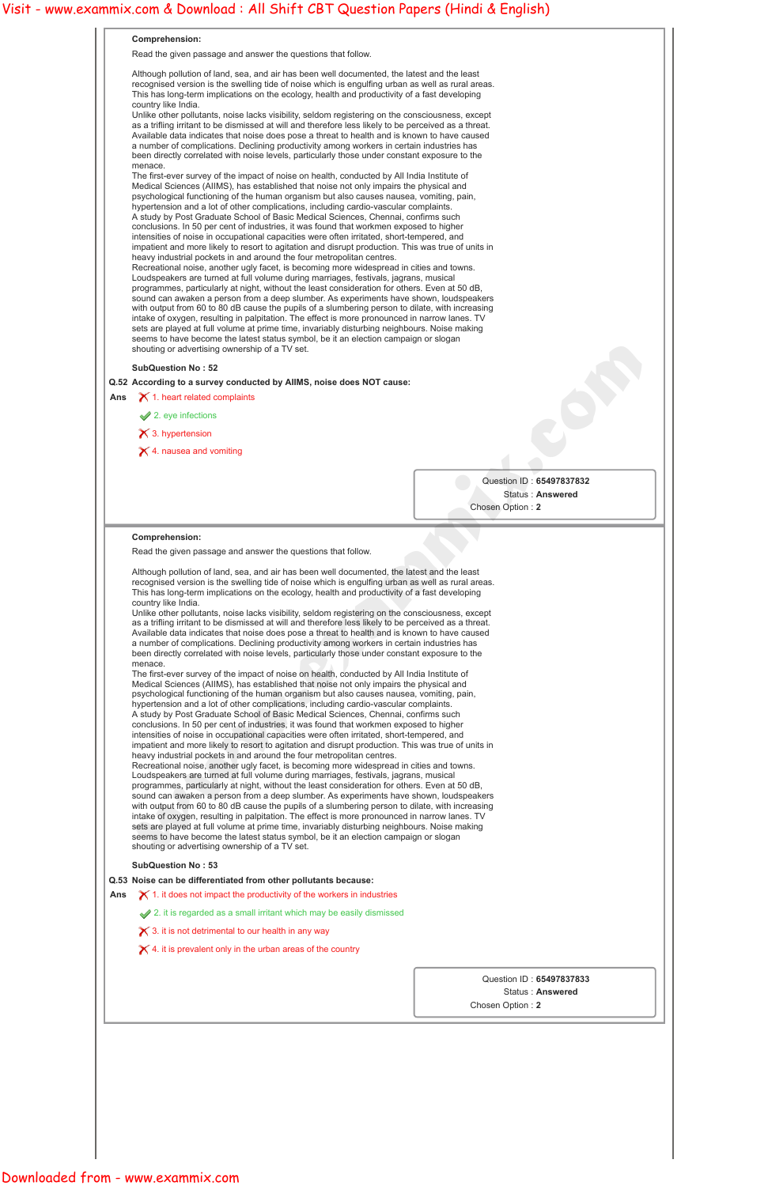Read the given passage and answer the questions that follow.

Although pollution of land, sea, and air has been well documented, the latest and the least recognised version is the swelling tide of noise which is engulfing urban as well as rural areas. This has long-term implications on the ecology, health and productivity of a fast developing country like India.

Unlike other pollutants, noise lacks visibility, seldom registering on the consciousness, except as a trifling irritant to be dismissed at will and therefore less likely to be perceived as a threat. Available data indicates that noise does pose a threat to health and is known to have caused a number of complications. Declining productivity among workers in certain industries has been directly correlated with noise levels, particularly those under constant exposure to the menace.

The first-ever survey of the impact of noise on health, conducted by All India Institute of Medical Sciences (AIIMS), has established that noise not only impairs the physical and psychological functioning of the human organism but also causes nausea, vomiting, pain, hypertension and a lot of other complications, including cardio-vascular complaints. A study by Post Graduate School of Basic Medical Sciences, Chennai, confirms such conclusions. In 50 per cent of industries, it was found that workmen exposed to higher intensities of noise in occupational capacities were often irritated, short-tempered, and impatient and more likely to resort to agitation and disrupt production. This was true of units in heavy industrial pockets in and around the four metropolitan centres.

The first-ever survey of the impact of noise on health, conducted by All India Institute of Medical Sciences (AIIMS), has established that noise not only impairs the physical and psychological functioning of the human organism but also causes nausea, vomiting, pain, hypertension and a lot of other complications, including cardio-vascular complaints. A study by Post Graduate School of Basic Medical Sciences, Chennai, confirms such conclusions. In 50 per cent of industries, it was found that workmen exposed to higher intensities of noise in occupational capacities were often irritated, short-tempered, and impatient and more likely to resort to agitation and disrupt production. This was true of units in heavy industrial pockets in and around the four metropolitan centres. Recreational noise, another ugly facet, is becoming more widespread in cities and towns. Loudspeakers are turned at full volume during marriages, festivals, jagrans, musical programmes, particularly at night, without the least consideration for others. Even at 50 dB, **We define the computation of**  $\Delta$  **Constitute of the computation of the computation of the computation of the computation of the computation of the computation of the computation of the computation of the computation of t** 

Recreational noise, another ugly facet, is becoming more widespread in cities and towns. Loudspeakers are turned at full volume during marriages, festivals, jagrans, musical programmes, particularly at night, without the least consideration for others. Even at 50 dB, sound can awaken a person from a deep slumber. As experiments have shown, loudspeakers with output from 60 to 80 dB cause the pupils of a slumbering person to dilate, with increasing intake of oxygen, resulting in palpitation. The effect is more pronounced in narrow lanes. TV sets are played at full volume at prime time, invariably disturbing neighbours. Noise making seems to have become the latest status symbol, be it an election campaign or slogan shouting or advertising ownership of a TV set.

# **SubQuestion No : 52**

**Q.52 According to a survey conducted by AIIMS, noise does NOT cause:**

- Ans  $\boldsymbol{\times}$  1. heart related complaints
	- 2. eye infections
	- $\boldsymbol{\times}$  3. hypertension
	- $\times$  4. nausea and vomiting

Question ID : **65497837832** Status : **Answered** Chosen Option : **2**

## **Comprehension:**

Read the given passage and answer the questions that follow.

Although pollution of land, sea, and air has been well documented, the latest and the least recognised version is the swelling tide of noise which is engulfing urban as well as rural areas. This has long-term implications on the ecology, health and productivity of a fast developing country like India.

Unlike other pollutants, noise lacks visibility, seldom registering on the consciousness, except as a trifling irritant to be dismissed at will and therefore less likely to be perceived as a threat. Available data indicates that noise does pose a threat to health and is known to have caused a number of complications. Declining productivity among workers in certain industries has been directly correlated with noise levels, particularly those under constant exposure to the menace.

sound can awaken a person from a deep slumber. As experiments have shown, loudspeakers with output from 60 to 80 dB cause the pupils of a slumbering person to dilate, with increasing intake of oxygen, resulting in palpitation. The effect is more pronounced in narrow lanes. TV sets are played at full volume at prime time, invariably disturbing neighbours. Noise making seems to have become the latest status symbol, be it an election campaign or slogan shouting or advertising ownership of a TV set.

**SubQuestion No : 53**

**Q.53 Noise can be differentiated from other pollutants because:**

Ans  $\boldsymbol{\times}$  1. it does not impact the productivity of the workers in industries

 $\vee$  2. it is regarded as a small irritant which may be easily dismissed

 $\boldsymbol{\times}$  3. it is not detrimental to our health in any way

 $\times$  4. it is prevalent only in the urban areas of the country

Question ID : **65497837833**

Status : **Answered**

Chosen Option : **2**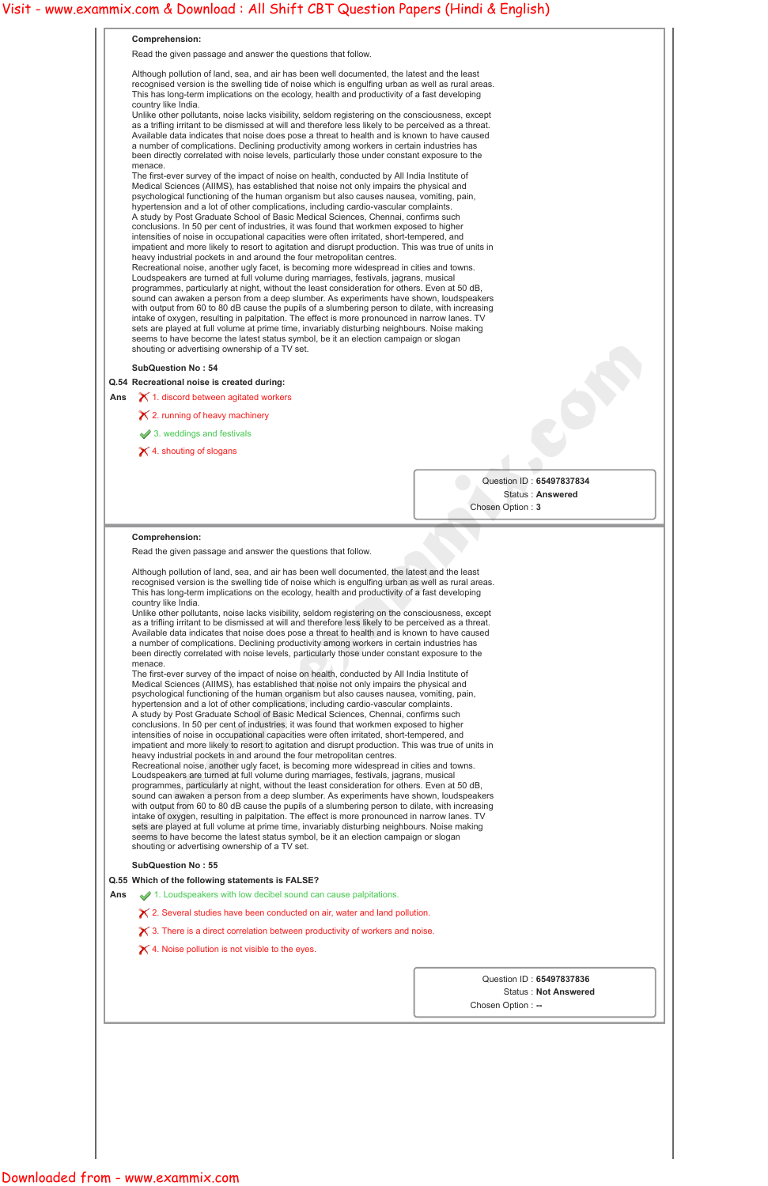Read the given passage and answer the questions that follow.

Although pollution of land, sea, and air has been well documented, the latest and the least recognised version is the swelling tide of noise which is engulfing urban as well as rural areas. This has long-term implications on the ecology, health and productivity of a fast developing country like India.

Unlike other pollutants, noise lacks visibility, seldom registering on the consciousness, except as a trifling irritant to be dismissed at will and therefore less likely to be perceived as a threat. Available data indicates that noise does pose a threat to health and is known to have caused a number of complications. Declining productivity among workers in certain industries has been directly correlated with noise levels, particularly those under constant exposure to the menace.

The first-ever survey of the impact of noise on health, conducted by All India Institute of Medical Sciences (AIIMS), has established that noise not only impairs the physical and psychological functioning of the human organism but also causes nausea, vomiting, pain, hypertension and a lot of other complications, including cardio-vascular complaints. A study by Post Graduate School of Basic Medical Sciences, Chennai, confirms such conclusions. In 50 per cent of industries, it was found that workmen exposed to higher intensities of noise in occupational capacities were often irritated, short-tempered, and impatient and more likely to resort to agitation and disrupt production. This was true of units in heavy industrial pockets in and around the four metropolitan centres.

- Ans  $\bigtimes$  1. discord between agitated workers
	- $\times$  2. running of heavy machinery
	- 3. weddings and festivals

 $\times$  4. shouting of slogans

The first-ever survey of the impact of noise on health, conducted by All India Institute of Medical Sciences (AIIMS), has established that noise not only impairs the physical and psychological functioning of the human organism but also causes nausea, vomiting, pain, hypertension and a lot of other complications, including cardio-vascular complaints. A study by Post Graduate School of Basic Medical Sciences, Chennai, confirms such conclusions. In 50 per cent of industries, it was found that workmen exposed to higher intensities of noise in occupational capacities were often irritated, short-tempered, and impatient and more likely to resort to agitation and disrupt production. This was true of units in heavy industrial pockets in and around the four metropolitan centres. Recreational noise, another ugly facet, is becoming more widespread in cities and towns. Loudspeakers are turned at full volume during marriages, festivals, jagrans, musical **Yesti - www.exammix.com Visit - www.exammix.com Appers (Hindi & English)**<br> **Box 200 and Complete the state of the state of the state of the state of the state of the state of the state of the state of the state of the st** 

Recreational noise, another ugly facet, is becoming more widespread in cities and towns. Loudspeakers are turned at full volume during marriages, festivals, jagrans, musical programmes, particularly at night, without the least consideration for others. Even at 50 dB, sound can awaken a person from a deep slumber. As experiments have shown, loudspeakers with output from 60 to 80 dB cause the pupils of a slumbering person to dilate, with increasing intake of oxygen, resulting in palpitation. The effect is more pronounced in narrow lanes. TV sets are played at full volume at prime time, invariably disturbing neighbours. Noise making seems to have become the latest status symbol, be it an election campaign or slogan shouting or advertising ownership of a TV set.

# **SubQuestion No : 54**

# **Q.54 Recreational noise is created during:**

Question ID : **65497837834** Status : **Answered** Chosen Option : **3**

## **Comprehension:**

Read the given passage and answer the questions that follow.

Although pollution of land, sea, and air has been well documented, the latest and the least recognised version is the swelling tide of noise which is engulfing urban as well as rural areas. This has long-term implications on the ecology, health and productivity of a fast developing country like India.

Unlike other pollutants, noise lacks visibility, seldom registering on the consciousness, except as a trifling irritant to be dismissed at will and therefore less likely to be perceived as a threat. Available data indicates that noise does pose a threat to health and is known to have caused a number of complications. Declining productivity among workers in certain industries has been directly correlated with noise levels, particularly those under constant exposure to the menace.

programmes, particularly at night, without the least consideration for others. Even at 50 dB, sound can awaken a person from a deep slumber. As experiments have shown, loudspeakers with output from 60 to 80 dB cause the pupils of a slumbering person to dilate, with increasing intake of oxygen, resulting in palpitation. The effect is more pronounced in narrow lanes. TV sets are played at full volume at prime time, invariably disturbing neighbours. Noise making seems to have become the latest status symbol, be it an election campaign or slogan shouting or advertising ownership of a TV set.

**SubQuestion No : 55**

# **Q.55 Which of the following statements is FALSE?**

Ans  $\bullet$  1. Loudspeakers with low decibel sound can cause palpitations.

 $\boldsymbol{\times}$  2. Several studies have been conducted on air, water and land pollution.

 $\boldsymbol{\times}$  3. There is a direct correlation between productivity of workers and noise.

 $\times$  4. Noise pollution is not visible to the eyes.

Question ID : **65497837836**

Status : **Not Answered**

Chosen Option : **--**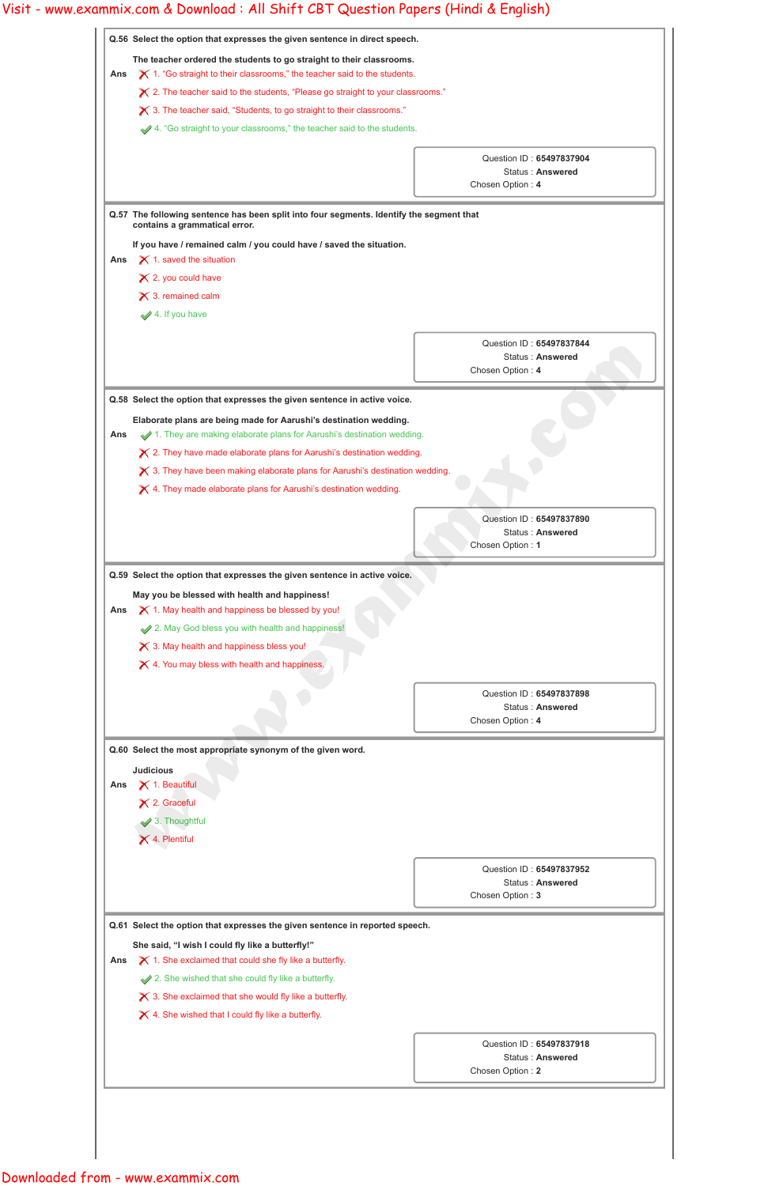|     | Q.56 Select the option that expresses the given sentence in direct speech.                                                                                            |                                                      |
|-----|-----------------------------------------------------------------------------------------------------------------------------------------------------------------------|------------------------------------------------------|
| Ans | The teacher ordered the students to go straight to their classrooms.<br>$\boldsymbol{\times}$ 1. "Go straight to their classrooms," the teacher said to the students. |                                                      |
|     | $\boldsymbol{\times}$ 2. The teacher said to the students, "Please go straight to your classrooms."                                                                   |                                                      |
|     | $\boldsymbol{\times}$ 3. The teacher said, "Students, to go straight to their classrooms."                                                                            |                                                      |
|     | 4. "Go straight to your classrooms," the teacher said to the students.                                                                                                |                                                      |
|     |                                                                                                                                                                       |                                                      |
|     |                                                                                                                                                                       | Question ID: 65497837904<br><b>Status: Answered</b>  |
|     |                                                                                                                                                                       | Chosen Option: 4                                     |
|     |                                                                                                                                                                       |                                                      |
|     | Q.57 The following sentence has been split into four segments. Identify the segment that<br>contains a grammatical error.                                             |                                                      |
|     | If you have / remained calm / you could have / saved the situation.                                                                                                   |                                                      |
| Ans | $\boldsymbol{\times}$ 1. saved the situation                                                                                                                          |                                                      |
|     | $\times$ 2. you could have                                                                                                                                            |                                                      |
|     | $\times$ 3. remained calm                                                                                                                                             |                                                      |
|     | 4. If you have                                                                                                                                                        |                                                      |
|     |                                                                                                                                                                       | Question ID: 65497837844                             |
|     |                                                                                                                                                                       | <b>Status: Answered</b><br>Chosen Option: 4          |
|     |                                                                                                                                                                       |                                                      |
|     | Q.58 Select the option that expresses the given sentence in active voice.                                                                                             |                                                      |
|     | Elaborate plans are being made for Aarushi's destination wedding.                                                                                                     |                                                      |
| Ans | 1. They are making elaborate plans for Aarushi's destination wedding.                                                                                                 |                                                      |
|     | $\boldsymbol{\times}$ 2. They have made elaborate plans for Aarushi's destination wedding.                                                                            |                                                      |
|     | $\boldsymbol{\times}$ 3. They have been making elaborate plans for Aarushi's destination wedding.                                                                     |                                                      |
|     |                                                                                                                                                                       |                                                      |
|     | $\boldsymbol{\times}$ 4. They made elaborate plans for Aarushi's destination wedding.                                                                                 |                                                      |
|     |                                                                                                                                                                       |                                                      |
|     |                                                                                                                                                                       | <b>Status: Answered</b>                              |
|     |                                                                                                                                                                       | Chosen Option: 1                                     |
|     | Q.59 Select the option that expresses the given sentence in active voice.                                                                                             |                                                      |
|     | May you be blessed with health and happiness!                                                                                                                         |                                                      |
| Ans | X 1. May health and happiness be blessed by you!                                                                                                                      |                                                      |
|     | 2. May God bless you with health and happiness!                                                                                                                       |                                                      |
|     | X 3. May health and happiness bless you!                                                                                                                              |                                                      |
|     | $\times$ 4. You may bless with health and happiness.                                                                                                                  |                                                      |
|     |                                                                                                                                                                       |                                                      |
|     |                                                                                                                                                                       | <b>Status: Answered</b>                              |
|     |                                                                                                                                                                       |                                                      |
|     |                                                                                                                                                                       | Chosen Option: 4                                     |
|     | Q.60 Select the most appropriate synonym of the given word.                                                                                                           |                                                      |
|     | <b>Judicious</b>                                                                                                                                                      |                                                      |
| Ans | $\times$ 1. Beautiful                                                                                                                                                 |                                                      |
|     | $\times$ 2. Graceful<br>3. Thoughtful                                                                                                                                 | Question ID: 65497837890<br>Question ID: 65497837898 |

Question ID : **65497837952**

Status : **Answered**

Chosen Option : **3**

**Q.61 Select the option that expresses the given sentence in reported speech.**

**She said, "I wish I could fly like a butterfly!"**

Ans  $\boldsymbol{\times}$  1. She exclaimed that could she fly like a butterfly.

2. She wished that she could fly like a butterfly.

 $\boldsymbol{\times}$  3. She exclaimed that she would fly like a butterfly.

 $\boldsymbol{\times}$  4. She wished that I could fly like a butterfly.

Question ID : **65497837918**

Status : **Answered**

Chosen Option : **2**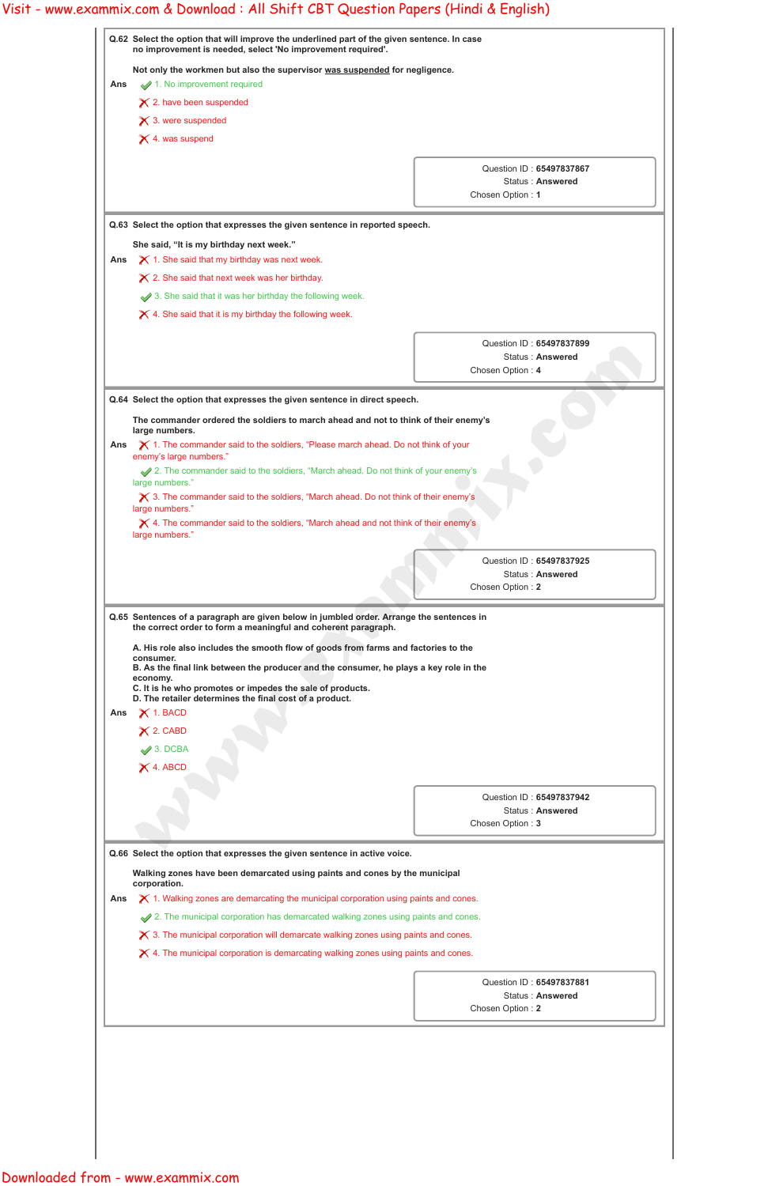|     | Q.62 Select the option that will improve the underlined part of the given sentence. In case<br>no improvement is needed, select 'No improvement required'.                                                                                                                                                                                                                                                                                                                                                                                                                               |                                                                         |
|-----|------------------------------------------------------------------------------------------------------------------------------------------------------------------------------------------------------------------------------------------------------------------------------------------------------------------------------------------------------------------------------------------------------------------------------------------------------------------------------------------------------------------------------------------------------------------------------------------|-------------------------------------------------------------------------|
| Ans | Not only the workmen but also the supervisor was suspended for negligence.<br>1. No improvement required<br>$\times$ 2. have been suspended<br>$\times$ 3. were suspended<br>$\times$ 4. was suspend                                                                                                                                                                                                                                                                                                                                                                                     |                                                                         |
|     |                                                                                                                                                                                                                                                                                                                                                                                                                                                                                                                                                                                          | Question ID: 65497837867<br><b>Status: Answered</b><br>Chosen Option: 1 |
|     | Q.63 Select the option that expresses the given sentence in reported speech.                                                                                                                                                                                                                                                                                                                                                                                                                                                                                                             |                                                                         |
| Ans | She said, "It is my birthday next week."<br>$\boldsymbol{\times}$ 1. She said that my birthday was next week.<br>$\boldsymbol{\times}$ 2. She said that next week was her birthday.<br>3. She said that it was her birthday the following week.<br>$\times$ 4. She said that it is my birthday the following week.                                                                                                                                                                                                                                                                       |                                                                         |
|     |                                                                                                                                                                                                                                                                                                                                                                                                                                                                                                                                                                                          | Question ID: 65497837899<br><b>Status: Answered</b><br>Chosen Option: 4 |
|     | Q.64 Select the option that expresses the given sentence in direct speech.<br>The commander ordered the soldiers to march ahead and not to think of their enemy's<br>large numbers.                                                                                                                                                                                                                                                                                                                                                                                                      |                                                                         |
| Ans | $\boldsymbol{\times}$ 1. The commander said to the soldiers, "Please march ahead. Do not think of your<br>enemy's large numbers."<br>2. The commander said to the soldiers, "March ahead. Do not think of your enemy's<br>large numbers."<br>$\boldsymbol{\times}$ 3. The commander said to the soldiers, "March ahead. Do not think of their enemy's<br>large numbers."<br>$\boldsymbol{\times}$ 4. The commander said to the soldiers, "March ahead and not think of their enemy's<br>large numbers."                                                                                  |                                                                         |
|     |                                                                                                                                                                                                                                                                                                                                                                                                                                                                                                                                                                                          | Question ID: 65497837925<br>Status: Answered<br>Chosen Option: 2        |
| Ans | Q.65 Sentences of a paragraph are given below in jumbled order. Arrange the sentences in<br>the correct order to form a meaningful and coherent paragraph.<br>A. His role also includes the smooth flow of goods from farms and factories to the<br>consumer.<br>B. As the final link between the producer and the consumer, he plays a key role in the<br>economy.<br>C. It is he who promotes or impedes the sale of products.<br>D. The retailer determines the final cost of a product.<br>$\times$ 1. BACD<br>$\times$ 2. CABD<br>$\blacktriangleright$ 3. DCBA<br>$\times$ 4. ABCD |                                                                         |

- **Walking zones have been demarcated using paints and cones by the municipal corporation.**
- Ans  $\bigtimes$  1. Walking zones are demarcating the municipal corporation using paints and cones.
	- 2. The municipal corporation has demarcated walking zones using paints and cones.
	- $\boldsymbol{\times}$  3. The municipal corporation will demarcate walking zones using paints and cones.
	- $\boldsymbol{\times}$  4. The municipal corporation is demarcating walking zones using paints and cones.

Question ID : **65497837881**

Status : **Answered**

Chosen Option : **2**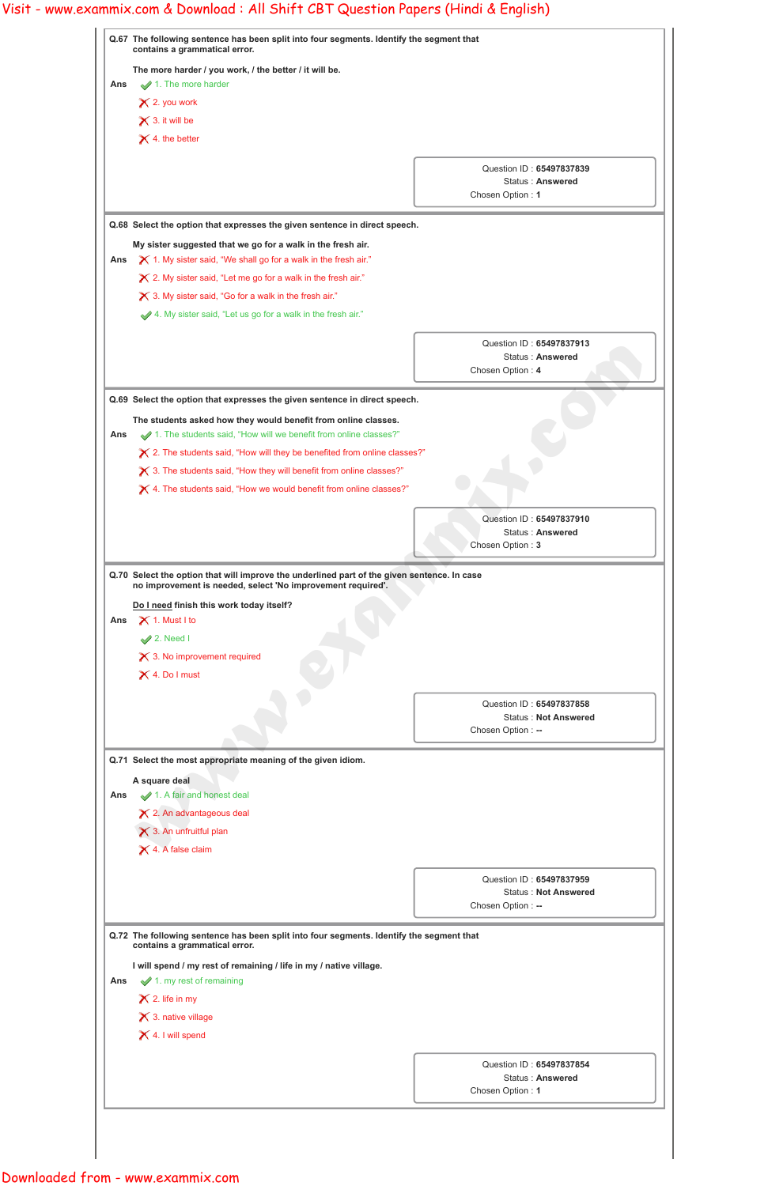|     | Q.67 The following sentence has been split into four segments. Identify the segment that<br>contains a grammatical error.                                                                                                                                                                                                                                                                                                  |                                                                              |
|-----|----------------------------------------------------------------------------------------------------------------------------------------------------------------------------------------------------------------------------------------------------------------------------------------------------------------------------------------------------------------------------------------------------------------------------|------------------------------------------------------------------------------|
| Ans | The more harder / you work, / the better / it will be.<br>1. The more harder<br>$\times$ 2. you work<br>$\times$ 3. it will be<br>$\times$ 4. the better                                                                                                                                                                                                                                                                   |                                                                              |
|     |                                                                                                                                                                                                                                                                                                                                                                                                                            | Question ID: 65497837839<br><b>Status: Answered</b><br>Chosen Option: 1      |
|     | Q.68 Select the option that expresses the given sentence in direct speech.                                                                                                                                                                                                                                                                                                                                                 |                                                                              |
| Ans | My sister suggested that we go for a walk in the fresh air.<br>X 1. My sister said, "We shall go for a walk in the fresh air."<br>$\times$ 2. My sister said, "Let me go for a walk in the fresh air."<br>$\boldsymbol{\times}$ 3. My sister said, "Go for a walk in the fresh air."<br>4. My sister said, "Let us go for a walk in the fresh air."                                                                        |                                                                              |
|     |                                                                                                                                                                                                                                                                                                                                                                                                                            | Question ID: 65497837913<br><b>Status: Answered</b><br>Chosen Option: 4      |
|     | Q.69 Select the option that expresses the given sentence in direct speech.                                                                                                                                                                                                                                                                                                                                                 |                                                                              |
| Ans | The students asked how they would benefit from online classes.<br>1. The students said, "How will we benefit from online classes?"<br>$\boldsymbol{\times}$ 2. The students said, "How will they be benefited from online classes?"<br>$\boldsymbol{\times}$ 3. The students said, "How they will benefit from online classes?"<br>$\boldsymbol{\times}$ 4. The students said, "How we would benefit from online classes?" |                                                                              |
|     |                                                                                                                                                                                                                                                                                                                                                                                                                            | Question ID: 65497837910<br><b>Status: Answered</b><br>Chosen Option: 3      |
|     | Q.70 Select the option that will improve the underlined part of the given sentence. In case<br>no improvement is needed, select 'No improvement required'.                                                                                                                                                                                                                                                                 |                                                                              |
| Ans | Do I need finish this work today itself?<br>$\times$ 1. Must I to<br>$2.$ Need I<br>$\times$ 3. No improvement required<br>X 4. Do I must                                                                                                                                                                                                                                                                                  |                                                                              |
|     |                                                                                                                                                                                                                                                                                                                                                                                                                            | Question ID: 65497837858<br><b>Status: Not Answered</b><br>Chosen Option: -- |
|     | Q.71 Select the most appropriate meaning of the given idiom.                                                                                                                                                                                                                                                                                                                                                               |                                                                              |
| Ans | A square deal<br>1. A fair and honest deal<br>$\times$ 2. An advantageous deal                                                                                                                                                                                                                                                                                                                                             |                                                                              |
|     | $\times$ 3. An unfruitful plan<br>$\times$ 4. A false claim                                                                                                                                                                                                                                                                                                                                                                |                                                                              |
|     |                                                                                                                                                                                                                                                                                                                                                                                                                            |                                                                              |

|     |                                                                                                                           | Question ID: 65497837959<br><b>Status: Not Answered</b><br>Chosen Option: -- |
|-----|---------------------------------------------------------------------------------------------------------------------------|------------------------------------------------------------------------------|
|     | Q.72 The following sentence has been split into four segments. Identify the segment that<br>contains a grammatical error. |                                                                              |
|     | I will spend / my rest of remaining / life in my / native village.                                                        |                                                                              |
| Ans | $\blacktriangleright$ 1. my rest of remaining                                                                             |                                                                              |
|     | $\times$ 2. life in my                                                                                                    |                                                                              |
|     | $\times$ 3. native village                                                                                                |                                                                              |
|     | $\times$ 4. I will spend                                                                                                  |                                                                              |
|     |                                                                                                                           | Question ID: 65497837854                                                     |
|     |                                                                                                                           | Status: Answered                                                             |
|     |                                                                                                                           | Chosen Option: 1                                                             |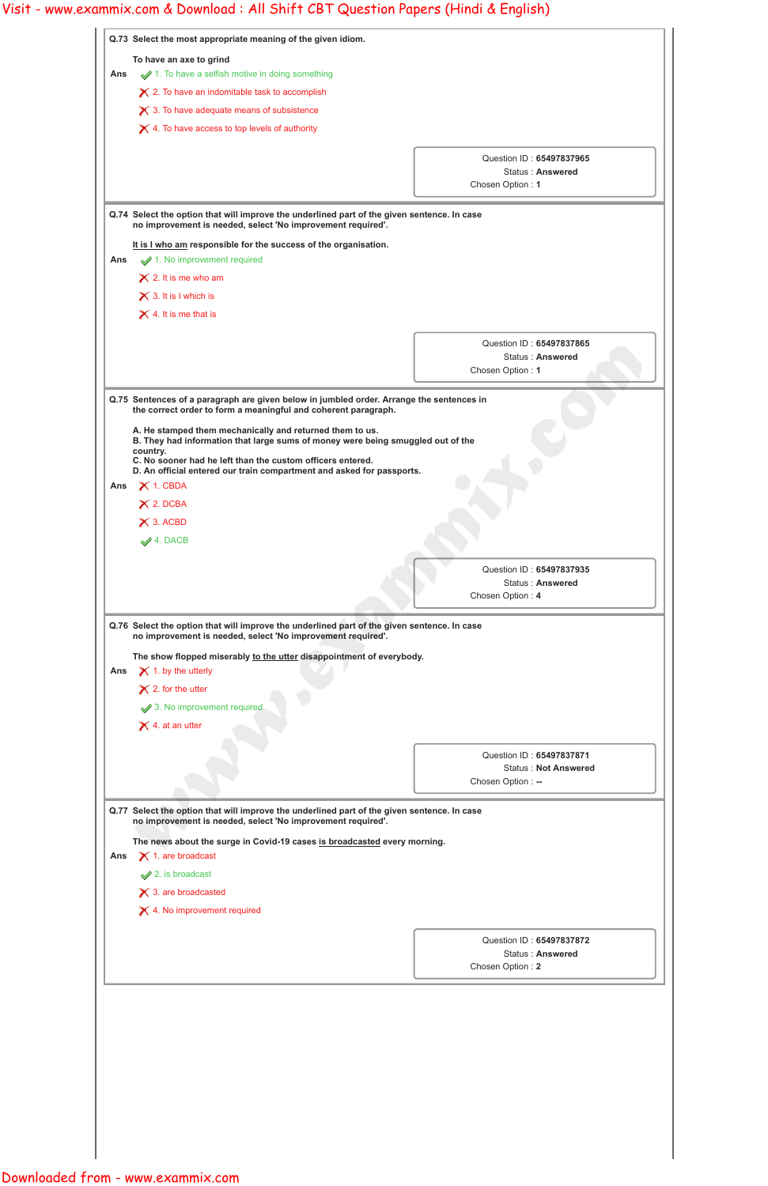|     | Q.73 Select the most appropriate meaning of the given idiom.                                                                                                                                                              |                                                                                          |
|-----|---------------------------------------------------------------------------------------------------------------------------------------------------------------------------------------------------------------------------|------------------------------------------------------------------------------------------|
|     | To have an axe to grind                                                                                                                                                                                                   |                                                                                          |
| Ans | 1. To have a selfish motive in doing something                                                                                                                                                                            |                                                                                          |
|     | $\boldsymbol{\times}$ 2. To have an indomitable task to accomplish                                                                                                                                                        |                                                                                          |
|     | $\boldsymbol{\times}$ 3. To have adequate means of subsistence                                                                                                                                                            |                                                                                          |
|     | $\times$ 4. To have access to top levels of authority                                                                                                                                                                     |                                                                                          |
|     |                                                                                                                                                                                                                           |                                                                                          |
|     |                                                                                                                                                                                                                           | Question ID: 65497837965<br><b>Status: Answered</b>                                      |
|     |                                                                                                                                                                                                                           | Chosen Option: 1                                                                         |
|     | Q.74 Select the option that will improve the underlined part of the given sentence. In case                                                                                                                               |                                                                                          |
|     | no improvement is needed, select 'No improvement required'.                                                                                                                                                               |                                                                                          |
|     | It is I who am responsible for the success of the organisation.<br>$\blacktriangleright$ 1. No improvement required                                                                                                       |                                                                                          |
| Ans |                                                                                                                                                                                                                           |                                                                                          |
|     | $\times$ 2. It is me who am                                                                                                                                                                                               |                                                                                          |
|     | $\times$ 3. It is I which is                                                                                                                                                                                              |                                                                                          |
|     | $\times$ 4. It is me that is                                                                                                                                                                                              |                                                                                          |
|     |                                                                                                                                                                                                                           | Question ID: 65497837865                                                                 |
|     |                                                                                                                                                                                                                           | <b>Status: Answered</b>                                                                  |
|     |                                                                                                                                                                                                                           | Chosen Option: 1                                                                         |
|     | the correct order to form a meaningful and coherent paragraph.<br>A. He stamped them mechanically and returned them to us.<br>B. They had information that large sums of money were being smuggled out of the<br>country. | Q.75 Sentences of a paragraph are given below in jumbled order. Arrange the sentences in |
| Ans | C. No sooner had he left than the custom officers entered.<br>D. An official entered our train compartment and asked for passports.<br>$\times$ 1. CBDA<br>$\times$ 2. DCBA<br>$\times$ 3. ACBD<br>4. DACB                |                                                                                          |
|     |                                                                                                                                                                                                                           |                                                                                          |
|     |                                                                                                                                                                                                                           | Question ID: 65497837935<br><b>Status: Answered</b>                                      |
|     |                                                                                                                                                                                                                           | Chosen Option: 4                                                                         |
|     | Q.76 Select the option that will improve the underlined part of the given sentence. In case<br>no improvement is needed, select 'No improvement required'.                                                                |                                                                                          |
|     | The show flopped miserably to the utter disappointment of everybody.                                                                                                                                                      |                                                                                          |
| Ans | $\boldsymbol{\times}$ 1. by the utterly                                                                                                                                                                                   |                                                                                          |
|     | $\times$ 2. for the utter                                                                                                                                                                                                 |                                                                                          |
|     | 3. No improvement required                                                                                                                                                                                                |                                                                                          |
|     | $\times$ 4. at an utter                                                                                                                                                                                                   |                                                                                          |
|     |                                                                                                                                                                                                                           |                                                                                          |
|     |                                                                                                                                                                                                                           | Question ID: 65497837871                                                                 |
|     |                                                                                                                                                                                                                           | <b>Status: Not Answered</b><br>Chosen Option : --                                        |

|  |  | 2. is broadcast |  |
|--|--|-----------------|--|
|  |  |                 |  |

 $\times$  3. are broadcasted

4. No improvement required

Question ID : **65497837872**

Status : **Answered**

Chosen Option : **2**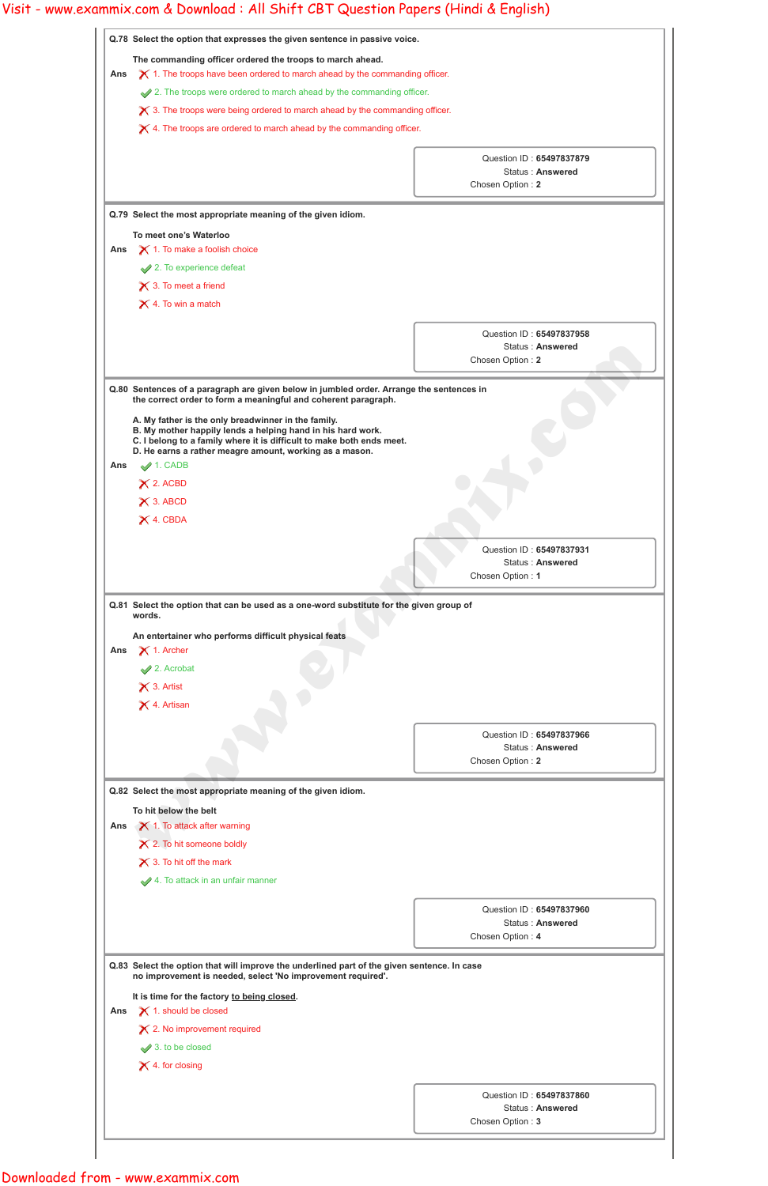|     | Q.78 Select the option that expresses the given sentence in passive voice.                                                                                                      |                                                                         |
|-----|---------------------------------------------------------------------------------------------------------------------------------------------------------------------------------|-------------------------------------------------------------------------|
|     | The commanding officer ordered the troops to march ahead.                                                                                                                       |                                                                         |
| Ans | $\boldsymbol{\times}$ 1. The troops have been ordered to march ahead by the commanding officer.                                                                                 |                                                                         |
|     | 2. The troops were ordered to march ahead by the commanding officer.<br>$\boldsymbol{\times}$ 3. The troops were being ordered to march ahead by the commanding officer.        |                                                                         |
|     | $\boldsymbol{\times}$ 4. The troops are ordered to march ahead by the commanding officer.                                                                                       |                                                                         |
|     |                                                                                                                                                                                 |                                                                         |
|     |                                                                                                                                                                                 | Question ID: 65497837879                                                |
|     |                                                                                                                                                                                 | <b>Status: Answered</b><br>Chosen Option: 2                             |
|     |                                                                                                                                                                                 |                                                                         |
|     | Q.79 Select the most appropriate meaning of the given idiom.                                                                                                                    |                                                                         |
|     | To meet one's Waterloo                                                                                                                                                          |                                                                         |
| Ans | $\boldsymbol{\times}$ 1. To make a foolish choice                                                                                                                               |                                                                         |
|     | 2. To experience defeat                                                                                                                                                         |                                                                         |
|     | $\times$ 3. To meet a friend                                                                                                                                                    |                                                                         |
|     | $\times$ 4. To win a match                                                                                                                                                      |                                                                         |
|     |                                                                                                                                                                                 | Question ID: 65497837958                                                |
|     |                                                                                                                                                                                 | <b>Status: Answered</b>                                                 |
|     |                                                                                                                                                                                 | Chosen Option: 2                                                        |
|     | Q.80 Sentences of a paragraph are given below in jumbled order. Arrange the sentences in                                                                                        |                                                                         |
|     | the correct order to form a meaningful and coherent paragraph.                                                                                                                  |                                                                         |
|     | A. My father is the only breadwinner in the family.<br>B. My mother happily lends a helping hand in his hard work.                                                              |                                                                         |
|     | C. I belong to a family where it is difficult to make both ends meet.<br>D. He earns a rather meagre amount, working as a mason.                                                |                                                                         |
| Ans | $\blacktriangleright$ 1. CADB                                                                                                                                                   |                                                                         |
|     | $\times$ 2. ACBD                                                                                                                                                                |                                                                         |
|     | $\times$ 3. ABCD                                                                                                                                                                |                                                                         |
|     | X 4. CBDA                                                                                                                                                                       |                                                                         |
|     |                                                                                                                                                                                 |                                                                         |
|     |                                                                                                                                                                                 | Question ID: 65497837931<br><b>Status: Answered</b>                     |
|     |                                                                                                                                                                                 | Chosen Option: 1                                                        |
| Ans | Q.81 Select the option that can be used as a one-word substitute for the given group of<br>words.<br>An entertainer who performs difficult physical feats<br>$\times$ 1. Archer |                                                                         |
|     | 2. Acrobat<br>$\times$ 3. Artist<br>X 4. Artisan<br>Q.82 Select the most appropriate meaning of the given idiom.                                                                | Question ID: 65497837966<br><b>Status: Answered</b><br>Chosen Option: 2 |
|     | To hit below the belt                                                                                                                                                           |                                                                         |
| Ans | $\mathsf{X}$ 1. To attack after warning                                                                                                                                         |                                                                         |
|     | $\times$ 2. To hit someone boldly                                                                                                                                               |                                                                         |
|     | $\times$ 3. To hit off the mark                                                                                                                                                 |                                                                         |
|     | 4. To attack in an unfair manner                                                                                                                                                |                                                                         |
|     |                                                                                                                                                                                 |                                                                         |
|     |                                                                                                                                                                                 | <b>Status: Answered</b>                                                 |
|     |                                                                                                                                                                                 | Chosen Option: 4                                                        |
|     | Q.83 Select the option that will improve the underlined part of the given sentence. In case                                                                                     |                                                                         |
|     | no improvement is needed, select 'No improvement required'.                                                                                                                     |                                                                         |
|     | It is time for the factory to being closed.                                                                                                                                     |                                                                         |
|     | $\times$ 1. should be closed                                                                                                                                                    |                                                                         |
|     | $\times$ 2. No improvement required                                                                                                                                             | Question ID: 65497837960                                                |
|     | $\blacktriangleright$ 3. to be closed<br>$\times$ 4. for closing                                                                                                                |                                                                         |
|     |                                                                                                                                                                                 |                                                                         |
| Ans |                                                                                                                                                                                 | Question ID: 65497837860                                                |
|     |                                                                                                                                                                                 | Status: Answered<br>Chosen Option: 3                                    |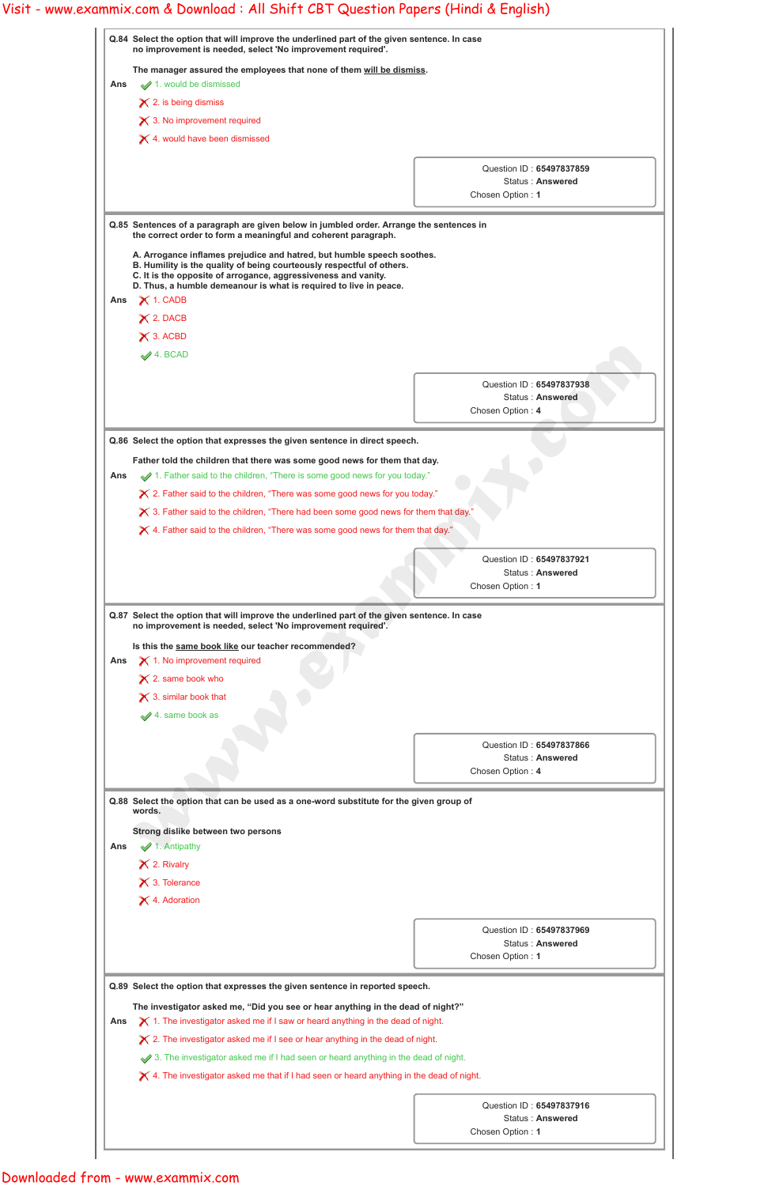|     | Q.84 Select the option that will improve the underlined part of the given sentence. In case<br>no improvement is needed, select 'No improvement required'.                                                                                 |                                              |
|-----|--------------------------------------------------------------------------------------------------------------------------------------------------------------------------------------------------------------------------------------------|----------------------------------------------|
|     | The manager assured the employees that none of them will be dismiss.                                                                                                                                                                       |                                              |
| Ans | 1. would be dismissed                                                                                                                                                                                                                      |                                              |
|     | $\times$ 2. is being dismiss                                                                                                                                                                                                               |                                              |
|     | $\times$ 3. No improvement required                                                                                                                                                                                                        |                                              |
|     | $\times$ 4. would have been dismissed                                                                                                                                                                                                      |                                              |
|     |                                                                                                                                                                                                                                            | Question ID: 65497837859                     |
|     |                                                                                                                                                                                                                                            | <b>Status: Answered</b>                      |
|     |                                                                                                                                                                                                                                            | Chosen Option: 1                             |
|     | Q.85 Sentences of a paragraph are given below in jumbled order. Arrange the sentences in                                                                                                                                                   |                                              |
|     | the correct order to form a meaningful and coherent paragraph.                                                                                                                                                                             |                                              |
|     | A. Arrogance inflames prejudice and hatred, but humble speech soothes.<br>B. Humility is the quality of being courteously respectful of others.                                                                                            |                                              |
|     | C. It is the opposite of arrogance, aggressiveness and vanity.                                                                                                                                                                             |                                              |
| Ans | D. Thus, a humble demeanour is what is required to live in peace.<br>$\boldsymbol{\times}$ 1. CADB                                                                                                                                         |                                              |
|     | $\times$ 2. DACB                                                                                                                                                                                                                           |                                              |
|     | $\times$ 3. ACBD                                                                                                                                                                                                                           |                                              |
|     |                                                                                                                                                                                                                                            |                                              |
|     | 4. BCAD                                                                                                                                                                                                                                    |                                              |
|     |                                                                                                                                                                                                                                            | Question ID: 65497837938                     |
|     |                                                                                                                                                                                                                                            | <b>Status: Answered</b>                      |
|     |                                                                                                                                                                                                                                            | Chosen Option: 4                             |
|     |                                                                                                                                                                                                                                            |                                              |
|     | Q.86 Select the option that expresses the given sentence in direct speech.                                                                                                                                                                 |                                              |
| Ans | Father told the children that there was some good news for them that day.<br>1. Father said to the children, "There is some good news for you today."                                                                                      |                                              |
|     |                                                                                                                                                                                                                                            |                                              |
|     | $\boldsymbol{\times}$ 2. Father said to the children, "There was some good news for you today."                                                                                                                                            |                                              |
|     | $\bigtimes$ 3. Father said to the children, "There had been some good news for them that day."                                                                                                                                             |                                              |
|     | $\boldsymbol{\times}$ 4. Father said to the children, "There was some good news for them that day."                                                                                                                                        |                                              |
|     |                                                                                                                                                                                                                                            | Question ID: 65497837921                     |
|     |                                                                                                                                                                                                                                            | <b>Status: Answered</b>                      |
|     |                                                                                                                                                                                                                                            | Chosen Option: 1                             |
| Ans | no improvement is needed, select 'No improvement required'.<br>Is this the same book like our teacher recommended?<br>$\times$ 1. No improvement required<br>$\times$ 2. same book who<br>$\times$ 3. similar book that<br>4. same book as |                                              |
|     |                                                                                                                                                                                                                                            |                                              |
|     |                                                                                                                                                                                                                                            | Question ID: 65497837866                     |
|     |                                                                                                                                                                                                                                            | <b>Status: Answered</b>                      |
|     |                                                                                                                                                                                                                                            | Chosen Option: 4                             |
|     | Q.88 Select the option that can be used as a one-word substitute for the given group of                                                                                                                                                    |                                              |
|     | words.                                                                                                                                                                                                                                     |                                              |
|     | Strong dislike between two persons                                                                                                                                                                                                         |                                              |
| Ans | 1. Antipathy                                                                                                                                                                                                                               |                                              |
|     | $\times$ 2. Rivalry                                                                                                                                                                                                                        |                                              |
|     |                                                                                                                                                                                                                                            |                                              |
|     | $\times$ 3. Tolerance                                                                                                                                                                                                                      |                                              |
|     | X 4. Adoration                                                                                                                                                                                                                             |                                              |
|     |                                                                                                                                                                                                                                            |                                              |
|     |                                                                                                                                                                                                                                            | Question ID: 65497837969<br>Status: Answered |
|     |                                                                                                                                                                                                                                            | Chosen Option: 1                             |
|     |                                                                                                                                                                                                                                            |                                              |
|     | Q.89 Select the option that expresses the given sentence in reported speech.                                                                                                                                                               |                                              |
|     | The investigator asked me, "Did you see or hear anything in the dead of night?"                                                                                                                                                            |                                              |
| Ans | $\boldsymbol{\times}$ 1. The investigator asked me if I saw or heard anything in the dead of night.                                                                                                                                        |                                              |
|     | $\boldsymbol{\times}$ 2. The investigator asked me if I see or hear anything in the dead of night.                                                                                                                                         |                                              |
|     | 3. The investigator asked me if I had seen or heard anything in the dead of night.                                                                                                                                                         |                                              |
|     | $\blacktriangleright$ 4. The investigator asked me that if I had seen or heard anything in the dead of night.                                                                                                                              |                                              |
|     |                                                                                                                                                                                                                                            |                                              |
|     |                                                                                                                                                                                                                                            | Question ID: 65497837916                     |
|     |                                                                                                                                                                                                                                            | <b>Status: Answered</b><br>Chosen Option: 1  |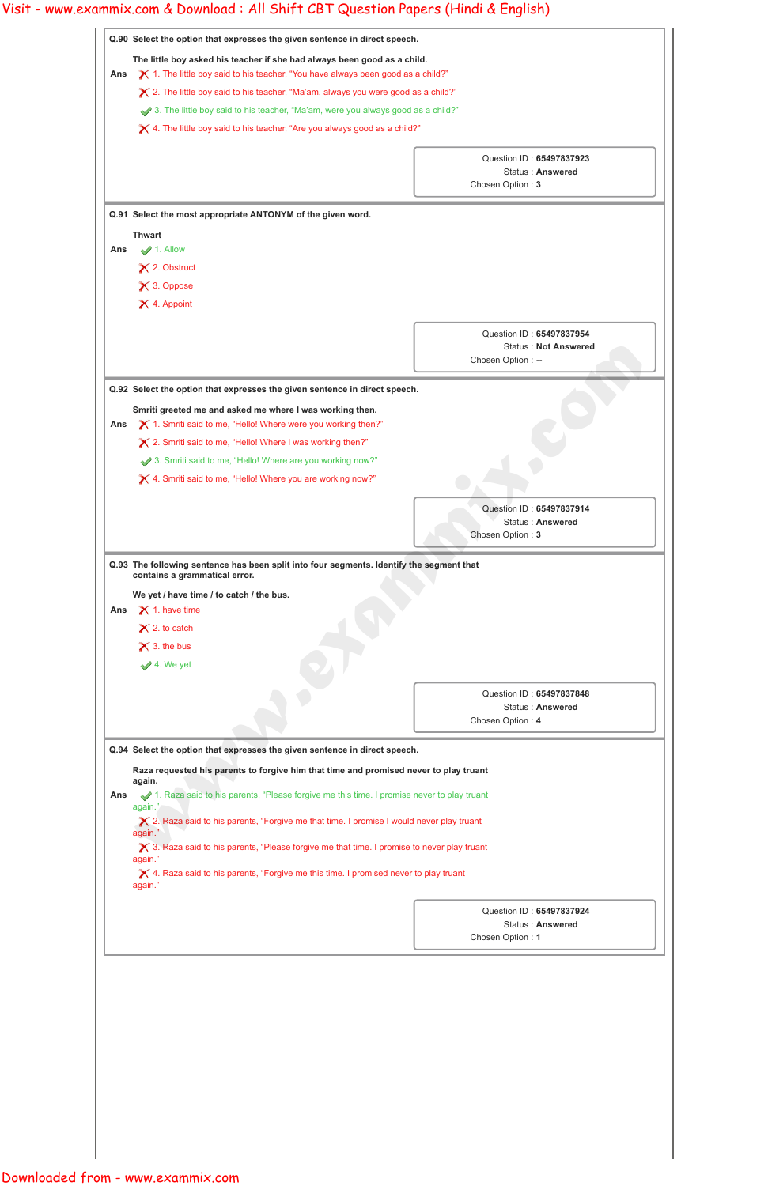| Ans |                                                                                                                                                                                                             |                                                         |
|-----|-------------------------------------------------------------------------------------------------------------------------------------------------------------------------------------------------------------|---------------------------------------------------------|
|     | The little boy asked his teacher if she had always been good as a child.<br>$\boldsymbol{\times}$ 1. The little boy said to his teacher, "You have always been good as a child?"                            |                                                         |
|     | $\boldsymbol{\times}$ 2. The little boy said to his teacher, "Ma'am, always you were good as a child?"                                                                                                      |                                                         |
|     | 3. The little boy said to his teacher, "Ma'am, were you always good as a child?"                                                                                                                            |                                                         |
|     | $\boldsymbol{\times}$ 4. The little boy said to his teacher, "Are you always good as a child?"                                                                                                              |                                                         |
|     |                                                                                                                                                                                                             | Question ID: 65497837923                                |
|     |                                                                                                                                                                                                             | Status: Answered<br>Chosen Option: 3                    |
|     |                                                                                                                                                                                                             |                                                         |
|     | Q.91 Select the most appropriate ANTONYM of the given word.                                                                                                                                                 |                                                         |
|     | <b>Thwart</b>                                                                                                                                                                                               |                                                         |
| Ans | $\blacktriangleright$ 1. Allow<br>$\times$ 2. Obstruct                                                                                                                                                      |                                                         |
|     | X 3. Oppose                                                                                                                                                                                                 |                                                         |
|     | X 4. Appoint                                                                                                                                                                                                |                                                         |
|     |                                                                                                                                                                                                             |                                                         |
|     |                                                                                                                                                                                                             | Question ID: 65497837954<br><b>Status: Not Answered</b> |
|     |                                                                                                                                                                                                             | Chosen Option : --                                      |
|     | Q.92 Select the option that expresses the given sentence in direct speech.                                                                                                                                  |                                                         |
|     | Smriti greeted me and asked me where I was working then.                                                                                                                                                    |                                                         |
| Ans | X 1. Smriti said to me, "Hello! Where were you working then?"                                                                                                                                               |                                                         |
|     |                                                                                                                                                                                                             |                                                         |
|     | X 2. Smriti said to me, "Hello! Where I was working then?"                                                                                                                                                  |                                                         |
|     | 3. Smriti said to me, "Hello! Where are you working now?"                                                                                                                                                   |                                                         |
|     | X 4. Smriti said to me, "Hello! Where you are working now?"                                                                                                                                                 |                                                         |
|     |                                                                                                                                                                                                             | Question ID: 65497837914                                |
|     |                                                                                                                                                                                                             | <b>Status: Answered</b>                                 |
| Ans | Q.93 The following sentence has been split into four segments. Identify the segment that<br>contains a grammatical error.<br>We yet / have time / to catch / the bus.<br>$\boldsymbol{\times}$ 1. have time | Chosen Option: 3                                        |
|     | $\times$ 2. to catch<br>$\times$ 3. the bus                                                                                                                                                                 |                                                         |
|     | $4.$ We yet                                                                                                                                                                                                 |                                                         |
|     |                                                                                                                                                                                                             | Question ID: 65497837848                                |
|     |                                                                                                                                                                                                             | Status: Answered                                        |
|     |                                                                                                                                                                                                             | Chosen Option: 4                                        |
|     | Q.94 Select the option that expresses the given sentence in direct speech.                                                                                                                                  |                                                         |
|     | Raza requested his parents to forgive him that time and promised never to play truant                                                                                                                       |                                                         |
| Ans | again.<br>1. Raza said to his parents, "Please forgive me this time. I promise never to play truant                                                                                                         |                                                         |
|     | again."<br>X 2. Raza said to his parents, "Forgive me that time. I promise I would never play truant                                                                                                        |                                                         |
|     | again."                                                                                                                                                                                                     |                                                         |
|     | $\bigtimes$ 3. Raza said to his parents, "Please forgive me that time. I promise to never play truant<br>again."                                                                                            |                                                         |
|     | $\blacktriangleright$ 4. Raza said to his parents, "Forgive me this time. I promised never to play truant<br>again."                                                                                        |                                                         |
|     |                                                                                                                                                                                                             | Question ID: 65497837924                                |
|     |                                                                                                                                                                                                             | <b>Status: Answered</b><br>Chosen Option: 1             |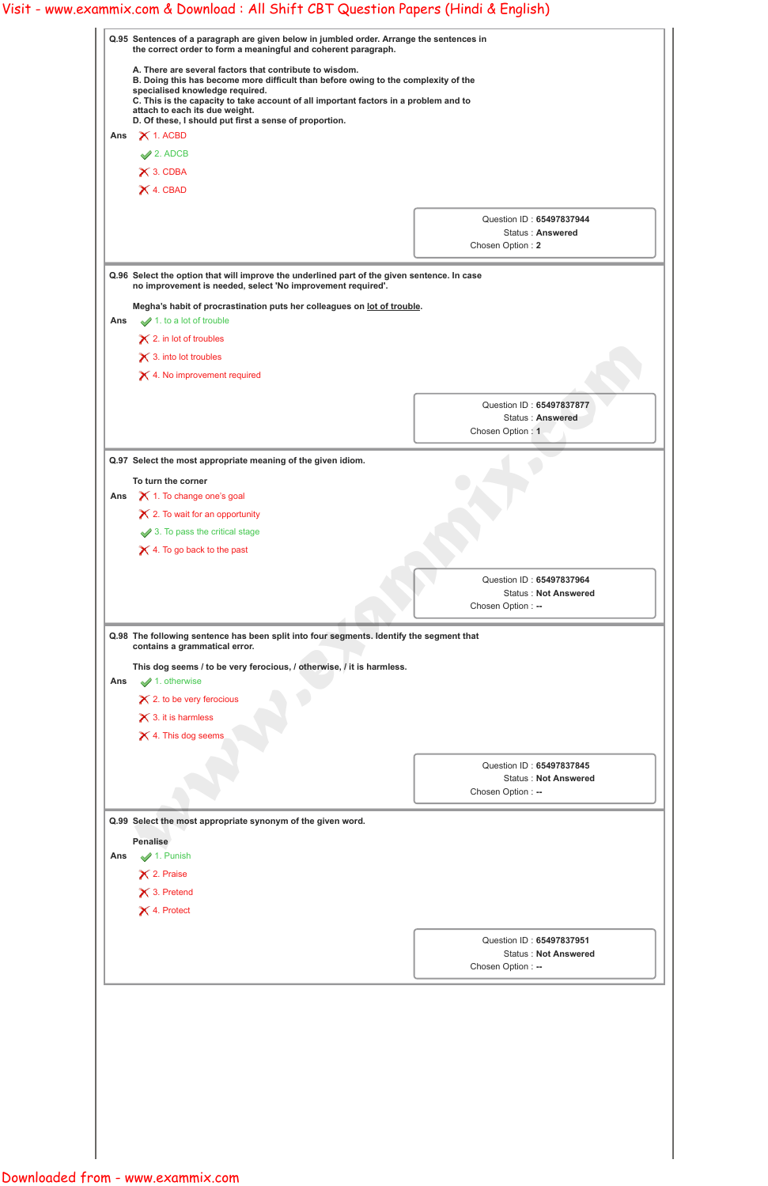|     | Q.95 Sentences of a paragraph are given below in jumbled order. Arrange the sentences in<br>the correct order to form a meaningful and coherent paragraph.                                                                                                                                                                                                           |                                                                               |
|-----|----------------------------------------------------------------------------------------------------------------------------------------------------------------------------------------------------------------------------------------------------------------------------------------------------------------------------------------------------------------------|-------------------------------------------------------------------------------|
|     | A. There are several factors that contribute to wisdom.<br>B. Doing this has become more difficult than before owing to the complexity of the<br>specialised knowledge required.<br>C. This is the capacity to take account of all important factors in a problem and to<br>attach to each its due weight.<br>D. Of these, I should put first a sense of proportion. |                                                                               |
| Ans | $\times$ 1. ACBD                                                                                                                                                                                                                                                                                                                                                     |                                                                               |
|     | $\blacktriangleright$ 2. ADCB                                                                                                                                                                                                                                                                                                                                        |                                                                               |
|     | $\times$ 3. CDBA                                                                                                                                                                                                                                                                                                                                                     |                                                                               |
|     | X 4. CBAD                                                                                                                                                                                                                                                                                                                                                            |                                                                               |
|     |                                                                                                                                                                                                                                                                                                                                                                      | Question ID: 65497837944<br><b>Status: Answered</b><br>Chosen Option: 2       |
|     | Q.96 Select the option that will improve the underlined part of the given sentence. In case                                                                                                                                                                                                                                                                          |                                                                               |
|     | no improvement is needed, select 'No improvement required'.                                                                                                                                                                                                                                                                                                          |                                                                               |
| Ans | Megha's habit of procrastination puts her colleagues on lot of trouble.<br>$\blacktriangleright$ 1. to a lot of trouble                                                                                                                                                                                                                                              |                                                                               |
|     | $\times$ 2. in lot of troubles                                                                                                                                                                                                                                                                                                                                       |                                                                               |
|     | $\times$ 3. into lot troubles                                                                                                                                                                                                                                                                                                                                        |                                                                               |
|     | $\times$ 4. No improvement required                                                                                                                                                                                                                                                                                                                                  |                                                                               |
|     |                                                                                                                                                                                                                                                                                                                                                                      | Question ID: 65497837877                                                      |
|     |                                                                                                                                                                                                                                                                                                                                                                      | <b>Status: Answered</b>                                                       |
|     |                                                                                                                                                                                                                                                                                                                                                                      | Chosen Option: 1                                                              |
|     | Q.97 Select the most appropriate meaning of the given idiom.                                                                                                                                                                                                                                                                                                         |                                                                               |
|     | To turn the corner                                                                                                                                                                                                                                                                                                                                                   |                                                                               |
| Ans | X 1. To change one's goal                                                                                                                                                                                                                                                                                                                                            |                                                                               |
|     | $\times$ 2. To wait for an opportunity                                                                                                                                                                                                                                                                                                                               |                                                                               |
|     | 3. To pass the critical stage                                                                                                                                                                                                                                                                                                                                        |                                                                               |
|     | $\times$ 4. To go back to the past                                                                                                                                                                                                                                                                                                                                   |                                                                               |
|     |                                                                                                                                                                                                                                                                                                                                                                      | Question ID: 65497837964<br><b>Status: Not Answered</b>                       |
|     |                                                                                                                                                                                                                                                                                                                                                                      | Chosen Option : --                                                            |
|     | Q.98 The following sentence has been split into four segments. Identify the segment that                                                                                                                                                                                                                                                                             |                                                                               |
|     | contains a grammatical error.                                                                                                                                                                                                                                                                                                                                        |                                                                               |
| Ans | This dog seems / to be very ferocious, / otherwise, / it is harmless.<br>$\blacktriangleright$ 1. otherwise                                                                                                                                                                                                                                                          |                                                                               |
|     | $\times$ 2. to be very ferocious                                                                                                                                                                                                                                                                                                                                     |                                                                               |
|     |                                                                                                                                                                                                                                                                                                                                                                      |                                                                               |
|     | $\times$ 3. it is harmless                                                                                                                                                                                                                                                                                                                                           |                                                                               |
|     | $\times$ 4. This dog seems                                                                                                                                                                                                                                                                                                                                           |                                                                               |
|     |                                                                                                                                                                                                                                                                                                                                                                      |                                                                               |
|     |                                                                                                                                                                                                                                                                                                                                                                      | Question ID: 65497837845<br><b>Status: Not Answered</b>                       |
|     |                                                                                                                                                                                                                                                                                                                                                                      | Chosen Option : --                                                            |
|     | Q.99 Select the most appropriate synonym of the given word.                                                                                                                                                                                                                                                                                                          |                                                                               |
|     | <b>Penalise</b>                                                                                                                                                                                                                                                                                                                                                      |                                                                               |
|     | $\blacktriangleright$ 1. Punish                                                                                                                                                                                                                                                                                                                                      |                                                                               |
| Ans | $\times$ 2. Praise                                                                                                                                                                                                                                                                                                                                                   |                                                                               |
|     | $\times$ 3. Pretend                                                                                                                                                                                                                                                                                                                                                  |                                                                               |
|     | X 4. Protect                                                                                                                                                                                                                                                                                                                                                         |                                                                               |
|     |                                                                                                                                                                                                                                                                                                                                                                      |                                                                               |
|     |                                                                                                                                                                                                                                                                                                                                                                      | Question ID: 65497837951<br><b>Status: Not Answered</b><br>Chosen Option : -- |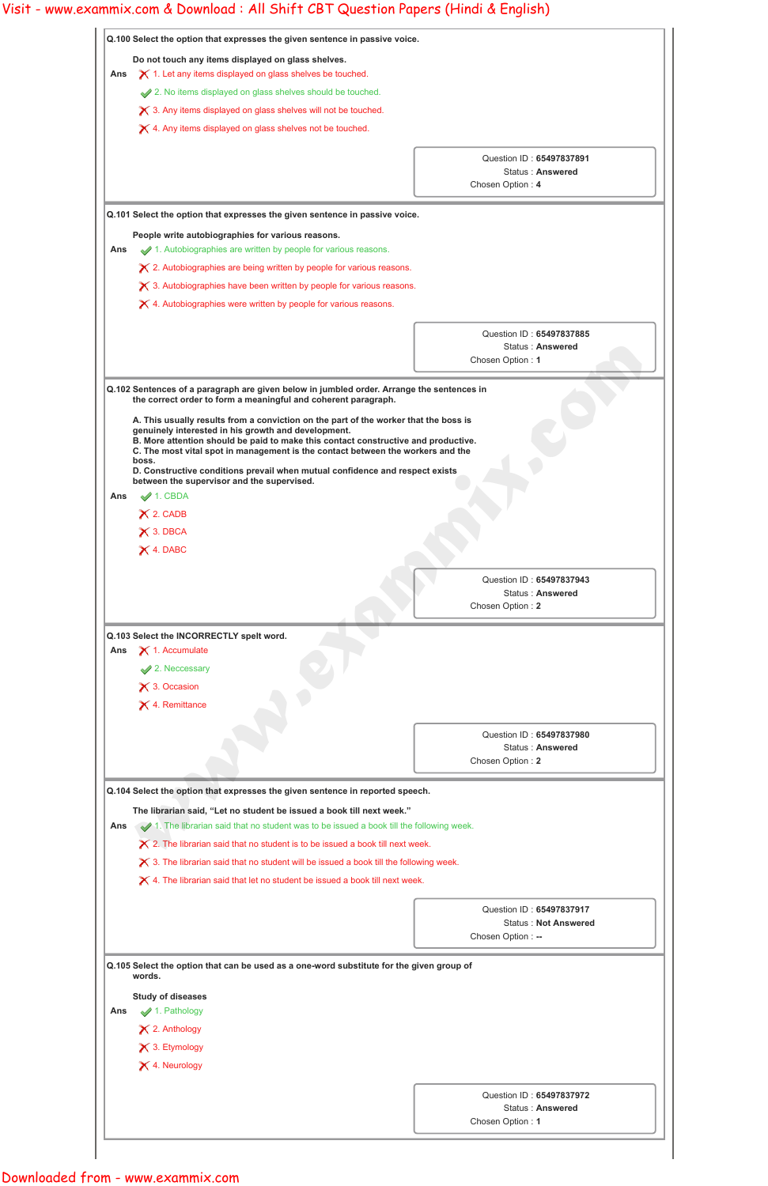|     | Q.100 Select the option that expresses the given sentence in passive voice.                                                                                                                                                                                                                                                                                                                                                                                 |                                                     |
|-----|-------------------------------------------------------------------------------------------------------------------------------------------------------------------------------------------------------------------------------------------------------------------------------------------------------------------------------------------------------------------------------------------------------------------------------------------------------------|-----------------------------------------------------|
|     | Do not touch any items displayed on glass shelves.                                                                                                                                                                                                                                                                                                                                                                                                          |                                                     |
| Ans | $\boldsymbol{\times}$ 1. Let any items displayed on glass shelves be touched.                                                                                                                                                                                                                                                                                                                                                                               |                                                     |
|     | 2. No items displayed on glass shelves should be touched.                                                                                                                                                                                                                                                                                                                                                                                                   |                                                     |
|     | $\boldsymbol{\times}$ 3. Any items displayed on glass shelves will not be touched.                                                                                                                                                                                                                                                                                                                                                                          |                                                     |
|     | $\times$ 4. Any items displayed on glass shelves not be touched.                                                                                                                                                                                                                                                                                                                                                                                            |                                                     |
|     |                                                                                                                                                                                                                                                                                                                                                                                                                                                             | Question ID: 65497837891                            |
|     |                                                                                                                                                                                                                                                                                                                                                                                                                                                             | Status: Answered<br>Chosen Option: 4                |
|     | Q.101 Select the option that expresses the given sentence in passive voice.                                                                                                                                                                                                                                                                                                                                                                                 |                                                     |
|     | People write autobiographies for various reasons.                                                                                                                                                                                                                                                                                                                                                                                                           |                                                     |
| Ans | 1. Autobiographies are written by people for various reasons.                                                                                                                                                                                                                                                                                                                                                                                               |                                                     |
|     | $\boldsymbol{\times}$ 2. Autobiographies are being written by people for various reasons.                                                                                                                                                                                                                                                                                                                                                                   |                                                     |
|     | $\boldsymbol{\times}$ 3. Autobiographies have been written by people for various reasons.                                                                                                                                                                                                                                                                                                                                                                   |                                                     |
|     | $\boldsymbol{\times}$ 4. Autobiographies were written by people for various reasons.                                                                                                                                                                                                                                                                                                                                                                        |                                                     |
|     |                                                                                                                                                                                                                                                                                                                                                                                                                                                             |                                                     |
|     |                                                                                                                                                                                                                                                                                                                                                                                                                                                             | Question ID: 65497837885<br><b>Status: Answered</b> |
|     |                                                                                                                                                                                                                                                                                                                                                                                                                                                             | Chosen Option: 1                                    |
|     |                                                                                                                                                                                                                                                                                                                                                                                                                                                             |                                                     |
|     | A. This usually results from a conviction on the part of the worker that the boss is<br>genuinely interested in his growth and development.<br>B. More attention should be paid to make this contact constructive and productive.<br>C. The most vital spot in management is the contact between the workers and the<br>boss.<br>D. Constructive conditions prevail when mutual confidence and respect exists<br>between the supervisor and the supervised. |                                                     |
| Ans | $\blacktriangleright$ 1. CBDA<br>$\times$ 2. CADB<br>$\times$ 3. DBCA                                                                                                                                                                                                                                                                                                                                                                                       |                                                     |
|     | $\times$ 4. DABC                                                                                                                                                                                                                                                                                                                                                                                                                                            |                                                     |
|     |                                                                                                                                                                                                                                                                                                                                                                                                                                                             |                                                     |
|     |                                                                                                                                                                                                                                                                                                                                                                                                                                                             | Question ID: 65497837943<br><b>Status: Answered</b> |
|     |                                                                                                                                                                                                                                                                                                                                                                                                                                                             | Chosen Option: 2                                    |
|     | Q.103 Select the INCORRECTLY spelt word.                                                                                                                                                                                                                                                                                                                                                                                                                    |                                                     |
| Ans | $\times$ 1. Accumulate                                                                                                                                                                                                                                                                                                                                                                                                                                      |                                                     |
|     | 2. Neccessary                                                                                                                                                                                                                                                                                                                                                                                                                                               |                                                     |
|     | $\times$ 3. Occasion                                                                                                                                                                                                                                                                                                                                                                                                                                        |                                                     |
|     | $\times$ 4. Remittance                                                                                                                                                                                                                                                                                                                                                                                                                                      |                                                     |
|     |                                                                                                                                                                                                                                                                                                                                                                                                                                                             |                                                     |
|     |                                                                                                                                                                                                                                                                                                                                                                                                                                                             | Question ID: 65497837980<br><b>Status: Answered</b> |
|     |                                                                                                                                                                                                                                                                                                                                                                                                                                                             | Chosen Option: 2                                    |
|     |                                                                                                                                                                                                                                                                                                                                                                                                                                                             |                                                     |
|     | Q.104 Select the option that expresses the given sentence in reported speech.                                                                                                                                                                                                                                                                                                                                                                               |                                                     |
|     | The librarian said, "Let no student be issued a book till next week."                                                                                                                                                                                                                                                                                                                                                                                       |                                                     |
| Ans | 1. The librarian said that no student was to be issued a book till the following week.                                                                                                                                                                                                                                                                                                                                                                      |                                                     |
|     | $\boldsymbol{\times}$ 2. The librarian said that no student is to be issued a book till next week.<br>$\boldsymbol{\times}$ 3. The librarian said that no student will be issued a book till the following week.                                                                                                                                                                                                                                            |                                                     |

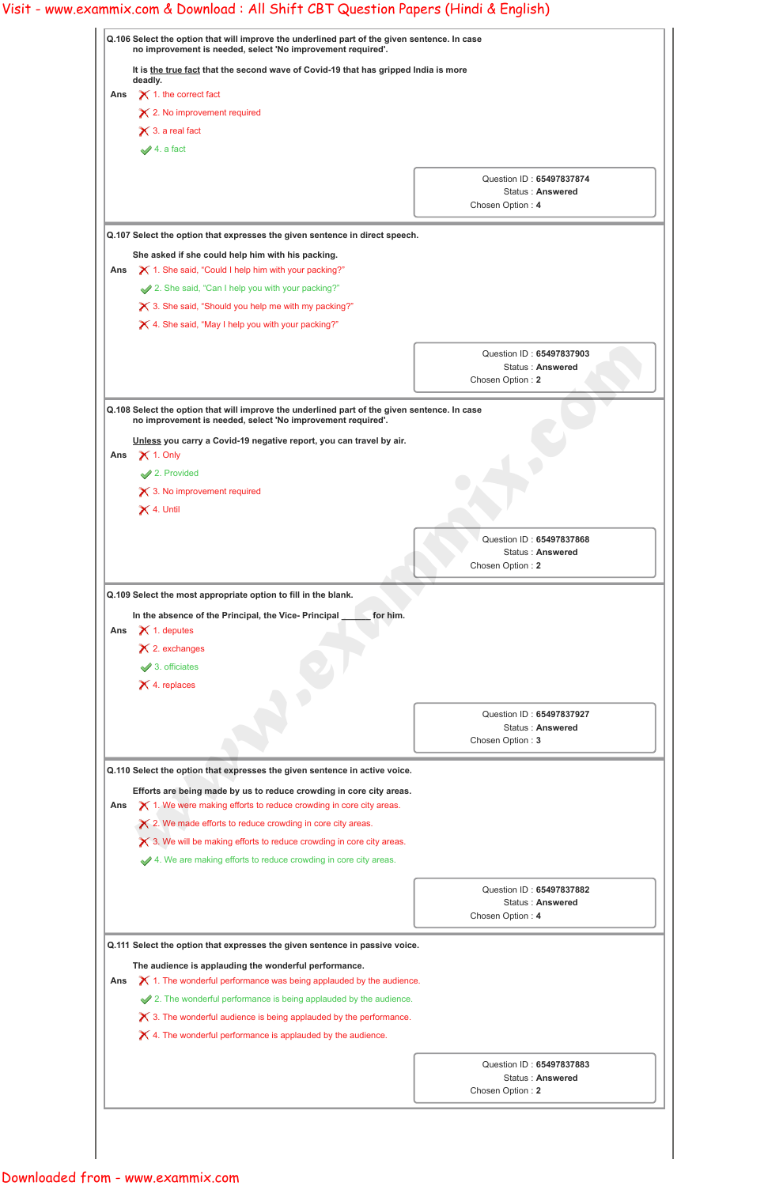| It is the true fact that the second wave of Covid-19 that has gripped India is more<br>deadly.<br>$\times$ 1. the correct fact<br>Ans<br>$\times$ 2. No improvement required<br>$\times$ 3. a real fact<br>4. a fact<br>Q.107 Select the option that expresses the given sentence in direct speech.<br>She asked if she could help him with his packing.<br>$\boldsymbol{\times}$ 1. She said, "Could I help him with your packing?"<br>Ans<br>2. She said, "Can I help you with your packing?"<br>$\times$ 3. She said, "Should you help me with my packing?"<br>$\times$ 4. She said, "May I help you with your packing?"<br>Q.108 Select the option that will improve the underlined part of the given sentence. In case<br>no improvement is needed, select 'No improvement required'.<br>Unless you carry a Covid-19 negative report, you can travel by air.<br>$\boldsymbol{\times}$ 1. Only<br>Ans<br>2. Provided<br>$\times$ 3. No improvement required<br>$\times$ 4. Until | Question ID: 65497837874<br>Status: Answered<br>Chosen Option: 4<br>Question ID: 65497837903<br>Status: Answered<br>Chosen Option: 2 |
|--------------------------------------------------------------------------------------------------------------------------------------------------------------------------------------------------------------------------------------------------------------------------------------------------------------------------------------------------------------------------------------------------------------------------------------------------------------------------------------------------------------------------------------------------------------------------------------------------------------------------------------------------------------------------------------------------------------------------------------------------------------------------------------------------------------------------------------------------------------------------------------------------------------------------------------------------------------------------------------|--------------------------------------------------------------------------------------------------------------------------------------|
|                                                                                                                                                                                                                                                                                                                                                                                                                                                                                                                                                                                                                                                                                                                                                                                                                                                                                                                                                                                      |                                                                                                                                      |
|                                                                                                                                                                                                                                                                                                                                                                                                                                                                                                                                                                                                                                                                                                                                                                                                                                                                                                                                                                                      |                                                                                                                                      |
|                                                                                                                                                                                                                                                                                                                                                                                                                                                                                                                                                                                                                                                                                                                                                                                                                                                                                                                                                                                      |                                                                                                                                      |
|                                                                                                                                                                                                                                                                                                                                                                                                                                                                                                                                                                                                                                                                                                                                                                                                                                                                                                                                                                                      |                                                                                                                                      |
|                                                                                                                                                                                                                                                                                                                                                                                                                                                                                                                                                                                                                                                                                                                                                                                                                                                                                                                                                                                      |                                                                                                                                      |
|                                                                                                                                                                                                                                                                                                                                                                                                                                                                                                                                                                                                                                                                                                                                                                                                                                                                                                                                                                                      |                                                                                                                                      |
|                                                                                                                                                                                                                                                                                                                                                                                                                                                                                                                                                                                                                                                                                                                                                                                                                                                                                                                                                                                      |                                                                                                                                      |
|                                                                                                                                                                                                                                                                                                                                                                                                                                                                                                                                                                                                                                                                                                                                                                                                                                                                                                                                                                                      |                                                                                                                                      |
|                                                                                                                                                                                                                                                                                                                                                                                                                                                                                                                                                                                                                                                                                                                                                                                                                                                                                                                                                                                      |                                                                                                                                      |
|                                                                                                                                                                                                                                                                                                                                                                                                                                                                                                                                                                                                                                                                                                                                                                                                                                                                                                                                                                                      |                                                                                                                                      |
|                                                                                                                                                                                                                                                                                                                                                                                                                                                                                                                                                                                                                                                                                                                                                                                                                                                                                                                                                                                      |                                                                                                                                      |
|                                                                                                                                                                                                                                                                                                                                                                                                                                                                                                                                                                                                                                                                                                                                                                                                                                                                                                                                                                                      |                                                                                                                                      |
|                                                                                                                                                                                                                                                                                                                                                                                                                                                                                                                                                                                                                                                                                                                                                                                                                                                                                                                                                                                      |                                                                                                                                      |
|                                                                                                                                                                                                                                                                                                                                                                                                                                                                                                                                                                                                                                                                                                                                                                                                                                                                                                                                                                                      |                                                                                                                                      |
|                                                                                                                                                                                                                                                                                                                                                                                                                                                                                                                                                                                                                                                                                                                                                                                                                                                                                                                                                                                      |                                                                                                                                      |
|                                                                                                                                                                                                                                                                                                                                                                                                                                                                                                                                                                                                                                                                                                                                                                                                                                                                                                                                                                                      |                                                                                                                                      |
|                                                                                                                                                                                                                                                                                                                                                                                                                                                                                                                                                                                                                                                                                                                                                                                                                                                                                                                                                                                      | Question ID: 65497837868<br><b>Status: Answered</b><br>Chosen Option: 2                                                              |
| Q.109 Select the most appropriate option to fill in the blank.                                                                                                                                                                                                                                                                                                                                                                                                                                                                                                                                                                                                                                                                                                                                                                                                                                                                                                                       |                                                                                                                                      |
| In the absence of the Principal, the Vice- Principal<br>for him.                                                                                                                                                                                                                                                                                                                                                                                                                                                                                                                                                                                                                                                                                                                                                                                                                                                                                                                     |                                                                                                                                      |
| $\boldsymbol{\times}$ 1. deputes<br>Ans                                                                                                                                                                                                                                                                                                                                                                                                                                                                                                                                                                                                                                                                                                                                                                                                                                                                                                                                              |                                                                                                                                      |
| $\times$ 2. exchanges                                                                                                                                                                                                                                                                                                                                                                                                                                                                                                                                                                                                                                                                                                                                                                                                                                                                                                                                                                |                                                                                                                                      |
| $\blacktriangleright$ 3. officiates                                                                                                                                                                                                                                                                                                                                                                                                                                                                                                                                                                                                                                                                                                                                                                                                                                                                                                                                                  |                                                                                                                                      |
| $\times$ 4. replaces                                                                                                                                                                                                                                                                                                                                                                                                                                                                                                                                                                                                                                                                                                                                                                                                                                                                                                                                                                 |                                                                                                                                      |
|                                                                                                                                                                                                                                                                                                                                                                                                                                                                                                                                                                                                                                                                                                                                                                                                                                                                                                                                                                                      | Question ID: 65497837927                                                                                                             |
|                                                                                                                                                                                                                                                                                                                                                                                                                                                                                                                                                                                                                                                                                                                                                                                                                                                                                                                                                                                      | <b>Status: Answered</b>                                                                                                              |
|                                                                                                                                                                                                                                                                                                                                                                                                                                                                                                                                                                                                                                                                                                                                                                                                                                                                                                                                                                                      | Chosen Option: 3                                                                                                                     |
| Q.110 Select the option that expresses the given sentence in active voice.                                                                                                                                                                                                                                                                                                                                                                                                                                                                                                                                                                                                                                                                                                                                                                                                                                                                                                           |                                                                                                                                      |
| Efforts are being made by us to reduce crowding in core city areas.                                                                                                                                                                                                                                                                                                                                                                                                                                                                                                                                                                                                                                                                                                                                                                                                                                                                                                                  |                                                                                                                                      |
| $\boldsymbol{\times}$ 1. We were making efforts to reduce crowding in core city areas.<br>Ans                                                                                                                                                                                                                                                                                                                                                                                                                                                                                                                                                                                                                                                                                                                                                                                                                                                                                        |                                                                                                                                      |
|                                                                                                                                                                                                                                                                                                                                                                                                                                                                                                                                                                                                                                                                                                                                                                                                                                                                                                                                                                                      |                                                                                                                                      |
| $\boldsymbol{\times}$ 2. We made efforts to reduce crowding in core city areas.                                                                                                                                                                                                                                                                                                                                                                                                                                                                                                                                                                                                                                                                                                                                                                                                                                                                                                      |                                                                                                                                      |
| $\boldsymbol{\times}$ 3. We will be making efforts to reduce crowding in core city areas.                                                                                                                                                                                                                                                                                                                                                                                                                                                                                                                                                                                                                                                                                                                                                                                                                                                                                            |                                                                                                                                      |

Question ID : **65497837882**

Status : **Answered**

Chosen Option : **4**

**Q.111 Select the option that expresses the given sentence in passive voice.**

**The audience is applauding the wonderful performance.**

Ans  $\bigtimes$  1. The wonderful performance was being applauded by the audience.

2. The wonderful performance is being applauded by the audience.

 $\boldsymbol{\times}$  3. The wonderful audience is being applauded by the performance.

 $\boldsymbol{\times}$  4. The wonderful performance is applauded by the audience.

Question ID : **65497837883**

Status : **Answered**

Chosen Option : **2**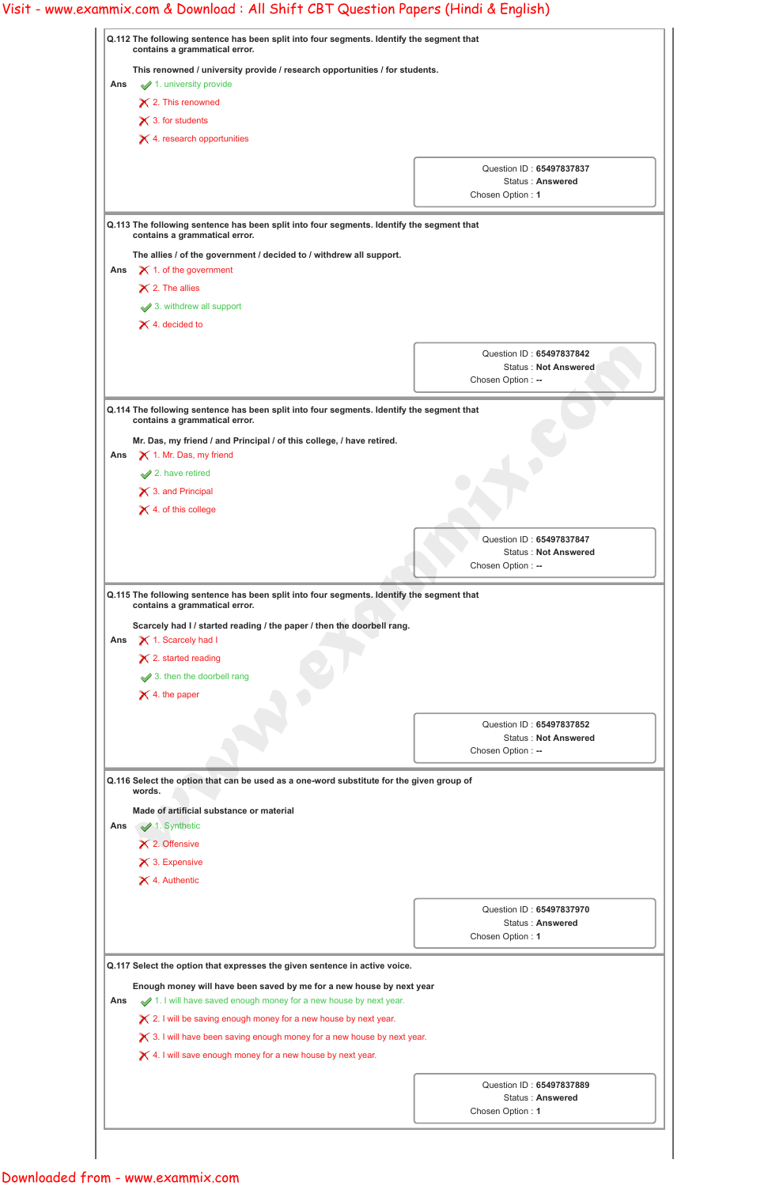|     | Q.112 The following sentence has been split into four segments. Identify the segment that<br>contains a grammatical error.                                                                                                  |                                                                         |
|-----|-----------------------------------------------------------------------------------------------------------------------------------------------------------------------------------------------------------------------------|-------------------------------------------------------------------------|
|     | This renowned / university provide / research opportunities / for students.                                                                                                                                                 |                                                                         |
| Ans | 1. university provide                                                                                                                                                                                                       |                                                                         |
|     | $\times$ 2. This renowned                                                                                                                                                                                                   |                                                                         |
|     | $\times$ 3. for students                                                                                                                                                                                                    |                                                                         |
|     | $\times$ 4. research opportunities                                                                                                                                                                                          |                                                                         |
|     |                                                                                                                                                                                                                             | Question ID: 65497837837                                                |
|     |                                                                                                                                                                                                                             | <b>Status: Answered</b>                                                 |
|     |                                                                                                                                                                                                                             | Chosen Option: 1                                                        |
|     | Q.113 The following sentence has been split into four segments. Identify the segment that                                                                                                                                   |                                                                         |
|     | contains a grammatical error.                                                                                                                                                                                               |                                                                         |
| Ans | The allies / of the government / decided to / withdrew all support.<br>$\times$ 1. of the government                                                                                                                        |                                                                         |
|     | $\times$ 2. The allies                                                                                                                                                                                                      |                                                                         |
|     | 3. withdrew all support                                                                                                                                                                                                     |                                                                         |
|     | $\times$ 4. decided to                                                                                                                                                                                                      |                                                                         |
|     |                                                                                                                                                                                                                             |                                                                         |
|     |                                                                                                                                                                                                                             | Question ID: 65497837842                                                |
|     |                                                                                                                                                                                                                             | <b>Status: Not Answered</b><br>Chosen Option : --                       |
|     |                                                                                                                                                                                                                             |                                                                         |
|     | Q.114 The following sentence has been split into four segments. Identify the segment that<br>contains a grammatical error.                                                                                                  |                                                                         |
|     | Mr. Das, my friend / and Principal / of this college, / have retired.                                                                                                                                                       |                                                                         |
| Ans | X 1. Mr. Das, my friend                                                                                                                                                                                                     |                                                                         |
|     | $\blacktriangleright$ 2. have retired                                                                                                                                                                                       |                                                                         |
|     | $\times$ 3. and Principal                                                                                                                                                                                                   |                                                                         |
|     | $\times$ 4. of this college                                                                                                                                                                                                 |                                                                         |
|     |                                                                                                                                                                                                                             |                                                                         |
|     |                                                                                                                                                                                                                             | Question ID: 65497837847<br><b>Status: Not Answered</b>                 |
|     |                                                                                                                                                                                                                             |                                                                         |
| Ans | Q.115 The following sentence has been split into four segments. Identify the segment that<br>contains a grammatical error.<br>Scarcely had I / started reading / the paper / then the doorbell rang.<br>X 1. Scarcely had I | Chosen Option : --                                                      |
|     | $\times$ 2. started reading<br>$\blacktriangleright$ 3. then the doorbell rang<br>$\times$ 4. the paper                                                                                                                     |                                                                         |
|     |                                                                                                                                                                                                                             |                                                                         |
|     |                                                                                                                                                                                                                             | Question ID: 65497837852<br><b>Status: Not Answered</b>                 |
|     |                                                                                                                                                                                                                             | Chosen Option : --                                                      |
|     | Q.116 Select the option that can be used as a one-word substitute for the given group of                                                                                                                                    |                                                                         |
|     | words.                                                                                                                                                                                                                      |                                                                         |
|     | Made of artificial substance or material                                                                                                                                                                                    |                                                                         |
| Ans | $\blacktriangleright$ 1. Synthetic                                                                                                                                                                                          |                                                                         |
|     | X 2. Offensive                                                                                                                                                                                                              |                                                                         |
|     | $\times$ 3. Expensive                                                                                                                                                                                                       |                                                                         |
|     | $\times$ 4. Authentic                                                                                                                                                                                                       |                                                                         |
|     |                                                                                                                                                                                                                             | Question ID: 65497837970                                                |
|     |                                                                                                                                                                                                                             | Status: Answered                                                        |
|     |                                                                                                                                                                                                                             | Chosen Option: 1                                                        |
|     | Q.117 Select the option that expresses the given sentence in active voice.                                                                                                                                                  |                                                                         |
|     | Enough money will have been saved by me for a new house by next year                                                                                                                                                        |                                                                         |
| Ans | 1. I will have saved enough money for a new house by next year.                                                                                                                                                             |                                                                         |
|     | $\boldsymbol{\times}$ 2. I will be saving enough money for a new house by next year.                                                                                                                                        |                                                                         |
|     | $\boldsymbol{\times}$ 3. I will have been saving enough money for a new house by next year.                                                                                                                                 |                                                                         |
|     | $\boldsymbol{\times}$ 4. I will save enough money for a new house by next year.                                                                                                                                             |                                                                         |
|     |                                                                                                                                                                                                                             |                                                                         |
|     |                                                                                                                                                                                                                             | Question ID: 65497837889<br><b>Status: Answered</b><br>Chosen Option: 1 |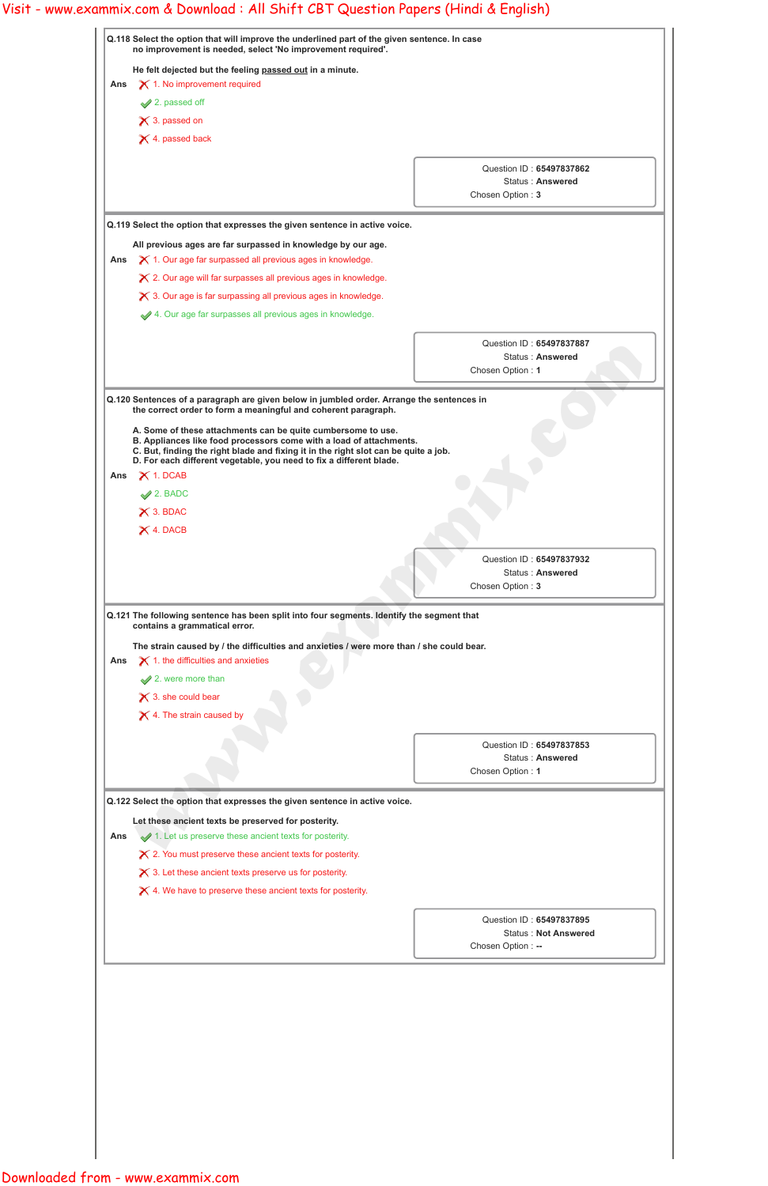|     | Q.118 Select the option that will improve the underlined part of the given sentence. In case<br>no improvement is needed, select 'No improvement required'. |                                                                         |
|-----|-------------------------------------------------------------------------------------------------------------------------------------------------------------|-------------------------------------------------------------------------|
| Ans | He felt dejected but the feeling passed out in a minute.<br>$\boldsymbol{\times}$ 1. No improvement required<br>2. passed off<br>$\times$ 3. passed on      |                                                                         |
|     | $\times$ 4. passed back                                                                                                                                     |                                                                         |
|     |                                                                                                                                                             | Question ID: 65497837862<br><b>Status: Answered</b><br>Chosen Option: 3 |
|     | Q.119 Select the option that expresses the given sentence in active voice.                                                                                  |                                                                         |
|     | All previous ages are far surpassed in knowledge by our age.                                                                                                |                                                                         |
| Ans | $\boldsymbol{\times}$ 1. Our age far surpassed all previous ages in knowledge.                                                                              |                                                                         |
|     | $\boldsymbol{\times}$ 2. Our age will far surpasses all previous ages in knowledge.                                                                         |                                                                         |
|     | $\boldsymbol{\times}$ 3. Our age is far surpassing all previous ages in knowledge.                                                                          |                                                                         |
|     | 4. Our age far surpasses all previous ages in knowledge.                                                                                                    |                                                                         |
|     |                                                                                                                                                             | Question ID: 65497837887                                                |
|     |                                                                                                                                                             | Status: Answered<br>Chosen Option: 1                                    |
| Ans | $\times$ 1. DCAB<br>$\blacktriangleright$ 2. BADC<br>$\times$ 3. BDAC<br>$\times$ 4. DACB                                                                   | Question ID: 65497837932<br><b>Status: Answered</b>                     |
|     |                                                                                                                                                             | Chosen Option: 3                                                        |
|     | Q.121 The following sentence has been split into four segments. Identify the segment that<br>contains a grammatical error.                                  |                                                                         |
|     | The strain caused by / the difficulties and anxieties / were more than / she could bear.<br>$\boldsymbol{\times}$ 1. the difficulties and anxieties         |                                                                         |
| Ans |                                                                                                                                                             |                                                                         |
|     | $\blacktriangleright$ 2. were more than                                                                                                                     |                                                                         |
|     | $\times$ 3. she could bear                                                                                                                                  |                                                                         |
|     | $\times$ 4. The strain caused by                                                                                                                            |                                                                         |
|     |                                                                                                                                                             | Question ID: 65497837853                                                |
|     |                                                                                                                                                             | <b>Status: Answered</b>                                                 |
|     |                                                                                                                                                             | Chosen Option: 1                                                        |
|     | Q.122 Select the option that expresses the given sentence in active voice.                                                                                  |                                                                         |
|     | Let these ancient texts be preserved for posterity.                                                                                                         |                                                                         |
| Ans | $\blacktriangleright$ 1. Let us preserve these ancient texts for posterity.                                                                                 |                                                                         |

|  |  |  | $\boldsymbol{\times}$ 3. Let these ancient texts preserve us for posterity. |
|--|--|--|-----------------------------------------------------------------------------|
|--|--|--|-----------------------------------------------------------------------------|

 $\boldsymbol{\times}$  4. We have to preserve these ancient texts for posterity.

Question ID : **65497837895**

Status : **Not Answered**

Chosen Option : **--**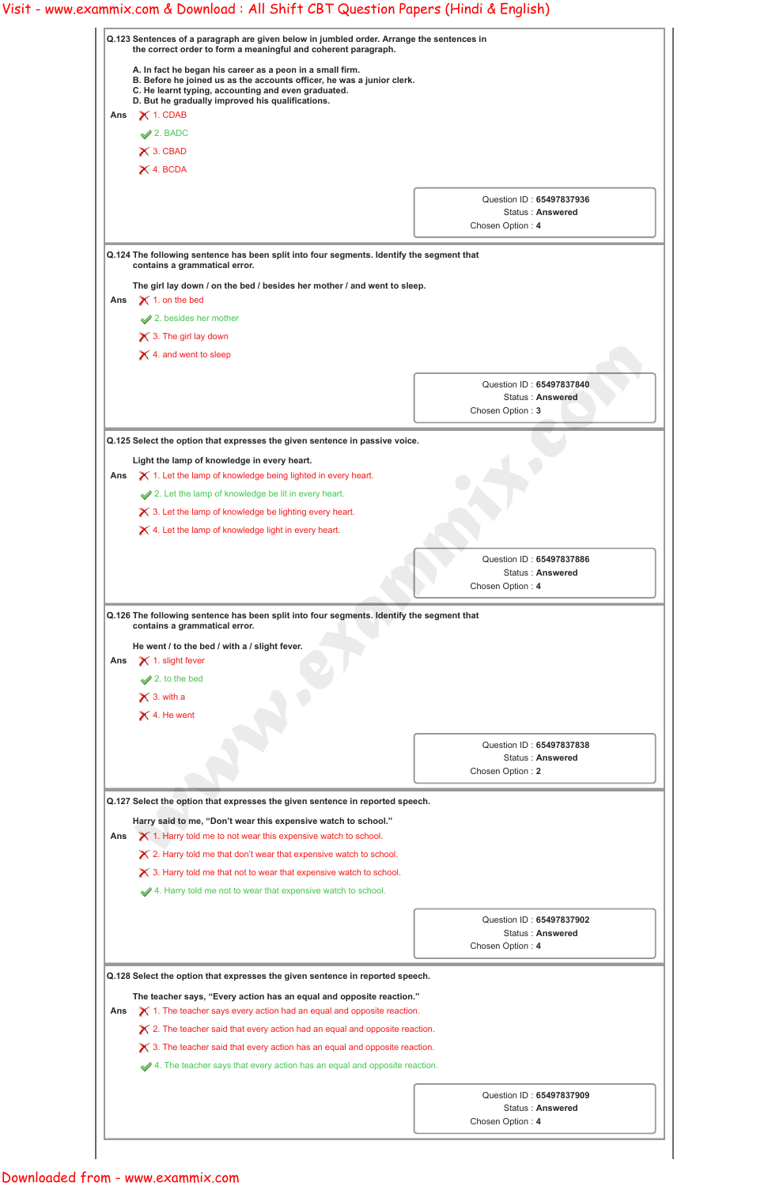|     | Q.123 Sentences of a paragraph are given below in jumbled order. Arrange the sentences in<br>the correct order to form a meaningful and coherent paragraph.                                                                                    |                                                                         |
|-----|------------------------------------------------------------------------------------------------------------------------------------------------------------------------------------------------------------------------------------------------|-------------------------------------------------------------------------|
|     | A. In fact he began his career as a peon in a small firm.<br>B. Before he joined us as the accounts officer, he was a junior clerk.<br>C. He learnt typing, accounting and even graduated.<br>D. But he gradually improved his qualifications. |                                                                         |
| Ans | $\times$ 1. CDAB                                                                                                                                                                                                                               |                                                                         |
|     | $2.$ BADC                                                                                                                                                                                                                                      |                                                                         |
|     | $\times$ 3. CBAD                                                                                                                                                                                                                               |                                                                         |
|     | $\times$ 4. BCDA                                                                                                                                                                                                                               |                                                                         |
|     |                                                                                                                                                                                                                                                | Question ID: 65497837936<br><b>Status: Answered</b>                     |
|     |                                                                                                                                                                                                                                                | Chosen Option: 4                                                        |
|     | Q.124 The following sentence has been split into four segments. Identify the segment that<br>contains a grammatical error.                                                                                                                     |                                                                         |
|     | The girl lay down / on the bed / besides her mother / and went to sleep.                                                                                                                                                                       |                                                                         |
| Ans | $\times$ 1. on the bed                                                                                                                                                                                                                         |                                                                         |
|     | $\blacktriangleright$ 2. besides her mother                                                                                                                                                                                                    |                                                                         |
|     | $\times$ 3. The girl lay down                                                                                                                                                                                                                  |                                                                         |
|     | $\times$ 4. and went to sleep                                                                                                                                                                                                                  |                                                                         |
|     |                                                                                                                                                                                                                                                |                                                                         |
|     |                                                                                                                                                                                                                                                | Question ID: 65497837840<br><b>Status: Answered</b>                     |
|     |                                                                                                                                                                                                                                                | Chosen Option: 3                                                        |
|     | Q.125 Select the option that expresses the given sentence in passive voice.                                                                                                                                                                    |                                                                         |
|     | Light the lamp of knowledge in every heart.                                                                                                                                                                                                    |                                                                         |
| Ans | $\boldsymbol{\times}$ 1. Let the lamp of knowledge being lighted in every heart.                                                                                                                                                               |                                                                         |
|     | 2. Let the lamp of knowledge be lit in every heart.                                                                                                                                                                                            |                                                                         |
|     | $\boldsymbol{\times}$ 3. Let the lamp of knowledge be lighting every heart.                                                                                                                                                                    |                                                                         |
|     | $\times$ 4. Let the lamp of knowledge light in every heart.                                                                                                                                                                                    |                                                                         |
|     |                                                                                                                                                                                                                                                |                                                                         |
|     |                                                                                                                                                                                                                                                | Question ID: 65497837886                                                |
|     |                                                                                                                                                                                                                                                | <b>Status: Answered</b><br>Chosen Option: 4                             |
|     | Q.126 The following sentence has been split into four segments. Identify the segment that<br>contains a grammatical error.                                                                                                                     |                                                                         |
| Ans | He went / to the bed / with a / slight fever.<br>$\boldsymbol{\times}$ 1. slight fever<br>$\blacktriangleright$ 2. to the bed<br>$\times$ 3. with a                                                                                            |                                                                         |
|     | $\times$ 4. He went                                                                                                                                                                                                                            |                                                                         |
|     |                                                                                                                                                                                                                                                |                                                                         |
|     |                                                                                                                                                                                                                                                | <b>Status: Answered</b>                                                 |
|     |                                                                                                                                                                                                                                                | Chosen Option: 2                                                        |
|     | Q.127 Select the option that expresses the given sentence in reported speech.                                                                                                                                                                  | Question ID: 65497837838                                                |
|     | Harry said to me, "Don't wear this expensive watch to school."                                                                                                                                                                                 |                                                                         |
| Ans | $\times$ 1. Harry told me to not wear this expensive watch to school.                                                                                                                                                                          |                                                                         |
|     | $\boldsymbol{\times}$ 2. Harry told me that don't wear that expensive watch to school.                                                                                                                                                         |                                                                         |
|     | $\boldsymbol{\times}$ 3. Harry told me that not to wear that expensive watch to school.                                                                                                                                                        |                                                                         |
|     | 4. Harry told me not to wear that expensive watch to school.                                                                                                                                                                                   |                                                                         |
|     |                                                                                                                                                                                                                                                | Question ID: 65497837902<br><b>Status: Answered</b><br>Chosen Option: 4 |
|     |                                                                                                                                                                                                                                                |                                                                         |
|     | Q.128 Select the option that expresses the given sentence in reported speech.                                                                                                                                                                  |                                                                         |
| Ans | The teacher says, "Every action has an equal and opposite reaction."                                                                                                                                                                           |                                                                         |
|     | $\boldsymbol{\times}$ 1. The teacher says every action had an equal and opposite reaction.                                                                                                                                                     |                                                                         |
|     | $\boldsymbol{\times}$ 2. The teacher said that every action had an equal and opposite reaction.<br>$\boldsymbol{\times}$ 3. The teacher said that every action has an equal and opposite reaction.                                             |                                                                         |
|     | 4. The teacher says that every action has an equal and opposite reaction.                                                                                                                                                                      |                                                                         |
|     |                                                                                                                                                                                                                                                |                                                                         |
|     |                                                                                                                                                                                                                                                | Question ID: 65497837909<br><b>Status: Answered</b>                     |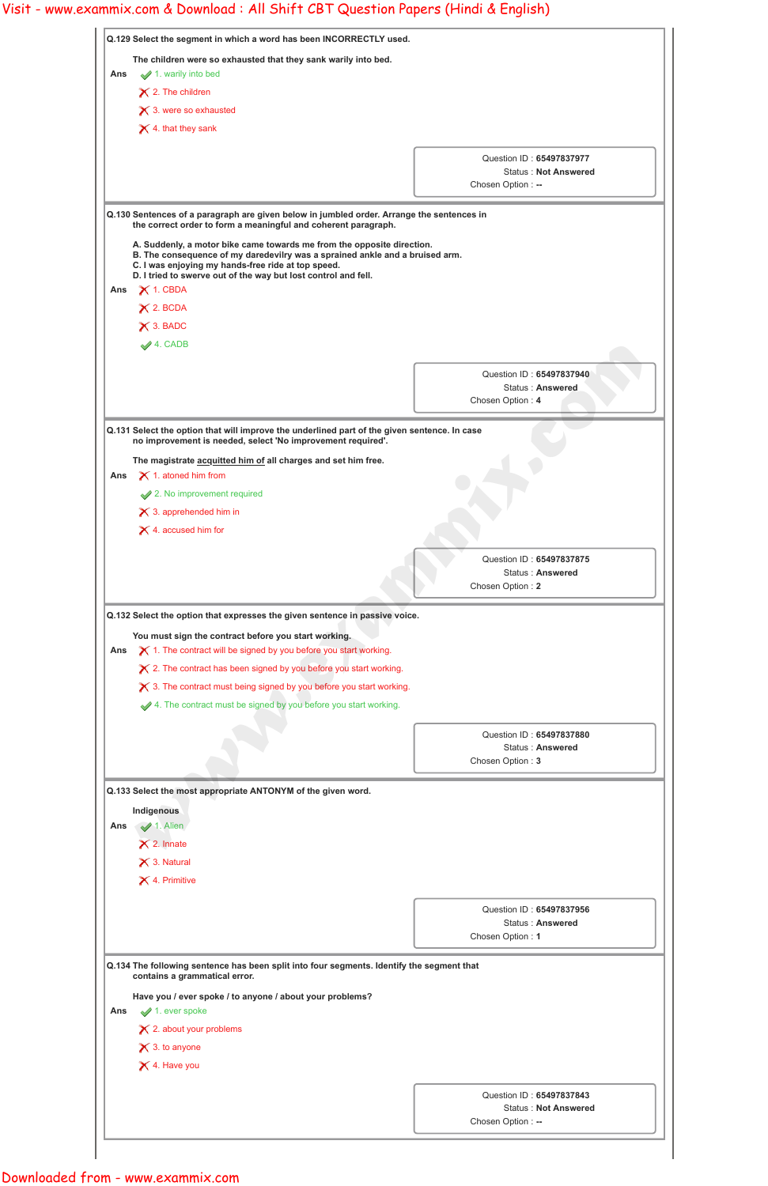| Q.129 Select the segment in which a word has been INCORRECTLY used.                                                                                         |                                                         |
|-------------------------------------------------------------------------------------------------------------------------------------------------------------|---------------------------------------------------------|
| The children were so exhausted that they sank warily into bed.                                                                                              |                                                         |
| 1. warily into bed<br>Ans                                                                                                                                   |                                                         |
| $\times$ 2. The children<br>$\times$ 3. were so exhausted                                                                                                   |                                                         |
| $\times$ 4. that they sank                                                                                                                                  |                                                         |
|                                                                                                                                                             |                                                         |
|                                                                                                                                                             | Question ID: 65497837977                                |
|                                                                                                                                                             | <b>Status: Not Answered</b><br>Chosen Option: --        |
|                                                                                                                                                             |                                                         |
| Q.130 Sentences of a paragraph are given below in jumbled order. Arrange the sentences in<br>the correct order to form a meaningful and coherent paragraph. |                                                         |
| A. Suddenly, a motor bike came towards me from the opposite direction.                                                                                      |                                                         |
| B. The consequence of my daredevilry was a sprained ankle and a bruised arm.                                                                                |                                                         |
| C. I was enjoying my hands-free ride at top speed.<br>D. I tried to swerve out of the way but lost control and fell.                                        |                                                         |
| $\times$ 1. CBDA<br>Ans                                                                                                                                     |                                                         |
| $\times$ 2. BCDA                                                                                                                                            |                                                         |
| $\times$ 3. BADC                                                                                                                                            |                                                         |
| $4.$ CADB                                                                                                                                                   |                                                         |
|                                                                                                                                                             | Question ID: 65497837940                                |
|                                                                                                                                                             | <b>Status: Answered</b>                                 |
|                                                                                                                                                             | Chosen Option: 4                                        |
| Q.131 Select the option that will improve the underlined part of the given sentence. In case                                                                |                                                         |
| no improvement is needed, select 'No improvement required'.                                                                                                 |                                                         |
| The magistrate acquitted him of all charges and set him free.                                                                                               |                                                         |
| $\boldsymbol{\times}$ 1. atoned him from<br>Ans                                                                                                             |                                                         |
| 2. No improvement required                                                                                                                                  |                                                         |
| $\times$ 3. apprehended him in                                                                                                                              |                                                         |
| $\times$ 4. accused him for                                                                                                                                 |                                                         |
|                                                                                                                                                             | Question ID: 65497837875                                |
|                                                                                                                                                             | <b>Status: Answered</b>                                 |
|                                                                                                                                                             | Chosen Option: 2                                        |
| Q.132 Select the option that expresses the given sentence in passive voice.                                                                                 |                                                         |
| You must sign the contract before you start working.                                                                                                        |                                                         |
| $\boldsymbol{\times}$ 1. The contract will be signed by you before you start working.<br>Ans                                                                |                                                         |
| $\boldsymbol{\times}$ 2. The contract has been signed by you before you start working.                                                                      |                                                         |
| $\boldsymbol{\times}$ 3. The contract must being signed by you before you start working.                                                                    |                                                         |
| 4. The contract must be signed by you before you start working.                                                                                             |                                                         |
|                                                                                                                                                             | Question ID: 65497837880                                |
|                                                                                                                                                             | <b>Status: Answered</b>                                 |
|                                                                                                                                                             | Chosen Option: 3                                        |
| Q.133 Select the most appropriate ANTONYM of the given word.                                                                                                |                                                         |
| Indigenous                                                                                                                                                  |                                                         |
| $\blacktriangleright$ 1. Alien<br>Ans                                                                                                                       |                                                         |
| $\times$ 2. Innate                                                                                                                                          |                                                         |
| $\times$ 3. Natural                                                                                                                                         |                                                         |
| $\times$ 4. Primitive                                                                                                                                       |                                                         |
|                                                                                                                                                             |                                                         |
|                                                                                                                                                             | Question ID: 65497837956<br><b>Status: Answered</b>     |
|                                                                                                                                                             | Chosen Option: 1                                        |
|                                                                                                                                                             |                                                         |
| Q.134 The following sentence has been split into four segments. Identify the segment that                                                                   |                                                         |
| contains a grammatical error.                                                                                                                               |                                                         |
|                                                                                                                                                             |                                                         |
| Have you / ever spoke / to anyone / about your problems?<br>$\blacktriangleright$ 1. ever spoke<br>Ans                                                      |                                                         |
| $\times$ 2. about your problems                                                                                                                             |                                                         |
| $\times$ 3. to anyone                                                                                                                                       |                                                         |
| $\times$ 4. Have you                                                                                                                                        |                                                         |
|                                                                                                                                                             |                                                         |
|                                                                                                                                                             | Question ID: 65497837843<br><b>Status: Not Answered</b> |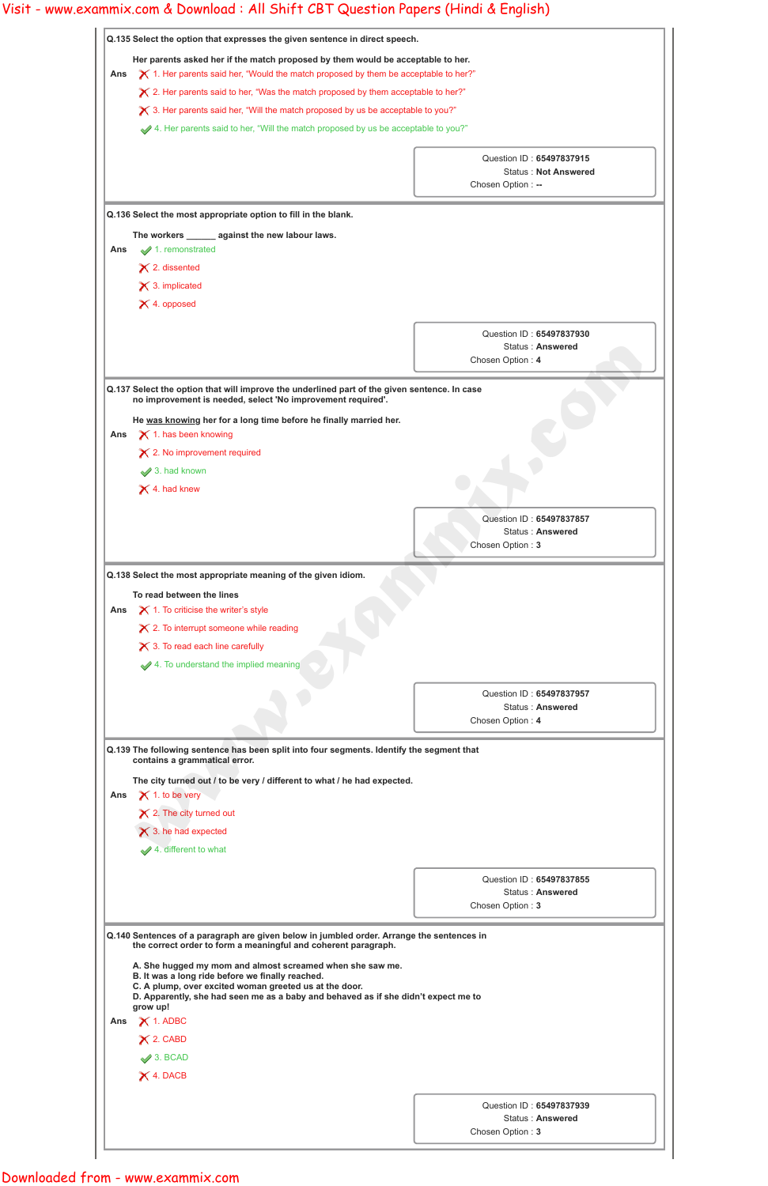| Her parents asked her if the match proposed by them would be acceptable to her.<br>$\boldsymbol{\times}$ 1. Her parents said her, "Would the match proposed by them be acceptable to her?"<br>Ans<br>$\boldsymbol{\times}$ 2. Her parents said to her, "Was the match proposed by them acceptable to her?"<br>$\chi$ 3. Her parents said her, "Will the match proposed by us be acceptable to you?"<br>4. Her parents said to her, "Will the match proposed by us be acceptable to you?"<br>Q.136 Select the most appropriate option to fill in the blank.<br>The workers ______ against the new labour laws.<br>$\blacktriangleright$ 1. remonstrated<br>Ans<br>$\times$ 2. dissented<br>$\times$ 3. implicated<br>$\times$ 4. opposed<br>Q.137 Select the option that will improve the underlined part of the given sentence. In case<br>no improvement is needed, select 'No improvement required'.<br>He was knowing her for a long time before he finally married her.<br>$\times$ 1. has been knowing<br>Ans<br>$\times$ 2. No improvement required<br>3. had known<br>$\times$ 4. had knew<br>Q.138 Select the most appropriate meaning of the given idiom.<br>To read between the lines<br>$\boldsymbol{\times}$ 1. To criticise the writer's style<br>Ans<br>$\boldsymbol{\times}$ 2. To interrupt someone while reading<br>$\times$ 3. To read each line carefully<br>4. To understand the implied meaning<br>Q.139 The following sentence has been split into four segments. Identify the segment that<br>contains a grammatical error.<br>The city turned out / to be very / different to what / he had expected.<br>$\times$ 1. to be very<br>Ans<br>$\times$ 2. The city turned out<br>$\times$ 3. he had expected<br>4. different to what<br>Q.140 Sentences of a paragraph are given below in jumbled order. Arrange the sentences in<br>the correct order to form a meaningful and coherent paragraph. | Question ID: 65497837915<br><b>Status: Not Answered</b><br>Chosen Option: --<br>Question ID: 65497837930<br><b>Status: Answered</b><br>Chosen Option: 4<br>Question ID: 65497837857<br><b>Status: Answered</b><br>Chosen Option: 3<br>Question ID: 65497837957<br><b>Status: Answered</b><br>Chosen Option: 4<br>Question ID: 65497837855<br><b>Status: Answered</b><br>Chosen Option: 3 |
|-------------------------------------------------------------------------------------------------------------------------------------------------------------------------------------------------------------------------------------------------------------------------------------------------------------------------------------------------------------------------------------------------------------------------------------------------------------------------------------------------------------------------------------------------------------------------------------------------------------------------------------------------------------------------------------------------------------------------------------------------------------------------------------------------------------------------------------------------------------------------------------------------------------------------------------------------------------------------------------------------------------------------------------------------------------------------------------------------------------------------------------------------------------------------------------------------------------------------------------------------------------------------------------------------------------------------------------------------------------------------------------------------------------------------------------------------------------------------------------------------------------------------------------------------------------------------------------------------------------------------------------------------------------------------------------------------------------------------------------------------------------------------------------------------------------------------------------------------------------------------------------------------------------------------|------------------------------------------------------------------------------------------------------------------------------------------------------------------------------------------------------------------------------------------------------------------------------------------------------------------------------------------------------------------------------------------|
|                                                                                                                                                                                                                                                                                                                                                                                                                                                                                                                                                                                                                                                                                                                                                                                                                                                                                                                                                                                                                                                                                                                                                                                                                                                                                                                                                                                                                                                                                                                                                                                                                                                                                                                                                                                                                                                                                                                         |                                                                                                                                                                                                                                                                                                                                                                                          |
|                                                                                                                                                                                                                                                                                                                                                                                                                                                                                                                                                                                                                                                                                                                                                                                                                                                                                                                                                                                                                                                                                                                                                                                                                                                                                                                                                                                                                                                                                                                                                                                                                                                                                                                                                                                                                                                                                                                         |                                                                                                                                                                                                                                                                                                                                                                                          |
|                                                                                                                                                                                                                                                                                                                                                                                                                                                                                                                                                                                                                                                                                                                                                                                                                                                                                                                                                                                                                                                                                                                                                                                                                                                                                                                                                                                                                                                                                                                                                                                                                                                                                                                                                                                                                                                                                                                         |                                                                                                                                                                                                                                                                                                                                                                                          |
|                                                                                                                                                                                                                                                                                                                                                                                                                                                                                                                                                                                                                                                                                                                                                                                                                                                                                                                                                                                                                                                                                                                                                                                                                                                                                                                                                                                                                                                                                                                                                                                                                                                                                                                                                                                                                                                                                                                         |                                                                                                                                                                                                                                                                                                                                                                                          |
|                                                                                                                                                                                                                                                                                                                                                                                                                                                                                                                                                                                                                                                                                                                                                                                                                                                                                                                                                                                                                                                                                                                                                                                                                                                                                                                                                                                                                                                                                                                                                                                                                                                                                                                                                                                                                                                                                                                         |                                                                                                                                                                                                                                                                                                                                                                                          |
|                                                                                                                                                                                                                                                                                                                                                                                                                                                                                                                                                                                                                                                                                                                                                                                                                                                                                                                                                                                                                                                                                                                                                                                                                                                                                                                                                                                                                                                                                                                                                                                                                                                                                                                                                                                                                                                                                                                         |                                                                                                                                                                                                                                                                                                                                                                                          |
|                                                                                                                                                                                                                                                                                                                                                                                                                                                                                                                                                                                                                                                                                                                                                                                                                                                                                                                                                                                                                                                                                                                                                                                                                                                                                                                                                                                                                                                                                                                                                                                                                                                                                                                                                                                                                                                                                                                         |                                                                                                                                                                                                                                                                                                                                                                                          |
|                                                                                                                                                                                                                                                                                                                                                                                                                                                                                                                                                                                                                                                                                                                                                                                                                                                                                                                                                                                                                                                                                                                                                                                                                                                                                                                                                                                                                                                                                                                                                                                                                                                                                                                                                                                                                                                                                                                         |                                                                                                                                                                                                                                                                                                                                                                                          |
|                                                                                                                                                                                                                                                                                                                                                                                                                                                                                                                                                                                                                                                                                                                                                                                                                                                                                                                                                                                                                                                                                                                                                                                                                                                                                                                                                                                                                                                                                                                                                                                                                                                                                                                                                                                                                                                                                                                         |                                                                                                                                                                                                                                                                                                                                                                                          |
|                                                                                                                                                                                                                                                                                                                                                                                                                                                                                                                                                                                                                                                                                                                                                                                                                                                                                                                                                                                                                                                                                                                                                                                                                                                                                                                                                                                                                                                                                                                                                                                                                                                                                                                                                                                                                                                                                                                         |                                                                                                                                                                                                                                                                                                                                                                                          |
|                                                                                                                                                                                                                                                                                                                                                                                                                                                                                                                                                                                                                                                                                                                                                                                                                                                                                                                                                                                                                                                                                                                                                                                                                                                                                                                                                                                                                                                                                                                                                                                                                                                                                                                                                                                                                                                                                                                         |                                                                                                                                                                                                                                                                                                                                                                                          |
|                                                                                                                                                                                                                                                                                                                                                                                                                                                                                                                                                                                                                                                                                                                                                                                                                                                                                                                                                                                                                                                                                                                                                                                                                                                                                                                                                                                                                                                                                                                                                                                                                                                                                                                                                                                                                                                                                                                         |                                                                                                                                                                                                                                                                                                                                                                                          |
|                                                                                                                                                                                                                                                                                                                                                                                                                                                                                                                                                                                                                                                                                                                                                                                                                                                                                                                                                                                                                                                                                                                                                                                                                                                                                                                                                                                                                                                                                                                                                                                                                                                                                                                                                                                                                                                                                                                         |                                                                                                                                                                                                                                                                                                                                                                                          |
|                                                                                                                                                                                                                                                                                                                                                                                                                                                                                                                                                                                                                                                                                                                                                                                                                                                                                                                                                                                                                                                                                                                                                                                                                                                                                                                                                                                                                                                                                                                                                                                                                                                                                                                                                                                                                                                                                                                         |                                                                                                                                                                                                                                                                                                                                                                                          |
|                                                                                                                                                                                                                                                                                                                                                                                                                                                                                                                                                                                                                                                                                                                                                                                                                                                                                                                                                                                                                                                                                                                                                                                                                                                                                                                                                                                                                                                                                                                                                                                                                                                                                                                                                                                                                                                                                                                         |                                                                                                                                                                                                                                                                                                                                                                                          |
|                                                                                                                                                                                                                                                                                                                                                                                                                                                                                                                                                                                                                                                                                                                                                                                                                                                                                                                                                                                                                                                                                                                                                                                                                                                                                                                                                                                                                                                                                                                                                                                                                                                                                                                                                                                                                                                                                                                         |                                                                                                                                                                                                                                                                                                                                                                                          |
|                                                                                                                                                                                                                                                                                                                                                                                                                                                                                                                                                                                                                                                                                                                                                                                                                                                                                                                                                                                                                                                                                                                                                                                                                                                                                                                                                                                                                                                                                                                                                                                                                                                                                                                                                                                                                                                                                                                         |                                                                                                                                                                                                                                                                                                                                                                                          |
|                                                                                                                                                                                                                                                                                                                                                                                                                                                                                                                                                                                                                                                                                                                                                                                                                                                                                                                                                                                                                                                                                                                                                                                                                                                                                                                                                                                                                                                                                                                                                                                                                                                                                                                                                                                                                                                                                                                         |                                                                                                                                                                                                                                                                                                                                                                                          |
|                                                                                                                                                                                                                                                                                                                                                                                                                                                                                                                                                                                                                                                                                                                                                                                                                                                                                                                                                                                                                                                                                                                                                                                                                                                                                                                                                                                                                                                                                                                                                                                                                                                                                                                                                                                                                                                                                                                         |                                                                                                                                                                                                                                                                                                                                                                                          |
|                                                                                                                                                                                                                                                                                                                                                                                                                                                                                                                                                                                                                                                                                                                                                                                                                                                                                                                                                                                                                                                                                                                                                                                                                                                                                                                                                                                                                                                                                                                                                                                                                                                                                                                                                                                                                                                                                                                         |                                                                                                                                                                                                                                                                                                                                                                                          |
|                                                                                                                                                                                                                                                                                                                                                                                                                                                                                                                                                                                                                                                                                                                                                                                                                                                                                                                                                                                                                                                                                                                                                                                                                                                                                                                                                                                                                                                                                                                                                                                                                                                                                                                                                                                                                                                                                                                         |                                                                                                                                                                                                                                                                                                                                                                                          |
|                                                                                                                                                                                                                                                                                                                                                                                                                                                                                                                                                                                                                                                                                                                                                                                                                                                                                                                                                                                                                                                                                                                                                                                                                                                                                                                                                                                                                                                                                                                                                                                                                                                                                                                                                                                                                                                                                                                         |                                                                                                                                                                                                                                                                                                                                                                                          |
|                                                                                                                                                                                                                                                                                                                                                                                                                                                                                                                                                                                                                                                                                                                                                                                                                                                                                                                                                                                                                                                                                                                                                                                                                                                                                                                                                                                                                                                                                                                                                                                                                                                                                                                                                                                                                                                                                                                         |                                                                                                                                                                                                                                                                                                                                                                                          |
|                                                                                                                                                                                                                                                                                                                                                                                                                                                                                                                                                                                                                                                                                                                                                                                                                                                                                                                                                                                                                                                                                                                                                                                                                                                                                                                                                                                                                                                                                                                                                                                                                                                                                                                                                                                                                                                                                                                         |                                                                                                                                                                                                                                                                                                                                                                                          |
|                                                                                                                                                                                                                                                                                                                                                                                                                                                                                                                                                                                                                                                                                                                                                                                                                                                                                                                                                                                                                                                                                                                                                                                                                                                                                                                                                                                                                                                                                                                                                                                                                                                                                                                                                                                                                                                                                                                         |                                                                                                                                                                                                                                                                                                                                                                                          |
|                                                                                                                                                                                                                                                                                                                                                                                                                                                                                                                                                                                                                                                                                                                                                                                                                                                                                                                                                                                                                                                                                                                                                                                                                                                                                                                                                                                                                                                                                                                                                                                                                                                                                                                                                                                                                                                                                                                         |                                                                                                                                                                                                                                                                                                                                                                                          |
|                                                                                                                                                                                                                                                                                                                                                                                                                                                                                                                                                                                                                                                                                                                                                                                                                                                                                                                                                                                                                                                                                                                                                                                                                                                                                                                                                                                                                                                                                                                                                                                                                                                                                                                                                                                                                                                                                                                         |                                                                                                                                                                                                                                                                                                                                                                                          |
|                                                                                                                                                                                                                                                                                                                                                                                                                                                                                                                                                                                                                                                                                                                                                                                                                                                                                                                                                                                                                                                                                                                                                                                                                                                                                                                                                                                                                                                                                                                                                                                                                                                                                                                                                                                                                                                                                                                         |                                                                                                                                                                                                                                                                                                                                                                                          |
|                                                                                                                                                                                                                                                                                                                                                                                                                                                                                                                                                                                                                                                                                                                                                                                                                                                                                                                                                                                                                                                                                                                                                                                                                                                                                                                                                                                                                                                                                                                                                                                                                                                                                                                                                                                                                                                                                                                         |                                                                                                                                                                                                                                                                                                                                                                                          |
|                                                                                                                                                                                                                                                                                                                                                                                                                                                                                                                                                                                                                                                                                                                                                                                                                                                                                                                                                                                                                                                                                                                                                                                                                                                                                                                                                                                                                                                                                                                                                                                                                                                                                                                                                                                                                                                                                                                         |                                                                                                                                                                                                                                                                                                                                                                                          |
|                                                                                                                                                                                                                                                                                                                                                                                                                                                                                                                                                                                                                                                                                                                                                                                                                                                                                                                                                                                                                                                                                                                                                                                                                                                                                                                                                                                                                                                                                                                                                                                                                                                                                                                                                                                                                                                                                                                         |                                                                                                                                                                                                                                                                                                                                                                                          |
|                                                                                                                                                                                                                                                                                                                                                                                                                                                                                                                                                                                                                                                                                                                                                                                                                                                                                                                                                                                                                                                                                                                                                                                                                                                                                                                                                                                                                                                                                                                                                                                                                                                                                                                                                                                                                                                                                                                         |                                                                                                                                                                                                                                                                                                                                                                                          |
|                                                                                                                                                                                                                                                                                                                                                                                                                                                                                                                                                                                                                                                                                                                                                                                                                                                                                                                                                                                                                                                                                                                                                                                                                                                                                                                                                                                                                                                                                                                                                                                                                                                                                                                                                                                                                                                                                                                         |                                                                                                                                                                                                                                                                                                                                                                                          |
|                                                                                                                                                                                                                                                                                                                                                                                                                                                                                                                                                                                                                                                                                                                                                                                                                                                                                                                                                                                                                                                                                                                                                                                                                                                                                                                                                                                                                                                                                                                                                                                                                                                                                                                                                                                                                                                                                                                         |                                                                                                                                                                                                                                                                                                                                                                                          |
|                                                                                                                                                                                                                                                                                                                                                                                                                                                                                                                                                                                                                                                                                                                                                                                                                                                                                                                                                                                                                                                                                                                                                                                                                                                                                                                                                                                                                                                                                                                                                                                                                                                                                                                                                                                                                                                                                                                         |                                                                                                                                                                                                                                                                                                                                                                                          |
|                                                                                                                                                                                                                                                                                                                                                                                                                                                                                                                                                                                                                                                                                                                                                                                                                                                                                                                                                                                                                                                                                                                                                                                                                                                                                                                                                                                                                                                                                                                                                                                                                                                                                                                                                                                                                                                                                                                         |                                                                                                                                                                                                                                                                                                                                                                                          |
|                                                                                                                                                                                                                                                                                                                                                                                                                                                                                                                                                                                                                                                                                                                                                                                                                                                                                                                                                                                                                                                                                                                                                                                                                                                                                                                                                                                                                                                                                                                                                                                                                                                                                                                                                                                                                                                                                                                         |                                                                                                                                                                                                                                                                                                                                                                                          |
|                                                                                                                                                                                                                                                                                                                                                                                                                                                                                                                                                                                                                                                                                                                                                                                                                                                                                                                                                                                                                                                                                                                                                                                                                                                                                                                                                                                                                                                                                                                                                                                                                                                                                                                                                                                                                                                                                                                         |                                                                                                                                                                                                                                                                                                                                                                                          |
|                                                                                                                                                                                                                                                                                                                                                                                                                                                                                                                                                                                                                                                                                                                                                                                                                                                                                                                                                                                                                                                                                                                                                                                                                                                                                                                                                                                                                                                                                                                                                                                                                                                                                                                                                                                                                                                                                                                         |                                                                                                                                                                                                                                                                                                                                                                                          |
|                                                                                                                                                                                                                                                                                                                                                                                                                                                                                                                                                                                                                                                                                                                                                                                                                                                                                                                                                                                                                                                                                                                                                                                                                                                                                                                                                                                                                                                                                                                                                                                                                                                                                                                                                                                                                                                                                                                         |                                                                                                                                                                                                                                                                                                                                                                                          |
|                                                                                                                                                                                                                                                                                                                                                                                                                                                                                                                                                                                                                                                                                                                                                                                                                                                                                                                                                                                                                                                                                                                                                                                                                                                                                                                                                                                                                                                                                                                                                                                                                                                                                                                                                                                                                                                                                                                         |                                                                                                                                                                                                                                                                                                                                                                                          |
|                                                                                                                                                                                                                                                                                                                                                                                                                                                                                                                                                                                                                                                                                                                                                                                                                                                                                                                                                                                                                                                                                                                                                                                                                                                                                                                                                                                                                                                                                                                                                                                                                                                                                                                                                                                                                                                                                                                         |                                                                                                                                                                                                                                                                                                                                                                                          |
|                                                                                                                                                                                                                                                                                                                                                                                                                                                                                                                                                                                                                                                                                                                                                                                                                                                                                                                                                                                                                                                                                                                                                                                                                                                                                                                                                                                                                                                                                                                                                                                                                                                                                                                                                                                                                                                                                                                         |                                                                                                                                                                                                                                                                                                                                                                                          |
|                                                                                                                                                                                                                                                                                                                                                                                                                                                                                                                                                                                                                                                                                                                                                                                                                                                                                                                                                                                                                                                                                                                                                                                                                                                                                                                                                                                                                                                                                                                                                                                                                                                                                                                                                                                                                                                                                                                         |                                                                                                                                                                                                                                                                                                                                                                                          |
|                                                                                                                                                                                                                                                                                                                                                                                                                                                                                                                                                                                                                                                                                                                                                                                                                                                                                                                                                                                                                                                                                                                                                                                                                                                                                                                                                                                                                                                                                                                                                                                                                                                                                                                                                                                                                                                                                                                         |                                                                                                                                                                                                                                                                                                                                                                                          |
|                                                                                                                                                                                                                                                                                                                                                                                                                                                                                                                                                                                                                                                                                                                                                                                                                                                                                                                                                                                                                                                                                                                                                                                                                                                                                                                                                                                                                                                                                                                                                                                                                                                                                                                                                                                                                                                                                                                         |                                                                                                                                                                                                                                                                                                                                                                                          |
|                                                                                                                                                                                                                                                                                                                                                                                                                                                                                                                                                                                                                                                                                                                                                                                                                                                                                                                                                                                                                                                                                                                                                                                                                                                                                                                                                                                                                                                                                                                                                                                                                                                                                                                                                                                                                                                                                                                         |                                                                                                                                                                                                                                                                                                                                                                                          |
|                                                                                                                                                                                                                                                                                                                                                                                                                                                                                                                                                                                                                                                                                                                                                                                                                                                                                                                                                                                                                                                                                                                                                                                                                                                                                                                                                                                                                                                                                                                                                                                                                                                                                                                                                                                                                                                                                                                         |                                                                                                                                                                                                                                                                                                                                                                                          |
| A. She hugged my mom and almost screamed when she saw me.                                                                                                                                                                                                                                                                                                                                                                                                                                                                                                                                                                                                                                                                                                                                                                                                                                                                                                                                                                                                                                                                                                                                                                                                                                                                                                                                                                                                                                                                                                                                                                                                                                                                                                                                                                                                                                                               |                                                                                                                                                                                                                                                                                                                                                                                          |
| B. It was a long ride before we finally reached.<br>C. A plump, over excited woman greeted us at the door.                                                                                                                                                                                                                                                                                                                                                                                                                                                                                                                                                                                                                                                                                                                                                                                                                                                                                                                                                                                                                                                                                                                                                                                                                                                                                                                                                                                                                                                                                                                                                                                                                                                                                                                                                                                                              |                                                                                                                                                                                                                                                                                                                                                                                          |
| D. Apparently, she had seen me as a baby and behaved as if she didn't expect me to                                                                                                                                                                                                                                                                                                                                                                                                                                                                                                                                                                                                                                                                                                                                                                                                                                                                                                                                                                                                                                                                                                                                                                                                                                                                                                                                                                                                                                                                                                                                                                                                                                                                                                                                                                                                                                      |                                                                                                                                                                                                                                                                                                                                                                                          |
| grow up!<br>$\times$ 1. ADBC<br>Ans                                                                                                                                                                                                                                                                                                                                                                                                                                                                                                                                                                                                                                                                                                                                                                                                                                                                                                                                                                                                                                                                                                                                                                                                                                                                                                                                                                                                                                                                                                                                                                                                                                                                                                                                                                                                                                                                                     |                                                                                                                                                                                                                                                                                                                                                                                          |
| $\times$ 2. CABD                                                                                                                                                                                                                                                                                                                                                                                                                                                                                                                                                                                                                                                                                                                                                                                                                                                                                                                                                                                                                                                                                                                                                                                                                                                                                                                                                                                                                                                                                                                                                                                                                                                                                                                                                                                                                                                                                                        |                                                                                                                                                                                                                                                                                                                                                                                          |
| $\blacktriangleright$ 3. BCAD                                                                                                                                                                                                                                                                                                                                                                                                                                                                                                                                                                                                                                                                                                                                                                                                                                                                                                                                                                                                                                                                                                                                                                                                                                                                                                                                                                                                                                                                                                                                                                                                                                                                                                                                                                                                                                                                                           |                                                                                                                                                                                                                                                                                                                                                                                          |
| $\times$ 4. DACB                                                                                                                                                                                                                                                                                                                                                                                                                                                                                                                                                                                                                                                                                                                                                                                                                                                                                                                                                                                                                                                                                                                                                                                                                                                                                                                                                                                                                                                                                                                                                                                                                                                                                                                                                                                                                                                                                                        |                                                                                                                                                                                                                                                                                                                                                                                          |
|                                                                                                                                                                                                                                                                                                                                                                                                                                                                                                                                                                                                                                                                                                                                                                                                                                                                                                                                                                                                                                                                                                                                                                                                                                                                                                                                                                                                                                                                                                                                                                                                                                                                                                                                                                                                                                                                                                                         |                                                                                                                                                                                                                                                                                                                                                                                          |
|                                                                                                                                                                                                                                                                                                                                                                                                                                                                                                                                                                                                                                                                                                                                                                                                                                                                                                                                                                                                                                                                                                                                                                                                                                                                                                                                                                                                                                                                                                                                                                                                                                                                                                                                                                                                                                                                                                                         |                                                                                                                                                                                                                                                                                                                                                                                          |
|                                                                                                                                                                                                                                                                                                                                                                                                                                                                                                                                                                                                                                                                                                                                                                                                                                                                                                                                                                                                                                                                                                                                                                                                                                                                                                                                                                                                                                                                                                                                                                                                                                                                                                                                                                                                                                                                                                                         | Question ID: 65497837939<br>Status: Answered                                                                                                                                                                                                                                                                                                                                             |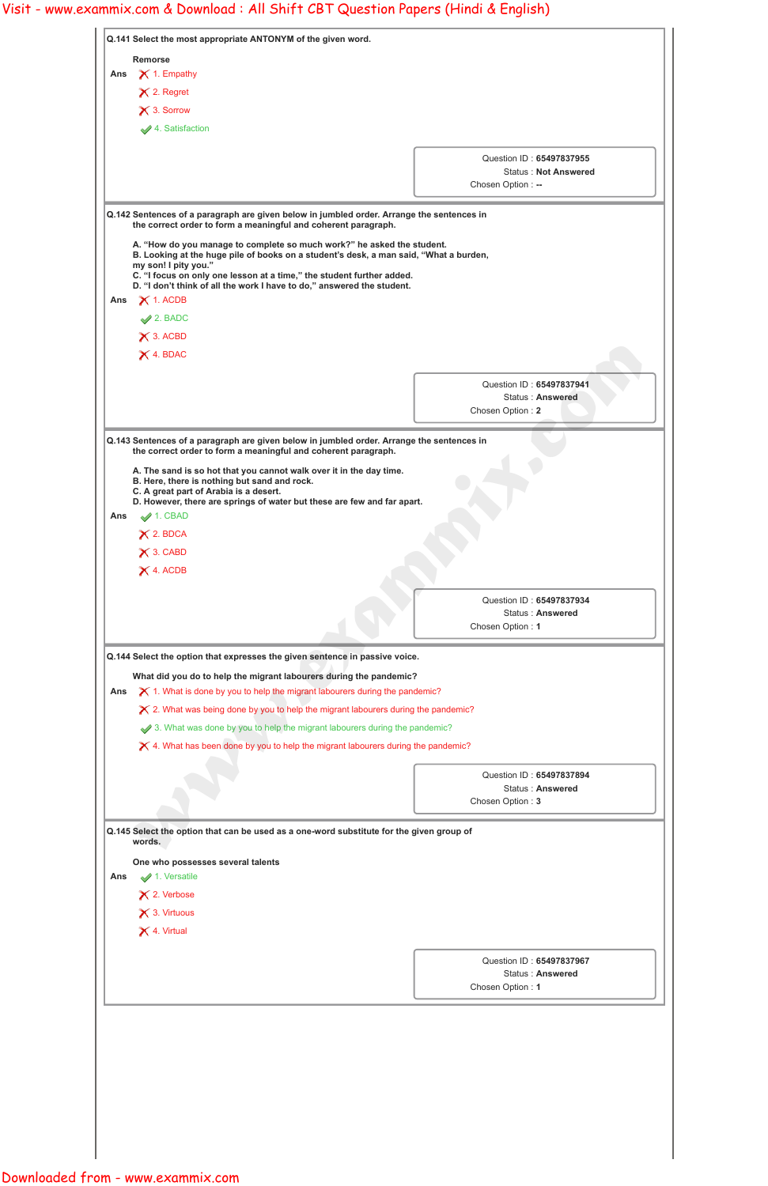|     | Q.141 Select the most appropriate ANTONYM of the given word.                                                                                                                                                                                                                                                                               |                                                     |
|-----|--------------------------------------------------------------------------------------------------------------------------------------------------------------------------------------------------------------------------------------------------------------------------------------------------------------------------------------------|-----------------------------------------------------|
|     | <b>Remorse</b>                                                                                                                                                                                                                                                                                                                             |                                                     |
| Ans | $\times$ 1. Empathy                                                                                                                                                                                                                                                                                                                        |                                                     |
|     | $\times$ 2. Regret                                                                                                                                                                                                                                                                                                                         |                                                     |
|     | $\times$ 3. Sorrow                                                                                                                                                                                                                                                                                                                         |                                                     |
|     | <b>◆ 4. Satisfaction</b>                                                                                                                                                                                                                                                                                                                   |                                                     |
|     |                                                                                                                                                                                                                                                                                                                                            | Question ID: 65497837955                            |
|     |                                                                                                                                                                                                                                                                                                                                            | <b>Status: Not Answered</b>                         |
|     |                                                                                                                                                                                                                                                                                                                                            | Chosen Option: --                                   |
|     | Q.142 Sentences of a paragraph are given below in jumbled order. Arrange the sentences in<br>the correct order to form a meaningful and coherent paragraph.                                                                                                                                                                                |                                                     |
|     | A. "How do you manage to complete so much work?" he asked the student.<br>B. Looking at the huge pile of books on a student's desk, a man said, "What a burden,<br>my son! I pity you."<br>C. "I focus on only one lesson at a time," the student further added.<br>D. "I don't think of all the work I have to do," answered the student. |                                                     |
| Ans | $\times$ 1. ACDB                                                                                                                                                                                                                                                                                                                           |                                                     |
|     | $\blacktriangleright$ 2. BADC                                                                                                                                                                                                                                                                                                              |                                                     |
|     | $\times$ 3. ACBD                                                                                                                                                                                                                                                                                                                           |                                                     |
|     | $\times$ 4. BDAC                                                                                                                                                                                                                                                                                                                           |                                                     |
|     |                                                                                                                                                                                                                                                                                                                                            |                                                     |
|     |                                                                                                                                                                                                                                                                                                                                            | Question ID: 65497837941<br><b>Status: Answered</b> |
|     |                                                                                                                                                                                                                                                                                                                                            | Chosen Option: 2                                    |
| Ans | B. Here, there is nothing but sand and rock.<br>C. A great part of Arabia is a desert.<br>D. However, there are springs of water but these are few and far apart.<br>$\blacktriangleright$ 1. CBAD<br>$\times$ 2. BDCA<br>$\times$ 3. CABD                                                                                                 |                                                     |
|     | $\times$ 4. ACDB                                                                                                                                                                                                                                                                                                                           |                                                     |
|     |                                                                                                                                                                                                                                                                                                                                            | Question ID: 65497837934                            |
|     |                                                                                                                                                                                                                                                                                                                                            | <b>Status: Answered</b><br>Chosen Option: 1         |
|     |                                                                                                                                                                                                                                                                                                                                            |                                                     |
|     | Q.144 Select the option that expresses the given sentence in passive voice.                                                                                                                                                                                                                                                                |                                                     |
|     | What did you do to help the migrant labourers during the pandemic?<br>$\boldsymbol{\times}$ 1. What is done by you to help the migrant labourers during the pandemic?                                                                                                                                                                      |                                                     |
| Ans | $\boldsymbol{\times}$ 2. What was being done by you to help the migrant labourers during the pandemic?                                                                                                                                                                                                                                     |                                                     |
|     |                                                                                                                                                                                                                                                                                                                                            |                                                     |
|     | 3. What was done by you to help the migrant labourers during the pandemic?                                                                                                                                                                                                                                                                 |                                                     |
|     | $\boldsymbol{\times}$ 4. What has been done by you to help the migrant labourers during the pandemic?                                                                                                                                                                                                                                      |                                                     |
|     |                                                                                                                                                                                                                                                                                                                                            |                                                     |
|     |                                                                                                                                                                                                                                                                                                                                            | Question ID: 65497837894<br>Status: Answered        |

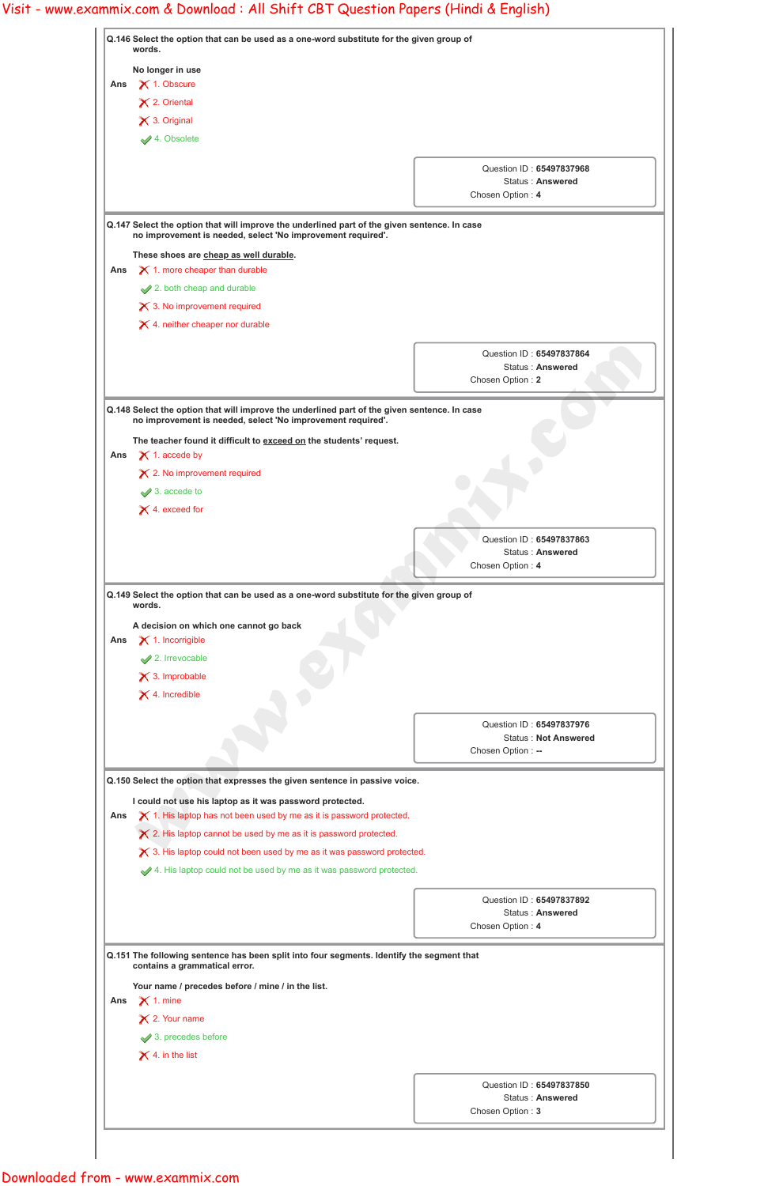|     | Q.146 Select the option that can be used as a one-word substitute for the given group of<br>words.                                                                       |                                                     |
|-----|--------------------------------------------------------------------------------------------------------------------------------------------------------------------------|-----------------------------------------------------|
|     | No longer in use                                                                                                                                                         |                                                     |
| Ans | X 1. Obscure                                                                                                                                                             |                                                     |
|     | X 2. Oriental                                                                                                                                                            |                                                     |
|     | $\times$ 3. Original                                                                                                                                                     |                                                     |
|     | 4. Obsolete                                                                                                                                                              |                                                     |
|     |                                                                                                                                                                          | Question ID: 65497837968                            |
|     |                                                                                                                                                                          | <b>Status: Answered</b>                             |
|     |                                                                                                                                                                          | Chosen Option: 4                                    |
|     | Q.147 Select the option that will improve the underlined part of the given sentence. In case                                                                             |                                                     |
|     | no improvement is needed, select 'No improvement required'.                                                                                                              |                                                     |
|     | These shoes are cheap as well durable.                                                                                                                                   |                                                     |
| Ans | $\boldsymbol{\times}$ 1. more cheaper than durable                                                                                                                       |                                                     |
|     | 2. both cheap and durable                                                                                                                                                |                                                     |
|     | $\times$ 3. No improvement required                                                                                                                                      |                                                     |
|     | $\times$ 4. neither cheaper nor durable                                                                                                                                  |                                                     |
|     |                                                                                                                                                                          | Question ID: 65497837864                            |
|     |                                                                                                                                                                          | Status: Answered                                    |
|     |                                                                                                                                                                          | Chosen Option: 2                                    |
|     | Q.148 Select the option that will improve the underlined part of the given sentence. In case                                                                             |                                                     |
|     | no improvement is needed, select 'No improvement required'.                                                                                                              |                                                     |
|     | The teacher found it difficult to exceed on the students' request.                                                                                                       |                                                     |
| Ans | $\boldsymbol{\times}$ 1. accede by                                                                                                                                       |                                                     |
|     | $\times$ 2. No improvement required                                                                                                                                      |                                                     |
|     | $\blacktriangleright$ 3. accede to                                                                                                                                       |                                                     |
|     | $\times$ 4. exceed for                                                                                                                                                   |                                                     |
|     |                                                                                                                                                                          | Question ID: 65497837863                            |
|     |                                                                                                                                                                          | <b>Status: Answered</b>                             |
|     |                                                                                                                                                                          | Chosen Option: 4                                    |
| Ans | Q.149 Select the option that can be used as a one-word substitute for the given group of<br>words.<br>A decision on which one cannot go back<br>$\times$ 1. Incorrigible |                                                     |
|     | 2. Irrevocable<br>$\times$ 3. Improbable<br>$\times$ 4. Incredible                                                                                                       | Question ID: 65497837976                            |
|     |                                                                                                                                                                          | <b>Status: Not Answered</b>                         |
|     |                                                                                                                                                                          | Chosen Option: --                                   |
|     | Q.150 Select the option that expresses the given sentence in passive voice.                                                                                              |                                                     |
|     | I could not use his laptop as it was password protected.                                                                                                                 |                                                     |
| Ans | $\boldsymbol{\times}$ 1. His laptop has not been used by me as it is password protected.                                                                                 |                                                     |
|     | $\boldsymbol{\times}$ 2. His laptop cannot be used by me as it is password protected.                                                                                    |                                                     |
|     | $\boldsymbol{\times}$ 3. His laptop could not been used by me as it was password protected.                                                                              |                                                     |
|     | 4. His laptop could not be used by me as it was password protected.                                                                                                      |                                                     |
|     |                                                                                                                                                                          |                                                     |
|     |                                                                                                                                                                          | Question ID: 65497837892<br><b>Status: Answered</b> |
|     |                                                                                                                                                                          | Chosen Option: 4                                    |
|     |                                                                                                                                                                          |                                                     |
|     | Q.151 The following sentence has been split into four segments. Identify the segment that<br>contains a grammatical error.                                               |                                                     |
|     |                                                                                                                                                                          |                                                     |
| Ans | Your name / precedes before / mine / in the list.<br>$\times$ 1. mine                                                                                                    |                                                     |
|     | $\times$ 2. Your name                                                                                                                                                    |                                                     |
|     | $\rightarrow$ 3. precedes before                                                                                                                                         |                                                     |
|     | $\times$ 4. in the list                                                                                                                                                  |                                                     |
|     |                                                                                                                                                                          |                                                     |
|     |                                                                                                                                                                          | Question ID: 65497837850                            |
|     |                                                                                                                                                                          | <b>Status: Answered</b><br>Chosen Option: 3         |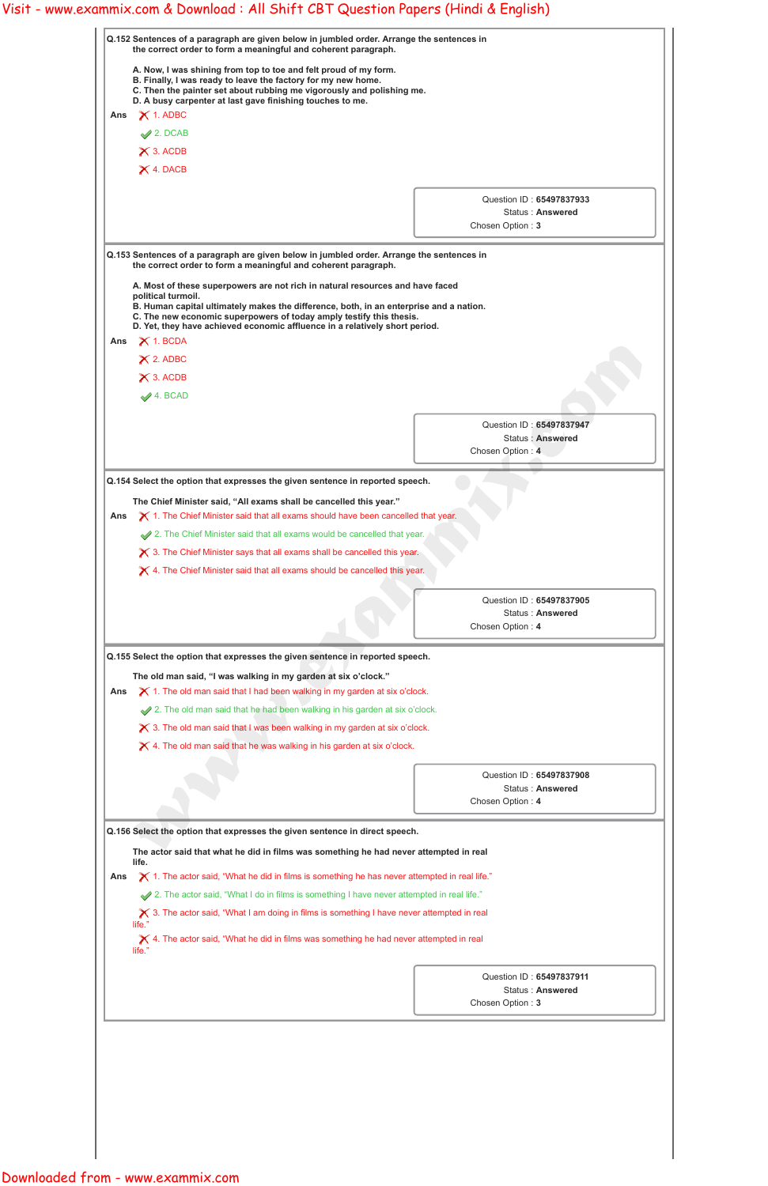| Q.152 Sentences of a paragraph are given below in jumbled order. Arrange the sentences in<br>the correct order to form a meaningful and coherent paragraph.                                                                                                                                                                                                                                                                                                                                                                                                                                      |                                                                         |
|--------------------------------------------------------------------------------------------------------------------------------------------------------------------------------------------------------------------------------------------------------------------------------------------------------------------------------------------------------------------------------------------------------------------------------------------------------------------------------------------------------------------------------------------------------------------------------------------------|-------------------------------------------------------------------------|
| A. Now, I was shining from top to toe and felt proud of my form.<br>B. Finally, I was ready to leave the factory for my new home.<br>C. Then the painter set about rubbing me vigorously and polishing me.<br>D. A busy carpenter at last gave finishing touches to me.<br>$\times$ 1. ADBC<br>Ans<br>$\blacktriangleright$ 2. DCAB<br>$\times$ 3. ACDB<br>$\times$ 4. DACB                                                                                                                                                                                                                      |                                                                         |
|                                                                                                                                                                                                                                                                                                                                                                                                                                                                                                                                                                                                  | Question ID: 65497837933<br>Status: Answered<br>Chosen Option: 3        |
| Q.153 Sentences of a paragraph are given below in jumbled order. Arrange the sentences in<br>the correct order to form a meaningful and coherent paragraph.<br>A. Most of these superpowers are not rich in natural resources and have faced<br>political turmoil.<br>B. Human capital ultimately makes the difference, both, in an enterprise and a nation.<br>C. The new economic superpowers of today amply testify this thesis.<br>D. Yet, they have achieved economic affluence in a relatively short period.<br>$\times$ 1. BCDA<br>Ans<br>$\times$ 2. ADBC<br>$\times$ 3. ACDB<br>4. BCAD |                                                                         |
|                                                                                                                                                                                                                                                                                                                                                                                                                                                                                                                                                                                                  | Question ID: 65497837947<br><b>Status: Answered</b><br>Chosen Option: 4 |
| Q.154 Select the option that expresses the given sentence in reported speech.<br>The Chief Minister said, "All exams shall be cancelled this year."<br>$\boldsymbol{\times}$ 1. The Chief Minister said that all exams should have been cancelled that year.<br>Ans<br>2. The Chief Minister said that all exams would be cancelled that year.<br>$\boldsymbol{\times}$ 3. The Chief Minister says that all exams shall be cancelled this year.<br>$\boldsymbol{\times}$ 4. The Chief Minister said that all exams should be cancelled this year.                                                |                                                                         |
|                                                                                                                                                                                                                                                                                                                                                                                                                                                                                                                                                                                                  | Question ID: 65497837905<br><b>Status: Answered</b><br>Chosen Option: 4 |
| Q.155 Select the option that expresses the given sentence in reported speech.<br>The old man said, "I was walking in my garden at six o'clock."<br>$\boldsymbol{\times}$ 1. The old man said that I had been walking in my garden at six o'clock.<br>Ans<br>2. The old man said that he had been walking in his garden at six o'clock.<br>$\boldsymbol{\times}$ 3. The old man said that I was been walking in my garden at six o'clock.<br>$\boldsymbol{\times}$ 4. The old man said that he was walking in his garden at six o'clock.                                                          |                                                                         |
|                                                                                                                                                                                                                                                                                                                                                                                                                                                                                                                                                                                                  | Question ID: 65497837908                                                |

Ans  $\bigtimes$  1. The actor said, "What he did in films is something he has never attempted in real life."

 $\boldsymbol{\times}$  3. The actor said, "What I am doing in films is something I have never attempted in real life."

 $\boldsymbol{\times}$  4. The actor said, "What he did in films was something he had never attempted in real life."

**life.**

2. The actor said, "What I do in films is something I have never attempted in real life."

Question ID : **65497837911**

Status : **Answered**

Chosen Option : **3**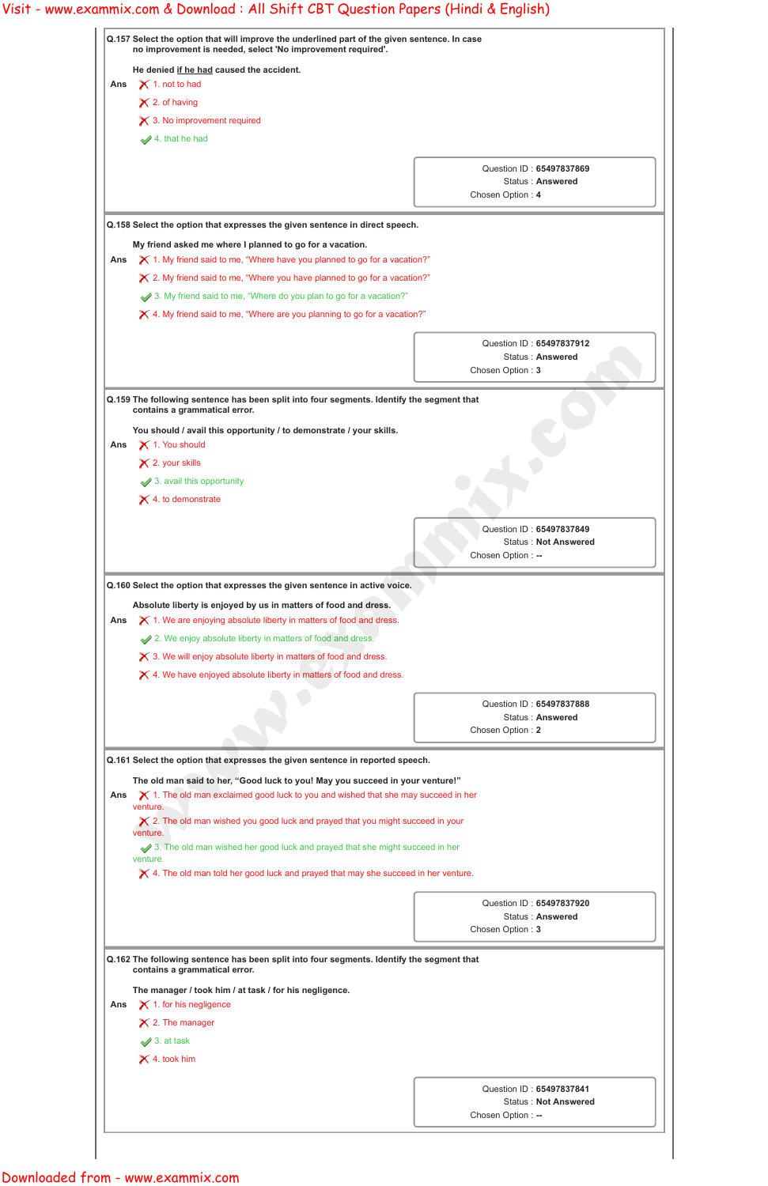|     | Q.157 Select the option that will improve the underlined part of the given sentence. In case<br>no improvement is needed, select 'No improvement required'.                                                                                    |                                                         |
|-----|------------------------------------------------------------------------------------------------------------------------------------------------------------------------------------------------------------------------------------------------|---------------------------------------------------------|
|     | He denied if he had caused the accident.                                                                                                                                                                                                       |                                                         |
| Ans | $\boldsymbol{\times}$ 1. not to had                                                                                                                                                                                                            |                                                         |
|     | $\times$ 2. of having                                                                                                                                                                                                                          |                                                         |
|     | $\times$ 3. No improvement required                                                                                                                                                                                                            |                                                         |
|     | $\blacktriangleright$ 4. that he had                                                                                                                                                                                                           |                                                         |
|     |                                                                                                                                                                                                                                                |                                                         |
|     |                                                                                                                                                                                                                                                | Question ID: 65497837869<br><b>Status: Answered</b>     |
|     |                                                                                                                                                                                                                                                | Chosen Option: 4                                        |
|     | Q.158 Select the option that expresses the given sentence in direct speech.                                                                                                                                                                    |                                                         |
|     |                                                                                                                                                                                                                                                |                                                         |
| Ans | My friend asked me where I planned to go for a vacation.<br>$\boldsymbol{\times}$ 1. My friend said to me, "Where have you planned to go for a vacation?"                                                                                      |                                                         |
|     | $\boldsymbol{\times}$ 2. My friend said to me, "Where you have planned to go for a vacation?"                                                                                                                                                  |                                                         |
|     | 3. My friend said to me, "Where do you plan to go for a vacation?"                                                                                                                                                                             |                                                         |
|     | $\boldsymbol{\times}$ 4. My friend said to me, "Where are you planning to go for a vacation?"                                                                                                                                                  |                                                         |
|     |                                                                                                                                                                                                                                                |                                                         |
|     |                                                                                                                                                                                                                                                | Question ID: 65497837912                                |
|     |                                                                                                                                                                                                                                                | <b>Status: Answered</b><br>Chosen Option: 3             |
|     |                                                                                                                                                                                                                                                |                                                         |
|     | Q.159 The following sentence has been split into four segments. Identify the segment that<br>contains a grammatical error.                                                                                                                     |                                                         |
|     | You should / avail this opportunity / to demonstrate / your skills.                                                                                                                                                                            |                                                         |
| Ans | X 1. You should                                                                                                                                                                                                                                |                                                         |
|     | $\times$ 2. your skills                                                                                                                                                                                                                        |                                                         |
|     | 3. avail this opportunity                                                                                                                                                                                                                      |                                                         |
|     | $\times$ 4. to demonstrate                                                                                                                                                                                                                     |                                                         |
|     |                                                                                                                                                                                                                                                |                                                         |
|     |                                                                                                                                                                                                                                                | Question ID: 65497837849<br><b>Status: Not Answered</b> |
|     |                                                                                                                                                                                                                                                | Chosen Option : --                                      |
| Ans | Absolute liberty is enjoyed by us in matters of food and dress.<br>$\boldsymbol{\times}$ 1. We are enjoying absolute liberty in matters of food and dress.                                                                                     |                                                         |
|     | 2. We enjoy absolute liberty in matters of food and dress.<br>$\boldsymbol{\times}$ 3. We will enjoy absolute liberty in matters of food and dress.<br>$\boldsymbol{\times}$ 4. We have enjoyed absolute liberty in matters of food and dress. |                                                         |
|     |                                                                                                                                                                                                                                                | Question ID: 65497837888                                |
|     |                                                                                                                                                                                                                                                | Status: Answered                                        |
|     |                                                                                                                                                                                                                                                | Chosen Option: 2                                        |
|     | Q.161 Select the option that expresses the given sentence in reported speech.                                                                                                                                                                  |                                                         |
|     | The old man said to her, "Good luck to you! May you succeed in your venture!"                                                                                                                                                                  |                                                         |
| Ans | $\blacktriangleright$ 1. The old man exclaimed good luck to you and wished that she may succeed in her                                                                                                                                         |                                                         |
|     | venture.<br>$\boldsymbol{\times}$ 2. The old man wished you good luck and prayed that you might succeed in your                                                                                                                                |                                                         |
|     | venture.                                                                                                                                                                                                                                       |                                                         |
|     | 3. The old man wished her good luck and prayed that she might succeed in her<br>venture.                                                                                                                                                       |                                                         |
|     | $\blacktriangleright$ 4. The old man told her good luck and prayed that may she succeed in her venture.                                                                                                                                        |                                                         |
|     |                                                                                                                                                                                                                                                |                                                         |
|     |                                                                                                                                                                                                                                                | Question ID: 65497837920<br>Status: Answered            |
|     |                                                                                                                                                                                                                                                | Chosen Option: 3                                        |
|     |                                                                                                                                                                                                                                                |                                                         |
|     | Q.162 The following sentence has been split into four segments. Identify the segment that<br>contains a grammatical error.                                                                                                                     |                                                         |
|     | The manager / took him / at task / for his negligence.                                                                                                                                                                                         |                                                         |
| Ans | $\times$ 1. for his negligence                                                                                                                                                                                                                 |                                                         |
|     | $\times$ 2. The manager                                                                                                                                                                                                                        |                                                         |
|     | $\blacktriangleright$ 3. at task                                                                                                                                                                                                               |                                                         |
|     | $\times$ 4. took him                                                                                                                                                                                                                           |                                                         |
|     |                                                                                                                                                                                                                                                |                                                         |
|     |                                                                                                                                                                                                                                                | Question ID: 65497837841<br><b>Status: Not Answered</b> |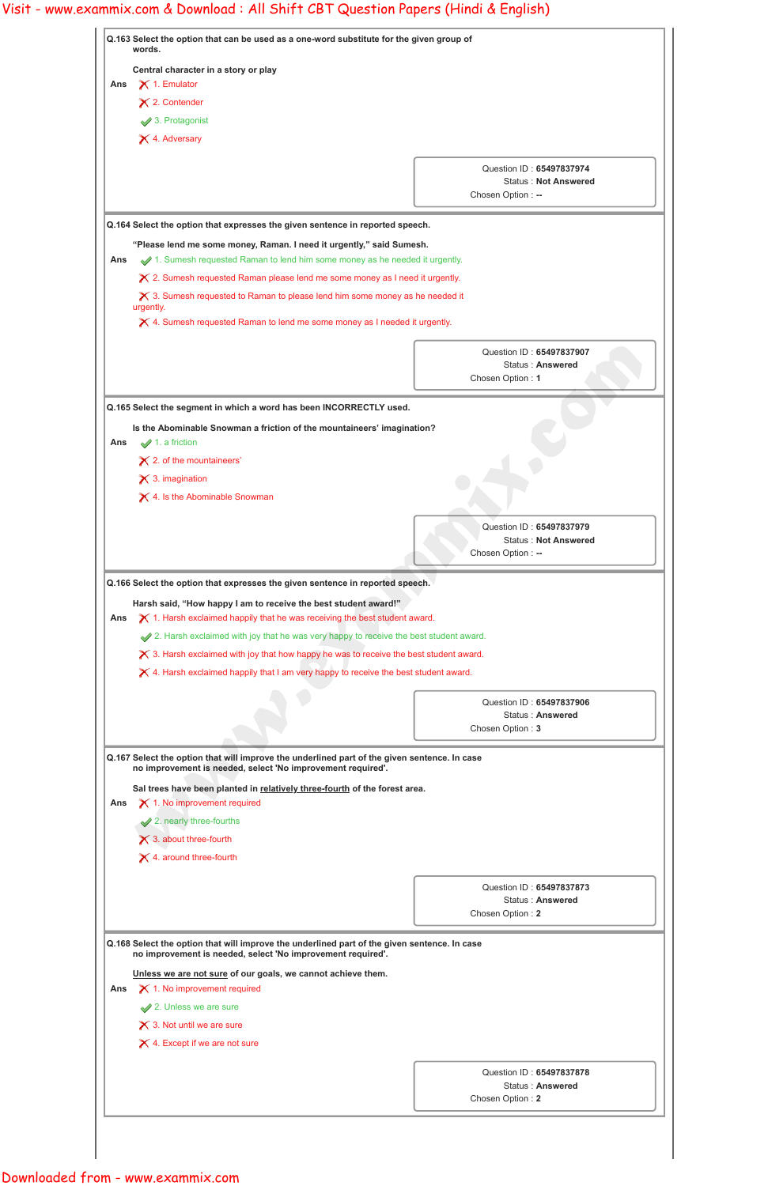|     | Q.163 Select the option that can be used as a one-word substitute for the given group of<br>words.                                                                                                                     |
|-----|------------------------------------------------------------------------------------------------------------------------------------------------------------------------------------------------------------------------|
|     | Central character in a story or play                                                                                                                                                                                   |
| Ans | $\times$ 1. Emulator                                                                                                                                                                                                   |
|     | $\times$ 2. Contender                                                                                                                                                                                                  |
|     | 3. Protagonist                                                                                                                                                                                                         |
|     | X 4. Adversary                                                                                                                                                                                                         |
|     | Question ID: 65497837974                                                                                                                                                                                               |
|     | <b>Status: Not Answered</b>                                                                                                                                                                                            |
|     | Chosen Option: --                                                                                                                                                                                                      |
|     | Q.164 Select the option that expresses the given sentence in reported speech.                                                                                                                                          |
|     | "Please lend me some money, Raman. I need it urgently," said Sumesh.                                                                                                                                                   |
| Ans | 1. Sumesh requested Raman to lend him some money as he needed it urgently.                                                                                                                                             |
|     | $\boldsymbol{\times}$ 2. Sumesh requested Raman please lend me some money as I need it urgently.                                                                                                                       |
|     | $\boldsymbol{\times}$ 3. Sumesh requested to Raman to please lend him some money as he needed it<br>urgently.                                                                                                          |
|     | $\boldsymbol{\times}$ 4. Sumesh requested Raman to lend me some money as I needed it urgently.                                                                                                                         |
|     | Question ID: 65497837907                                                                                                                                                                                               |
|     | <b>Status: Answered</b>                                                                                                                                                                                                |
|     | Chosen Option: 1                                                                                                                                                                                                       |
|     | Q.165 Select the segment in which a word has been INCORRECTLY used.                                                                                                                                                    |
|     | Is the Abominable Snowman a friction of the mountaineers' imagination?                                                                                                                                                 |
| Ans | $\blacktriangleright$ 1. a friction                                                                                                                                                                                    |
|     | $\times$ 2. of the mountaineers'                                                                                                                                                                                       |
|     | $\times$ 3. imagination                                                                                                                                                                                                |
|     | $\times$ 4. Is the Abominable Snowman                                                                                                                                                                                  |
|     | Question ID: 65497837979                                                                                                                                                                                               |
|     | <b>Status: Not Answered</b>                                                                                                                                                                                            |
|     | Chosen Option: --                                                                                                                                                                                                      |
|     | Q.166 Select the option that expresses the given sentence in reported speech.                                                                                                                                          |
|     | Harsh said, "How happy I am to receive the best student award!"                                                                                                                                                        |
| Ans | $\boldsymbol{\times}$ 1. Harsh exclaimed happily that he was receiving the best student award.<br>2. Harsh exclaimed with joy that he was very happy to receive the best student award.                                |
|     |                                                                                                                                                                                                                        |
|     | $\boldsymbol{\times}$ 3. Harsh exclaimed with joy that how happy he was to receive the best student award.<br>$\boldsymbol{\times}$ 4. Harsh exclaimed happily that I am very happy to receive the best student award. |
|     |                                                                                                                                                                                                                        |
|     | Question ID: 65497837906                                                                                                                                                                                               |
|     | Status: Answered                                                                                                                                                                                                       |
|     | Chosen Option: 3                                                                                                                                                                                                       |
|     |                                                                                                                                                                                                                        |
|     | Q.167 Select the option that will improve the underlined part of the given sentence. In case                                                                                                                           |
|     | no improvement is needed, select 'No improvement required'.                                                                                                                                                            |
| Ans | Sal trees have been planted in relatively three-fourth of the forest area.<br>$\times$ 1. No improvement required                                                                                                      |
|     | $\blacktriangleright$ 2. nearly three-fourths                                                                                                                                                                          |
|     | $\times$ 3. about three-fourth                                                                                                                                                                                         |

Question ID : **65497837873**

Status : **Answered**

Chosen Option : **2**

**Q.168 Select the option that will improve the underlined part of the given sentence. In case no improvement is needed, select 'No improvement required'.**

**Unless we are not sure of our goals, we cannot achieve them.**

Ans  $\bigtimes$  1. No improvement required

2. Unless we are sure

 $\times$  3. Not until we are sure

 $\times$  4. Except if we are not sure

Question ID : **65497837878**

Status : **Answered**

Chosen Option : **2**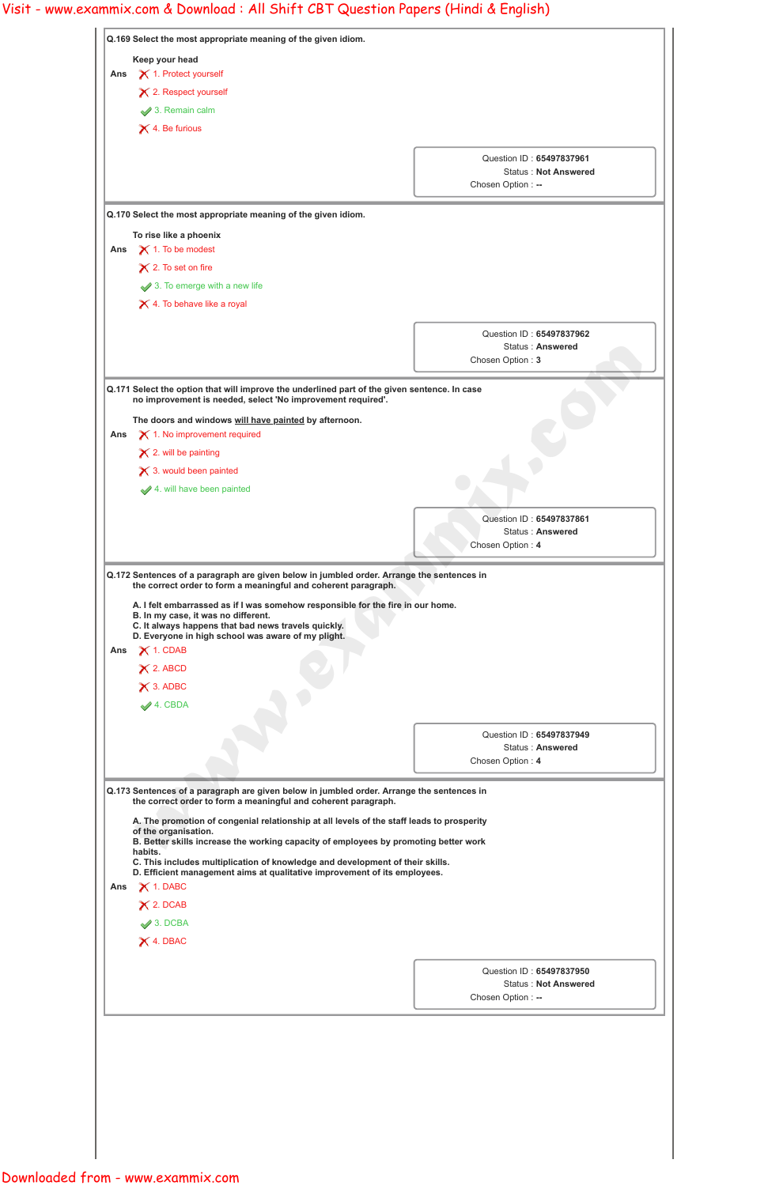| Q.169 Select the most appropriate meaning of the given idiom.                                                                                               |                                      |
|-------------------------------------------------------------------------------------------------------------------------------------------------------------|--------------------------------------|
| Keep your head                                                                                                                                              |                                      |
| X 1. Protect yourself<br>Ans                                                                                                                                |                                      |
| $\times$ 2. Respect yourself                                                                                                                                |                                      |
| 3. Remain calm                                                                                                                                              |                                      |
| $\times$ 4. Be furious                                                                                                                                      |                                      |
|                                                                                                                                                             | Question ID: 65497837961             |
|                                                                                                                                                             | <b>Status: Not Answered</b>          |
|                                                                                                                                                             | Chosen Option: --                    |
| Q.170 Select the most appropriate meaning of the given idiom.                                                                                               |                                      |
| To rise like a phoenix                                                                                                                                      |                                      |
| $\times$ 1. To be modest<br>Ans                                                                                                                             |                                      |
| $\times$ 2. To set on fire                                                                                                                                  |                                      |
| 3. To emerge with a new life                                                                                                                                |                                      |
| $\times$ 4. To behave like a royal                                                                                                                          |                                      |
|                                                                                                                                                             |                                      |
|                                                                                                                                                             | Question ID: 65497837962             |
|                                                                                                                                                             | Status: Answered<br>Chosen Option: 3 |
|                                                                                                                                                             |                                      |
| Q.171 Select the option that will improve the underlined part of the given sentence. In case<br>no improvement is needed, select 'No improvement required'. |                                      |
|                                                                                                                                                             |                                      |
| The doors and windows will have painted by afternoon.<br>$\boldsymbol{\times}$ 1. No improvement required                                                   |                                      |
| Ans                                                                                                                                                         |                                      |
| $\times$ 2. will be painting                                                                                                                                |                                      |
| $\times$ 3. would been painted                                                                                                                              |                                      |
| 4. will have been painted                                                                                                                                   |                                      |
|                                                                                                                                                             | Question ID: 65497837861             |
|                                                                                                                                                             | <b>Status: Answered</b>              |
|                                                                                                                                                             | Chosen Option: 4                     |
| Q.172 Sentences of a paragraph are given below in jumbled order. Arrange the sentences in                                                                   |                                      |
| the correct order to form a meaningful and coherent paragraph.                                                                                              |                                      |
| A. I felt embarrassed as if I was somehow responsible for the fire in our home.                                                                             |                                      |
| B. In my case, it was no different.<br>C. It always happens that bad news travels quickly.                                                                  |                                      |
| D. Everyone in high school was aware of my plight.                                                                                                          |                                      |
| $\times$ 1. CDAB<br>Ans                                                                                                                                     |                                      |
| $\times$ 2. ABCD                                                                                                                                            |                                      |
| $\times$ 3. ADBC                                                                                                                                            |                                      |
| $4.$ CBDA                                                                                                                                                   |                                      |
|                                                                                                                                                             | Question ID: 65497837949             |
|                                                                                                                                                             | <b>Status: Answered</b>              |
|                                                                                                                                                             |                                      |
|                                                                                                                                                             | Chosen Option: 4                     |
|                                                                                                                                                             |                                      |
| Q.173 Sentences of a paragraph are given below in jumbled order. Arrange the sentences in<br>the correct order to form a meaningful and coherent paragraph. |                                      |
| A. The promotion of congenial relationship at all levels of the staff leads to prosperity                                                                   |                                      |
| of the organisation.<br>B. Better skills increase the working capacity of employees by promoting better work                                                |                                      |

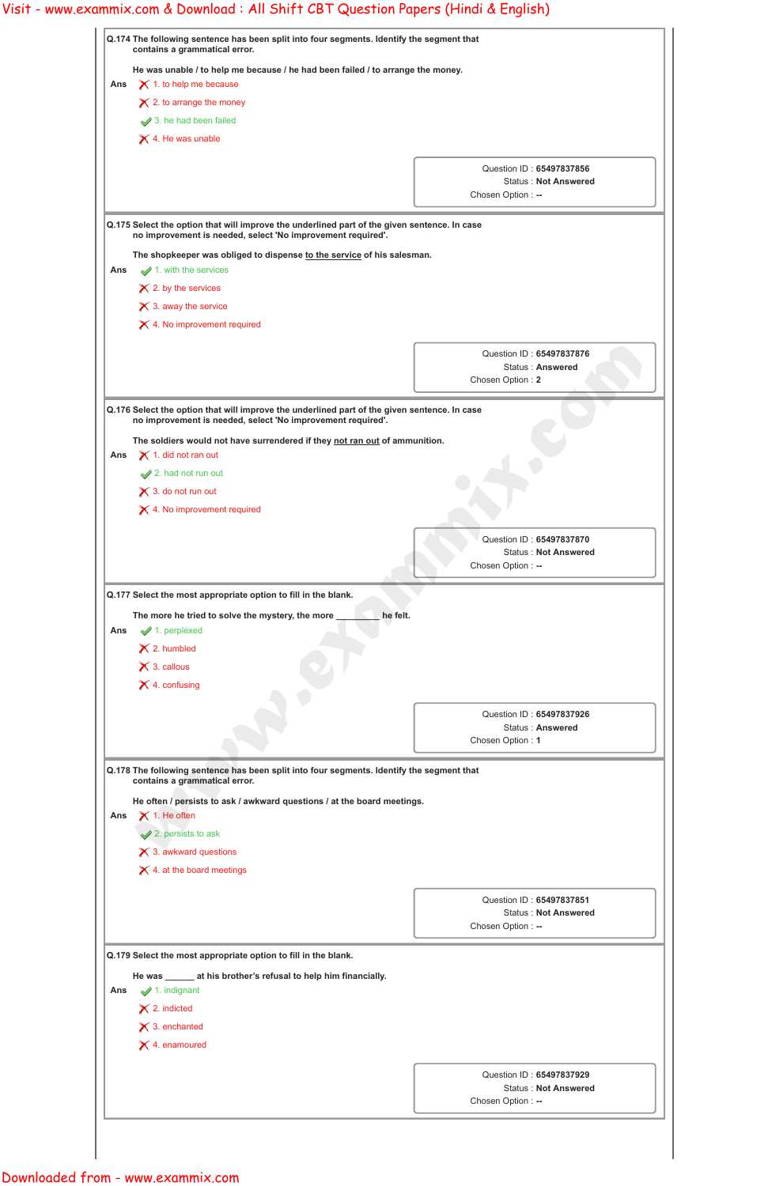|     | Q.174 The following sentence has been split into four segments. Identify the segment that<br>contains a grammatical error.                                                                                        |                                                                                     |
|-----|-------------------------------------------------------------------------------------------------------------------------------------------------------------------------------------------------------------------|-------------------------------------------------------------------------------------|
| Ans | He was unable / to help me because / he had been failed / to arrange the money.<br>$\boldsymbol{\times}$ 1. to help me because<br>$\times$ 2. to arrange the money<br>$\blacktriangleright$ 3. he had been failed |                                                                                     |
|     | $\times$ 4. He was unable                                                                                                                                                                                         |                                                                                     |
|     |                                                                                                                                                                                                                   | Question ID: 65497837856<br><b>Status: Not Answered</b><br>Chosen Option : --       |
|     | Q.175 Select the option that will improve the underlined part of the given sentence. In case                                                                                                                      |                                                                                     |
|     | no improvement is needed, select 'No improvement required'.<br>The shopkeeper was obliged to dispense to the service of his salesman.                                                                             |                                                                                     |
| Ans | $\blacktriangleright$ 1. with the services                                                                                                                                                                        |                                                                                     |
|     | $\times$ 2. by the services                                                                                                                                                                                       |                                                                                     |
|     | $\times$ 3. away the service                                                                                                                                                                                      |                                                                                     |
|     | $\times$ 4. No improvement required                                                                                                                                                                               |                                                                                     |
|     |                                                                                                                                                                                                                   | Question ID: 65497837876                                                            |
|     |                                                                                                                                                                                                                   | Status: Answered<br>Chosen Option: 2                                                |
|     | Q.176 Select the option that will improve the underlined part of the given sentence. In case<br>no improvement is needed, select 'No improvement required'.                                                       |                                                                                     |
|     | The soldiers would not have surrendered if they not ran out of ammunition.                                                                                                                                        |                                                                                     |
| Ans | $\times$ 1. did not ran out                                                                                                                                                                                       |                                                                                     |
|     | 2. had not run out                                                                                                                                                                                                |                                                                                     |
|     | $\times$ 3. do not run out                                                                                                                                                                                        |                                                                                     |
|     | $\times$ 4. No improvement required                                                                                                                                                                               |                                                                                     |
|     |                                                                                                                                                                                                                   | Question ID: 65497837870                                                            |
|     |                                                                                                                                                                                                                   | <b>Status: Not Answered</b>                                                         |
|     |                                                                                                                                                                                                                   | Chosen Option : --                                                                  |
| Ans | Q.177 Select the most appropriate option to fill in the blank.<br>he felt.<br>The more he tried to solve the mystery, the more<br>$\blacktriangleright$ 1. perplexed                                              |                                                                                     |
|     | $\times$ 2. humbled<br>$\times$ 3. callous<br>$\times$ 4. confusing                                                                                                                                               |                                                                                     |
|     |                                                                                                                                                                                                                   |                                                                                     |
|     |                                                                                                                                                                                                                   |                                                                                     |
|     |                                                                                                                                                                                                                   | <b>Status: Answered</b><br>Chosen Option: 1                                         |
|     | Q.178 The following sentence has been split into four segments. Identify the segment that                                                                                                                         |                                                                                     |
|     | contains a grammatical error.                                                                                                                                                                                     |                                                                                     |
| Ans | He often / persists to ask / awkward questions / at the board meetings.<br>$\times$ 1. He often                                                                                                                   |                                                                                     |
|     | $\blacktriangleright$ 2. persists to ask                                                                                                                                                                          |                                                                                     |
|     | $\times$ 3. awkward questions                                                                                                                                                                                     |                                                                                     |
|     | $\times$ 4. at the board meetings                                                                                                                                                                                 |                                                                                     |
|     |                                                                                                                                                                                                                   |                                                                                     |
|     |                                                                                                                                                                                                                   |                                                                                     |
|     |                                                                                                                                                                                                                   | Chosen Option : --                                                                  |
|     | Q.179 Select the most appropriate option to fill in the blank.                                                                                                                                                    |                                                                                     |
|     | He was ______ at his brother's refusal to help him financially.                                                                                                                                                   |                                                                                     |
| Ans | $\blacktriangleright$ 1. indignant                                                                                                                                                                                | Question ID: 65497837926<br>Question ID: 65497837851<br><b>Status: Not Answered</b> |
|     | $\times$ 2. indicted                                                                                                                                                                                              |                                                                                     |
|     | $\times$ 3. enchanted                                                                                                                                                                                             |                                                                                     |
|     | $\times$ 4. enamoured                                                                                                                                                                                             |                                                                                     |
|     |                                                                                                                                                                                                                   | Question ID: 65497837929                                                            |
|     |                                                                                                                                                                                                                   | <b>Status: Not Answered</b><br>Chosen Option : --                                   |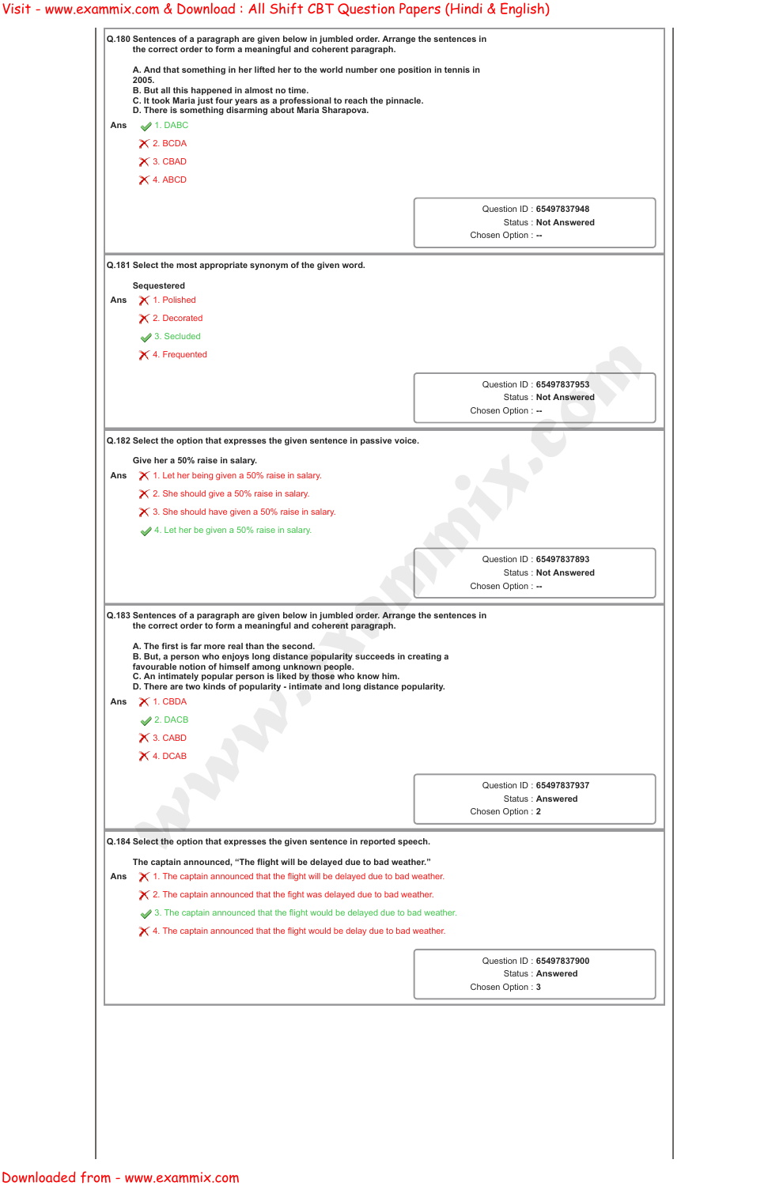|                                                                                                                                                                                                                                                                                                                                         | the correct order to form a meaningful and coherent paragraph.               |
|-----------------------------------------------------------------------------------------------------------------------------------------------------------------------------------------------------------------------------------------------------------------------------------------------------------------------------------------|------------------------------------------------------------------------------|
| A. And that something in her lifted her to the world number one position in tennis in<br>2005.<br>B. But all this happened in almost no time.<br>C. It took Maria just four years as a professional to reach the pinnacle.<br>D. There is something disarming about Maria Sharapova.                                                    |                                                                              |
| $\blacktriangleright$ 1. DABC<br>Ans                                                                                                                                                                                                                                                                                                    |                                                                              |
| $\times$ 2. BCDA                                                                                                                                                                                                                                                                                                                        |                                                                              |
| $\times$ 3. CBAD                                                                                                                                                                                                                                                                                                                        |                                                                              |
| $\times$ 4. ABCD                                                                                                                                                                                                                                                                                                                        |                                                                              |
|                                                                                                                                                                                                                                                                                                                                         | Question ID: 65497837948                                                     |
|                                                                                                                                                                                                                                                                                                                                         | <b>Status: Not Answered</b><br>Chosen Option: --                             |
| Q.181 Select the most appropriate synonym of the given word.                                                                                                                                                                                                                                                                            |                                                                              |
| Sequestered                                                                                                                                                                                                                                                                                                                             |                                                                              |
| X 1. Polished<br>Ans                                                                                                                                                                                                                                                                                                                    |                                                                              |
| $\times$ 2. Decorated                                                                                                                                                                                                                                                                                                                   |                                                                              |
| 3. Secluded                                                                                                                                                                                                                                                                                                                             |                                                                              |
| $\times$ 4. Frequented                                                                                                                                                                                                                                                                                                                  |                                                                              |
|                                                                                                                                                                                                                                                                                                                                         | Question ID: 65497837953                                                     |
|                                                                                                                                                                                                                                                                                                                                         | <b>Status: Not Answered</b><br>Chosen Option: --                             |
|                                                                                                                                                                                                                                                                                                                                         |                                                                              |
| Q.182 Select the option that expresses the given sentence in passive voice.<br>Give her a 50% raise in salary.                                                                                                                                                                                                                          |                                                                              |
| $\boldsymbol{\times}$ 1. Let her being given a 50% raise in salary.<br>Ans                                                                                                                                                                                                                                                              |                                                                              |
| $\boldsymbol{\times}$ 2. She should give a 50% raise in salary.<br>$\boldsymbol{\times}$ 3. She should have given a 50% raise in salary.                                                                                                                                                                                                |                                                                              |
| 4. Let her be given a 50% raise in salary.                                                                                                                                                                                                                                                                                              |                                                                              |
|                                                                                                                                                                                                                                                                                                                                         |                                                                              |
|                                                                                                                                                                                                                                                                                                                                         | Question ID: 65497837893<br><b>Status: Not Answered</b><br>Chosen Option: -- |
|                                                                                                                                                                                                                                                                                                                                         |                                                                              |
| Q.183 Sentences of a paragraph are given below in jumbled order. Arrange the sentences in<br>the correct order to form a meaningful and coherent paragraph.                                                                                                                                                                             |                                                                              |
| A. The first is far more real than the second.<br>B. But, a person who enjoys long distance popularity succeeds in creating a<br>favourable notion of himself among unknown people.<br>C. An intimately popular person is liked by those who know him.<br>D. There are two kinds of popularity - intimate and long distance popularity. |                                                                              |
| $\times$ 1. CBDA<br>Ans                                                                                                                                                                                                                                                                                                                 |                                                                              |
| 2. DACB                                                                                                                                                                                                                                                                                                                                 |                                                                              |
| $\times$ 3. CABD                                                                                                                                                                                                                                                                                                                        |                                                                              |
| $\times$ 4. DCAB                                                                                                                                                                                                                                                                                                                        |                                                                              |
|                                                                                                                                                                                                                                                                                                                                         | Question ID: 65497837937                                                     |
|                                                                                                                                                                                                                                                                                                                                         | Status: Answered                                                             |
|                                                                                                                                                                                                                                                                                                                                         |                                                                              |

Ans  $\mathsf{\tilde{X}}$  1. The captain announced that the flight will be delayed due to bad weather.

 $\boldsymbol{\times}$  2. The captain announced that the fight was delayed due to bad weather.

3. The captain announced that the flight would be delayed due to bad weather.

 $\boldsymbol{\times}$  4. The captain announced that the flight would be delay due to bad weather.

Question ID : **65497837900**

Status : **Answered**

Chosen Option : **3**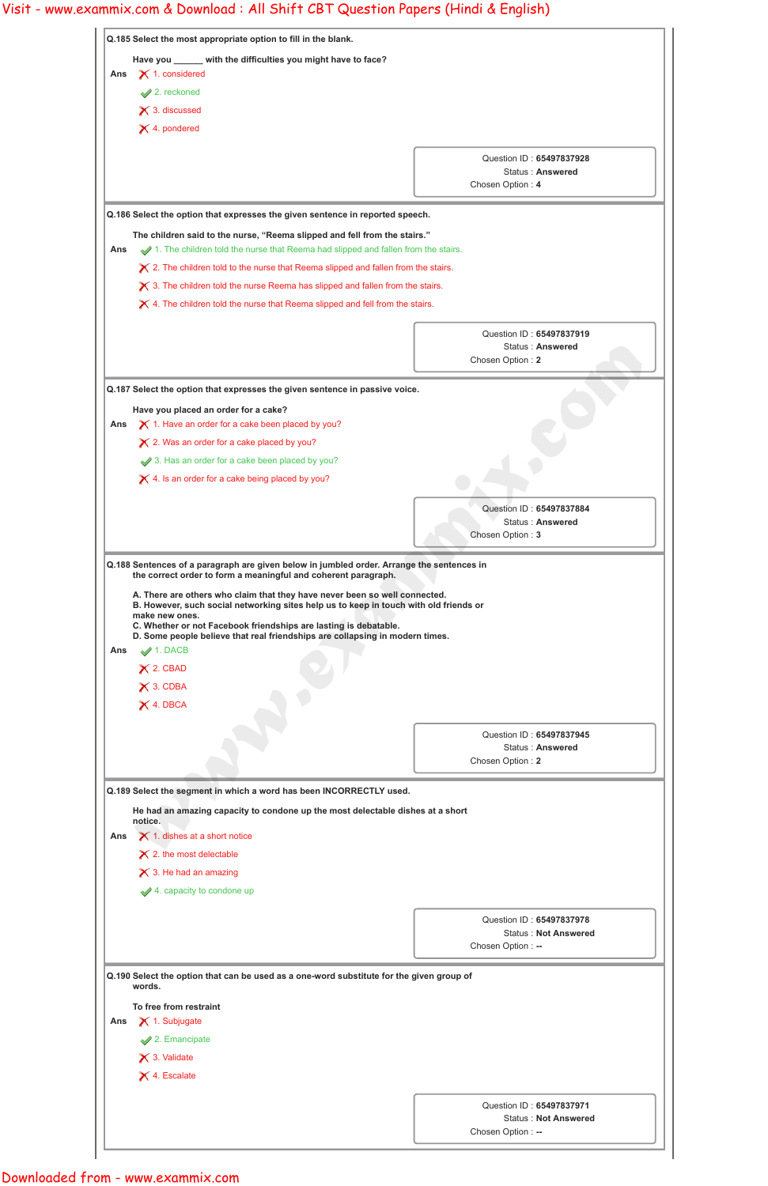|     | Q.185 Select the most appropriate option to fill in the blank.                                                                                                                                                                                                                                                                                                                                                           |                                                         |
|-----|--------------------------------------------------------------------------------------------------------------------------------------------------------------------------------------------------------------------------------------------------------------------------------------------------------------------------------------------------------------------------------------------------------------------------|---------------------------------------------------------|
|     | Have you _____ with the difficulties you might have to face?                                                                                                                                                                                                                                                                                                                                                             |                                                         |
| Ans | $\boldsymbol{\times}$ 1. considered                                                                                                                                                                                                                                                                                                                                                                                      |                                                         |
|     | 2. reckoned                                                                                                                                                                                                                                                                                                                                                                                                              |                                                         |
|     | $\times$ 3. discussed                                                                                                                                                                                                                                                                                                                                                                                                    |                                                         |
|     | $\times$ 4. pondered                                                                                                                                                                                                                                                                                                                                                                                                     |                                                         |
|     |                                                                                                                                                                                                                                                                                                                                                                                                                          | Question ID: 65497837928                                |
|     |                                                                                                                                                                                                                                                                                                                                                                                                                          | <b>Status: Answered</b>                                 |
|     |                                                                                                                                                                                                                                                                                                                                                                                                                          | Chosen Option: 4                                        |
|     |                                                                                                                                                                                                                                                                                                                                                                                                                          |                                                         |
|     | Q.186 Select the option that expresses the given sentence in reported speech.                                                                                                                                                                                                                                                                                                                                            |                                                         |
|     | The children said to the nurse, "Reema slipped and fell from the stairs."                                                                                                                                                                                                                                                                                                                                                |                                                         |
| Ans | 1. The children told the nurse that Reema had slipped and fallen from the stairs.                                                                                                                                                                                                                                                                                                                                        |                                                         |
|     | $\boldsymbol{\times}$ 2. The children told to the nurse that Reema slipped and fallen from the stairs.                                                                                                                                                                                                                                                                                                                   |                                                         |
|     | $\boldsymbol{\times}$ 3. The children told the nurse Reema has slipped and fallen from the stairs.                                                                                                                                                                                                                                                                                                                       |                                                         |
|     | $\boldsymbol{\times}$ 4. The children told the nurse that Reema slipped and fell from the stairs.                                                                                                                                                                                                                                                                                                                        |                                                         |
|     |                                                                                                                                                                                                                                                                                                                                                                                                                          |                                                         |
|     |                                                                                                                                                                                                                                                                                                                                                                                                                          | Question ID: 65497837919<br><b>Status: Answered</b>     |
|     |                                                                                                                                                                                                                                                                                                                                                                                                                          | Chosen Option: 2                                        |
|     |                                                                                                                                                                                                                                                                                                                                                                                                                          |                                                         |
|     | Q.187 Select the option that expresses the given sentence in passive voice.                                                                                                                                                                                                                                                                                                                                              |                                                         |
|     | Have you placed an order for a cake?                                                                                                                                                                                                                                                                                                                                                                                     |                                                         |
| Ans | $\boldsymbol{\times}$ 1. Have an order for a cake been placed by you?                                                                                                                                                                                                                                                                                                                                                    |                                                         |
|     | $\times$ 2. Was an order for a cake placed by you?                                                                                                                                                                                                                                                                                                                                                                       |                                                         |
|     | 3. Has an order for a cake been placed by you?                                                                                                                                                                                                                                                                                                                                                                           |                                                         |
|     | $\boldsymbol{\times}$ 4. Is an order for a cake being placed by you?                                                                                                                                                                                                                                                                                                                                                     |                                                         |
|     |                                                                                                                                                                                                                                                                                                                                                                                                                          |                                                         |
|     |                                                                                                                                                                                                                                                                                                                                                                                                                          | Question ID: 65497837884                                |
|     |                                                                                                                                                                                                                                                                                                                                                                                                                          | <b>Status: Answered</b>                                 |
|     |                                                                                                                                                                                                                                                                                                                                                                                                                          | Chosen Option: 3                                        |
|     | Q.188 Sentences of a paragraph are given below in jumbled order. Arrange the sentences in<br>the correct order to form a meaningful and coherent paragraph.<br>A. There are others who claim that they have never been so well connected.<br>B. However, such social networking sites help us to keep in touch with old friends or<br>make new ones.<br>C. Whether or not Facebook friendships are lasting is debatable. |                                                         |
| Ans | D. Some people believe that real friendships are collapsing in modern times.<br>$\blacktriangleright$ 1. DACB                                                                                                                                                                                                                                                                                                            |                                                         |
|     | $\times$ 2. CBAD                                                                                                                                                                                                                                                                                                                                                                                                         |                                                         |
|     | $\times$ 3. CDBA                                                                                                                                                                                                                                                                                                                                                                                                         |                                                         |
|     | $\times$ 4. DBCA                                                                                                                                                                                                                                                                                                                                                                                                         |                                                         |
|     |                                                                                                                                                                                                                                                                                                                                                                                                                          |                                                         |
|     |                                                                                                                                                                                                                                                                                                                                                                                                                          | <b>Status: Answered</b>                                 |
|     |                                                                                                                                                                                                                                                                                                                                                                                                                          | Chosen Option: 2                                        |
|     |                                                                                                                                                                                                                                                                                                                                                                                                                          |                                                         |
|     | Q.189 Select the segment in which a word has been INCORRECTLY used.                                                                                                                                                                                                                                                                                                                                                      |                                                         |
|     | He had an amazing capacity to condone up the most delectable dishes at a short                                                                                                                                                                                                                                                                                                                                           |                                                         |
| Ans | notice.                                                                                                                                                                                                                                                                                                                                                                                                                  |                                                         |
|     | $\times$ 1. dishes at a short notice                                                                                                                                                                                                                                                                                                                                                                                     |                                                         |
|     | $\times$ 2. the most delectable                                                                                                                                                                                                                                                                                                                                                                                          |                                                         |
|     | $\boldsymbol{\times}$ 3. He had an amazing                                                                                                                                                                                                                                                                                                                                                                               |                                                         |
|     | $\blacktriangleright$ 4. capacity to condone up                                                                                                                                                                                                                                                                                                                                                                          | Question ID: 65497837945                                |
|     |                                                                                                                                                                                                                                                                                                                                                                                                                          |                                                         |
|     |                                                                                                                                                                                                                                                                                                                                                                                                                          |                                                         |
|     |                                                                                                                                                                                                                                                                                                                                                                                                                          | Chosen Option: --                                       |
|     |                                                                                                                                                                                                                                                                                                                                                                                                                          |                                                         |
|     | Q.190 Select the option that can be used as a one-word substitute for the given group of<br>words.                                                                                                                                                                                                                                                                                                                       |                                                         |
|     |                                                                                                                                                                                                                                                                                                                                                                                                                          |                                                         |
|     | To free from restraint                                                                                                                                                                                                                                                                                                                                                                                                   |                                                         |
| Ans | $\times$ 1. Subjugate                                                                                                                                                                                                                                                                                                                                                                                                    |                                                         |
|     | $\blacktriangleright$ 2. Emancipate                                                                                                                                                                                                                                                                                                                                                                                      |                                                         |
|     | $\times$ 3. Validate                                                                                                                                                                                                                                                                                                                                                                                                     |                                                         |
|     | X 4. Escalate                                                                                                                                                                                                                                                                                                                                                                                                            | Question ID: 65497837978<br><b>Status: Not Answered</b> |
|     |                                                                                                                                                                                                                                                                                                                                                                                                                          |                                                         |
|     |                                                                                                                                                                                                                                                                                                                                                                                                                          | Question ID: 65497837971<br><b>Status: Not Answered</b> |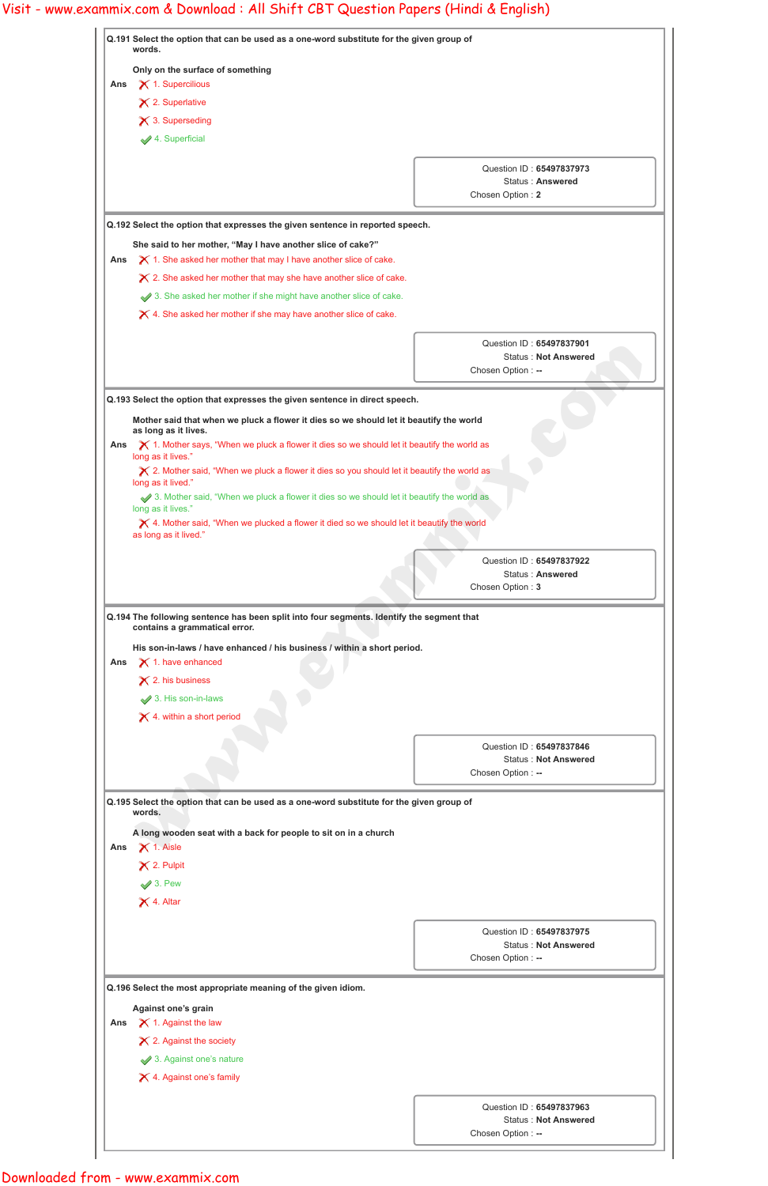|     | Q.191 Select the option that can be used as a one-word substitute for the given group of<br>words.                         |                                                     |
|-----|----------------------------------------------------------------------------------------------------------------------------|-----------------------------------------------------|
|     | Only on the surface of something                                                                                           |                                                     |
| Ans | $\times$ 1. Supercilious                                                                                                   |                                                     |
|     | $\times$ 2. Superlative<br>$\times$ 3. Superseding                                                                         |                                                     |
|     | 4. Superficial                                                                                                             |                                                     |
|     |                                                                                                                            |                                                     |
|     |                                                                                                                            | Question ID: 65497837973<br><b>Status: Answered</b> |
|     |                                                                                                                            | Chosen Option: 2                                    |
|     | Q.192 Select the option that expresses the given sentence in reported speech.                                              |                                                     |
|     | She said to her mother, "May I have another slice of cake?"                                                                |                                                     |
| Ans | $\boldsymbol{\times}$ 1. She asked her mother that may I have another slice of cake.                                       |                                                     |
|     | $\boldsymbol{\times}$ 2. She asked her mother that may she have another slice of cake.                                     |                                                     |
|     | 3. She asked her mother if she might have another slice of cake.                                                           |                                                     |
|     | $\boldsymbol{\times}$ 4. She asked her mother if she may have another slice of cake.                                       |                                                     |
|     |                                                                                                                            | Question ID: 65497837901                            |
|     |                                                                                                                            | <b>Status: Not Answered</b>                         |
|     |                                                                                                                            | Chosen Option : --                                  |
|     | Q.193 Select the option that expresses the given sentence in direct speech.                                                |                                                     |
|     | Mother said that when we pluck a flower it dies so we should let it beautify the world                                     |                                                     |
| Ans | as long as it lives.<br>$\chi$ 1. Mother says, "When we pluck a flower it dies so we should let it beautify the world as   |                                                     |
|     | long as it lives."<br>X 2. Mother said, "When we pluck a flower it dies so you should let it beautify the world as         |                                                     |
|     | long as it lived."                                                                                                         |                                                     |
|     | 3. Mother said, "When we pluck a flower it dies so we should let it beautify the world as<br>long as it lives."            |                                                     |
|     | $\boldsymbol{\times}$ 4. Mother said, "When we plucked a flower it died so we should let it beautify the world             |                                                     |
|     | as long as it lived."                                                                                                      |                                                     |
|     |                                                                                                                            | Question ID: 65497837922                            |
|     |                                                                                                                            |                                                     |
|     |                                                                                                                            | <b>Status: Answered</b><br>Chosen Option: 3         |
|     | Q.194 The following sentence has been split into four segments. Identify the segment that<br>contains a grammatical error. |                                                     |
| Ans | His son-in-laws / have enhanced / his business / within a short period.<br>$\times$ 1. have enhanced                       |                                                     |
|     | $\times$ 2. his business                                                                                                   |                                                     |
|     | 3. His son-in-laws                                                                                                         |                                                     |
|     | $\times$ 4. within a short period                                                                                          |                                                     |
|     |                                                                                                                            | Question ID: 65497837846                            |
|     |                                                                                                                            | <b>Status: Not Answered</b>                         |
|     |                                                                                                                            | Chosen Option : --                                  |
|     | Q.195 Select the option that can be used as a one-word substitute for the given group of<br>words.                         |                                                     |
|     |                                                                                                                            |                                                     |
| Ans | A long wooden seat with a back for people to sit on in a church<br>$\times$ 1. Aisle                                       |                                                     |
|     | $\times$ 2. Pulpit                                                                                                         |                                                     |
|     | $\blacktriangleright$ 3. Pew                                                                                               |                                                     |
|     | $\times$ 4. Altar                                                                                                          |                                                     |
|     |                                                                                                                            | Question ID: 65497837975                            |
|     |                                                                                                                            | <b>Status: Not Answered</b>                         |
|     |                                                                                                                            | Chosen Option: --                                   |
|     | Q.196 Select the most appropriate meaning of the given idiom.                                                              |                                                     |
|     | Against one's grain                                                                                                        |                                                     |
| Ans | $\times$ 1. Against the law                                                                                                |                                                     |
|     | $\times$ 2. Against the society                                                                                            |                                                     |
|     | 3. Against one's nature                                                                                                    |                                                     |
|     | X 4. Against one's family                                                                                                  |                                                     |
|     |                                                                                                                            | Question ID: 65497837963                            |